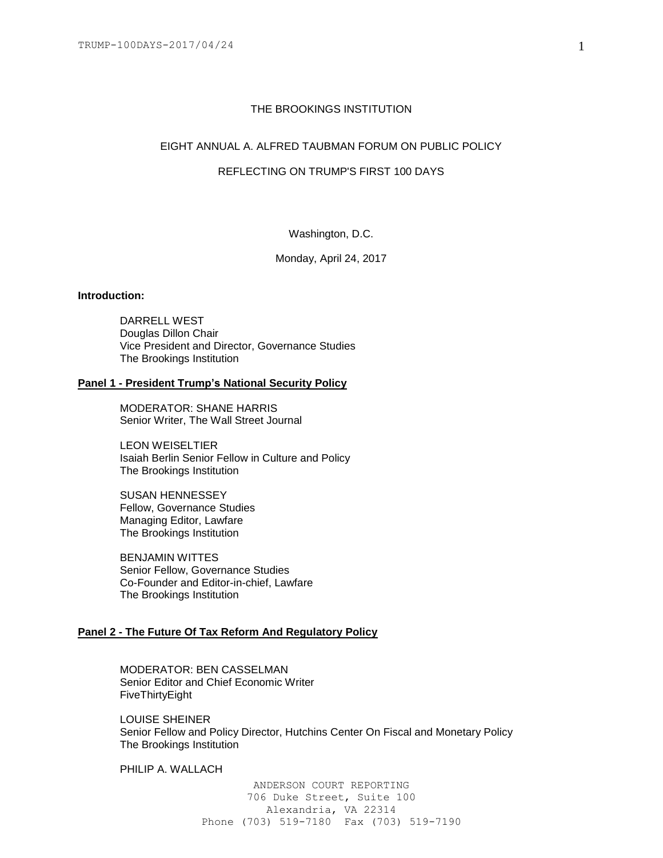#### THE BROOKINGS INSTITUTION

# EIGHT ANNUAL A. ALFRED TAUBMAN FORUM ON PUBLIC POLICY

# REFLECTING ON TRUMP'S FIRST 100 DAYS

Washington, D.C.

Monday, April 24, 2017

#### **Introduction:**

DARRELL WEST Douglas Dillon Chair Vice President and Director, Governance Studies The Brookings Institution

#### **Panel 1 - President Trump's National Security Policy**

MODERATOR: SHANE HARRIS Senior Writer, The Wall Street Journal

LEON WEISELTIER Isaiah Berlin Senior Fellow in Culture and Policy The Brookings Institution

SUSAN HENNESSEY Fellow, Governance Studies Managing Editor, Lawfare The Brookings Institution

BENJAMIN WITTES Senior Fellow, Governance Studies Co-Founder and Editor-in-chief, Lawfare The Brookings Institution

# **Panel 2 - The Future Of Tax Reform And Regulatory Policy**

MODERATOR: BEN CASSELMAN Senior Editor and Chief Economic Writer FiveThirtyEight

LOUISE SHEINER Senior Fellow and Policy Director, Hutchins Center On Fiscal and Monetary Policy The Brookings Institution

PHILIP A. WALLACH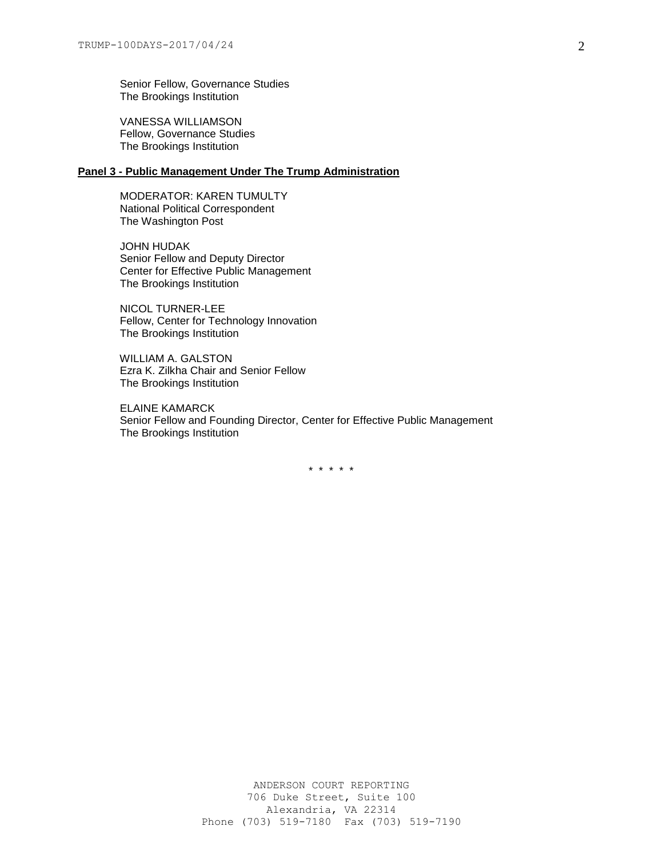Senior Fellow, Governance Studies The Brookings Institution

VANESSA WILLIAMSON Fellow, Governance Studies The Brookings Institution

# **Panel 3 - Public Management Under The Trump Administration**

MODERATOR: KAREN TUMULTY National Political Correspondent The Washington Post

JOHN HUDAK Senior Fellow and Deputy Director Center for Effective Public Management The Brookings Institution

NICOL TURNER-LEE Fellow, Center for Technology Innovation The Brookings Institution

WILLIAM A. GALSTON Ezra K. Zilkha Chair and Senior Fellow The Brookings Institution

ELAINE KAMARCK Senior Fellow and Founding Director, Center for Effective Public Management The Brookings Institution

\* \* \* \* \*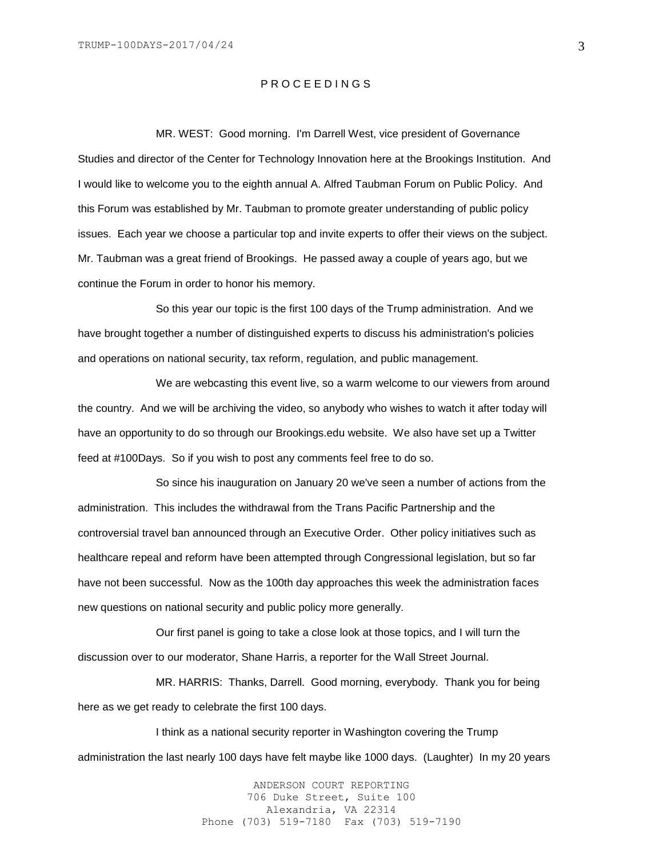# P R O C E E D I N G S

MR. WEST: Good morning. I'm Darrell West, vice president of Governance Studies and director of the Center for Technology Innovation here at the Brookings Institution. And I would like to welcome you to the eighth annual A. Alfred Taubman Forum on Public Policy. And this Forum was established by Mr. Taubman to promote greater understanding of public policy issues. Each year we choose a particular top and invite experts to offer their views on the subject. Mr. Taubman was a great friend of Brookings. He passed away a couple of years ago, but we continue the Forum in order to honor his memory.

So this year our topic is the first 100 days of the Trump administration. And we have brought together a number of distinguished experts to discuss his administration's policies and operations on national security, tax reform, regulation, and public management.

We are webcasting this event live, so a warm welcome to our viewers from around the country. And we will be archiving the video, so anybody who wishes to watch it after today will have an opportunity to do so through our Brookings.edu website. We also have set up a Twitter feed at #100Days. So if you wish to post any comments feel free to do so.

So since his inauguration on January 20 we've seen a number of actions from the administration. This includes the withdrawal from the Trans Pacific Partnership and the controversial travel ban announced through an Executive Order. Other policy initiatives such as healthcare repeal and reform have been attempted through Congressional legislation, but so far have not been successful. Now as the 100th day approaches this week the administration faces new questions on national security and public policy more generally.

Our first panel is going to take a close look at those topics, and I will turn the discussion over to our moderator, Shane Harris, a reporter for the Wall Street Journal.

MR. HARRIS: Thanks, Darrell. Good morning, everybody. Thank you for being here as we get ready to celebrate the first 100 days.

I think as a national security reporter in Washington covering the Trump administration the last nearly 100 days have felt maybe like 1000 days. (Laughter) In my 20 years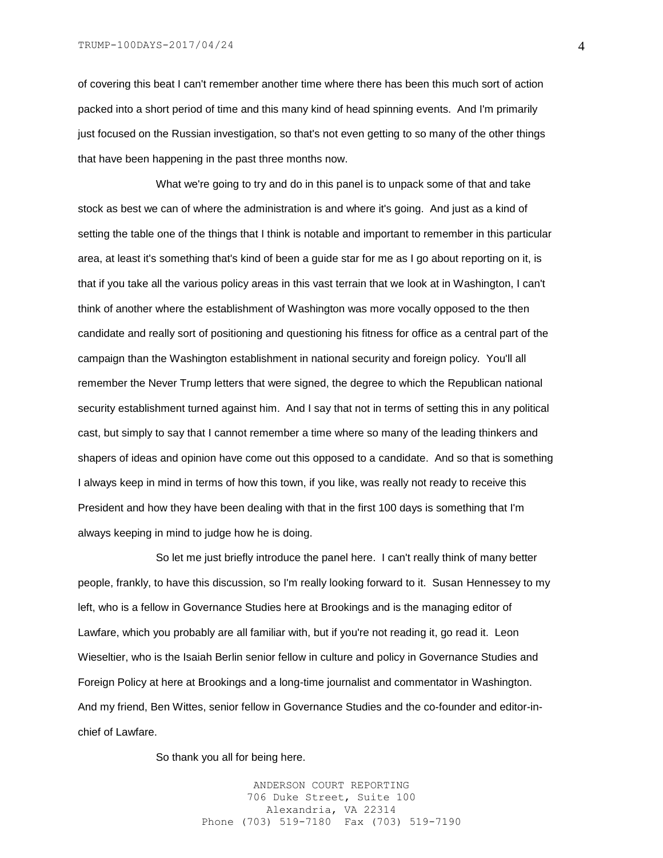of covering this beat I can't remember another time where there has been this much sort of action packed into a short period of time and this many kind of head spinning events. And I'm primarily just focused on the Russian investigation, so that's not even getting to so many of the other things that have been happening in the past three months now.

What we're going to try and do in this panel is to unpack some of that and take stock as best we can of where the administration is and where it's going. And just as a kind of setting the table one of the things that I think is notable and important to remember in this particular area, at least it's something that's kind of been a guide star for me as I go about reporting on it, is that if you take all the various policy areas in this vast terrain that we look at in Washington, I can't think of another where the establishment of Washington was more vocally opposed to the then candidate and really sort of positioning and questioning his fitness for office as a central part of the campaign than the Washington establishment in national security and foreign policy. You'll all remember the Never Trump letters that were signed, the degree to which the Republican national security establishment turned against him. And I say that not in terms of setting this in any political cast, but simply to say that I cannot remember a time where so many of the leading thinkers and shapers of ideas and opinion have come out this opposed to a candidate. And so that is something I always keep in mind in terms of how this town, if you like, was really not ready to receive this President and how they have been dealing with that in the first 100 days is something that I'm always keeping in mind to judge how he is doing.

So let me just briefly introduce the panel here. I can't really think of many better people, frankly, to have this discussion, so I'm really looking forward to it. Susan Hennessey to my left, who is a fellow in Governance Studies here at Brookings and is the managing editor of Lawfare, which you probably are all familiar with, but if you're not reading it, go read it. Leon Wieseltier, who is the Isaiah Berlin senior fellow in culture and policy in Governance Studies and Foreign Policy at here at Brookings and a long-time journalist and commentator in Washington. And my friend, Ben Wittes, senior fellow in Governance Studies and the co-founder and editor-inchief of Lawfare.

So thank you all for being here.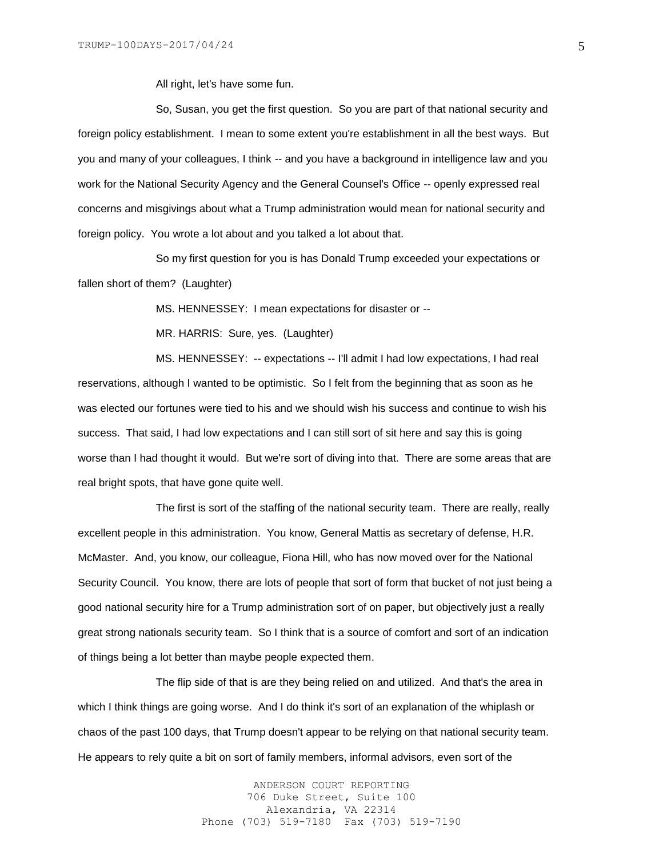All right, let's have some fun.

So, Susan, you get the first question. So you are part of that national security and foreign policy establishment. I mean to some extent you're establishment in all the best ways. But you and many of your colleagues, I think -- and you have a background in intelligence law and you work for the National Security Agency and the General Counsel's Office -- openly expressed real concerns and misgivings about what a Trump administration would mean for national security and foreign policy. You wrote a lot about and you talked a lot about that.

So my first question for you is has Donald Trump exceeded your expectations or fallen short of them? (Laughter)

MS. HENNESSEY: I mean expectations for disaster or --

MR. HARRIS: Sure, yes. (Laughter)

MS. HENNESSEY: -- expectations -- I'll admit I had low expectations, I had real reservations, although I wanted to be optimistic. So I felt from the beginning that as soon as he was elected our fortunes were tied to his and we should wish his success and continue to wish his success. That said, I had low expectations and I can still sort of sit here and say this is going worse than I had thought it would. But we're sort of diving into that. There are some areas that are real bright spots, that have gone quite well.

The first is sort of the staffing of the national security team. There are really, really excellent people in this administration. You know, General Mattis as secretary of defense, H.R. McMaster. And, you know, our colleague, Fiona Hill, who has now moved over for the National Security Council. You know, there are lots of people that sort of form that bucket of not just being a good national security hire for a Trump administration sort of on paper, but objectively just a really great strong nationals security team. So I think that is a source of comfort and sort of an indication of things being a lot better than maybe people expected them.

The flip side of that is are they being relied on and utilized. And that's the area in which I think things are going worse. And I do think it's sort of an explanation of the whiplash or chaos of the past 100 days, that Trump doesn't appear to be relying on that national security team. He appears to rely quite a bit on sort of family members, informal advisors, even sort of the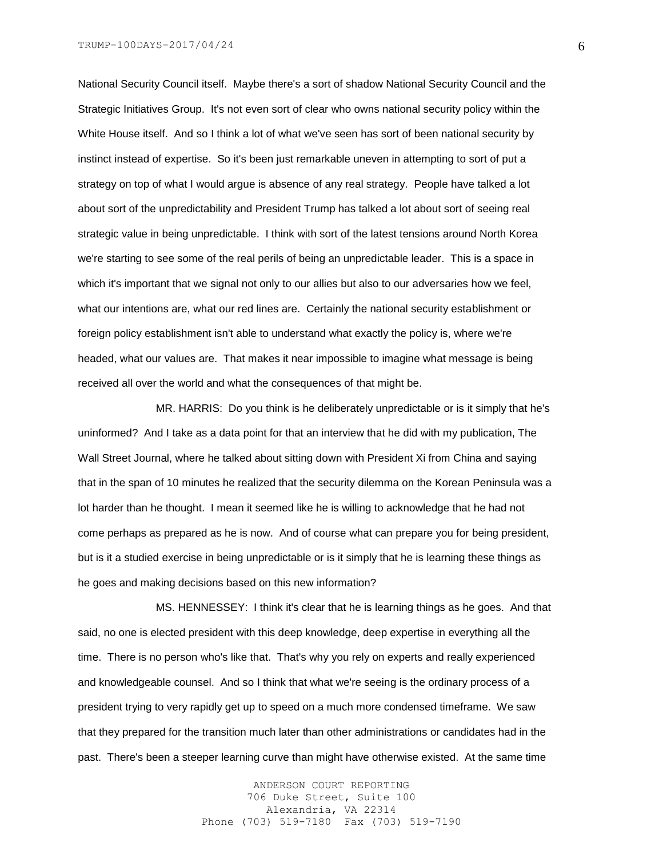National Security Council itself. Maybe there's a sort of shadow National Security Council and the Strategic Initiatives Group. It's not even sort of clear who owns national security policy within the White House itself. And so I think a lot of what we've seen has sort of been national security by instinct instead of expertise. So it's been just remarkable uneven in attempting to sort of put a strategy on top of what I would argue is absence of any real strategy. People have talked a lot about sort of the unpredictability and President Trump has talked a lot about sort of seeing real strategic value in being unpredictable. I think with sort of the latest tensions around North Korea we're starting to see some of the real perils of being an unpredictable leader. This is a space in which it's important that we signal not only to our allies but also to our adversaries how we feel, what our intentions are, what our red lines are. Certainly the national security establishment or foreign policy establishment isn't able to understand what exactly the policy is, where we're headed, what our values are. That makes it near impossible to imagine what message is being received all over the world and what the consequences of that might be.

MR. HARRIS: Do you think is he deliberately unpredictable or is it simply that he's uninformed? And I take as a data point for that an interview that he did with my publication, The Wall Street Journal, where he talked about sitting down with President Xi from China and saying that in the span of 10 minutes he realized that the security dilemma on the Korean Peninsula was a lot harder than he thought. I mean it seemed like he is willing to acknowledge that he had not come perhaps as prepared as he is now. And of course what can prepare you for being president, but is it a studied exercise in being unpredictable or is it simply that he is learning these things as he goes and making decisions based on this new information?

MS. HENNESSEY: I think it's clear that he is learning things as he goes. And that said, no one is elected president with this deep knowledge, deep expertise in everything all the time. There is no person who's like that. That's why you rely on experts and really experienced and knowledgeable counsel. And so I think that what we're seeing is the ordinary process of a president trying to very rapidly get up to speed on a much more condensed timeframe. We saw that they prepared for the transition much later than other administrations or candidates had in the past. There's been a steeper learning curve than might have otherwise existed. At the same time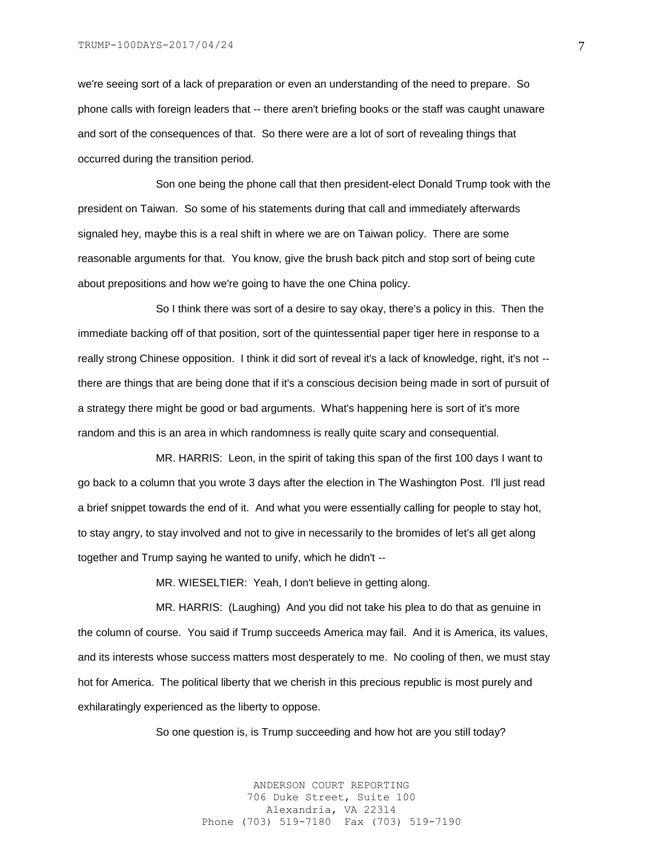we're seeing sort of a lack of preparation or even an understanding of the need to prepare. So phone calls with foreign leaders that -- there aren't briefing books or the staff was caught unaware and sort of the consequences of that. So there were are a lot of sort of revealing things that occurred during the transition period.

Son one being the phone call that then president-elect Donald Trump took with the president on Taiwan. So some of his statements during that call and immediately afterwards signaled hey, maybe this is a real shift in where we are on Taiwan policy. There are some reasonable arguments for that. You know, give the brush back pitch and stop sort of being cute about prepositions and how we're going to have the one China policy.

So I think there was sort of a desire to say okay, there's a policy in this. Then the immediate backing off of that position, sort of the quintessential paper tiger here in response to a really strong Chinese opposition. I think it did sort of reveal it's a lack of knowledge, right, it's not - there are things that are being done that if it's a conscious decision being made in sort of pursuit of a strategy there might be good or bad arguments. What's happening here is sort of it's more random and this is an area in which randomness is really quite scary and consequential.

MR. HARRIS: Leon, in the spirit of taking this span of the first 100 days I want to go back to a column that you wrote 3 days after the election in The Washington Post. I'll just read a brief snippet towards the end of it. And what you were essentially calling for people to stay hot, to stay angry, to stay involved and not to give in necessarily to the bromides of let's all get along together and Trump saying he wanted to unify, which he didn't --

MR. WIESELTIER: Yeah, I don't believe in getting along.

MR. HARRIS: (Laughing) And you did not take his plea to do that as genuine in the column of course. You said if Trump succeeds America may fail. And it is America, its values, and its interests whose success matters most desperately to me. No cooling of then, we must stay hot for America. The political liberty that we cherish in this precious republic is most purely and exhilaratingly experienced as the liberty to oppose.

So one question is, is Trump succeeding and how hot are you still today?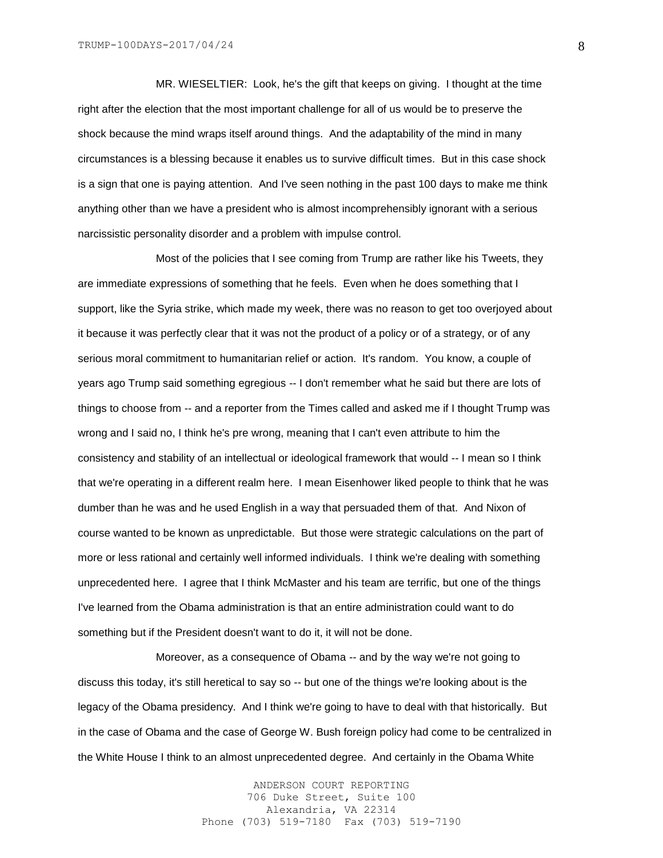MR. WIESELTIER: Look, he's the gift that keeps on giving. I thought at the time right after the election that the most important challenge for all of us would be to preserve the shock because the mind wraps itself around things. And the adaptability of the mind in many circumstances is a blessing because it enables us to survive difficult times. But in this case shock is a sign that one is paying attention. And I've seen nothing in the past 100 days to make me think anything other than we have a president who is almost incomprehensibly ignorant with a serious narcissistic personality disorder and a problem with impulse control.

Most of the policies that I see coming from Trump are rather like his Tweets, they are immediate expressions of something that he feels. Even when he does something that I support, like the Syria strike, which made my week, there was no reason to get too overjoyed about it because it was perfectly clear that it was not the product of a policy or of a strategy, or of any serious moral commitment to humanitarian relief or action. It's random. You know, a couple of years ago Trump said something egregious -- I don't remember what he said but there are lots of things to choose from -- and a reporter from the Times called and asked me if I thought Trump was wrong and I said no, I think he's pre wrong, meaning that I can't even attribute to him the consistency and stability of an intellectual or ideological framework that would -- I mean so I think that we're operating in a different realm here. I mean Eisenhower liked people to think that he was dumber than he was and he used English in a way that persuaded them of that. And Nixon of course wanted to be known as unpredictable. But those were strategic calculations on the part of more or less rational and certainly well informed individuals. I think we're dealing with something unprecedented here. I agree that I think McMaster and his team are terrific, but one of the things I've learned from the Obama administration is that an entire administration could want to do something but if the President doesn't want to do it, it will not be done.

Moreover, as a consequence of Obama -- and by the way we're not going to discuss this today, it's still heretical to say so -- but one of the things we're looking about is the legacy of the Obama presidency. And I think we're going to have to deal with that historically. But in the case of Obama and the case of George W. Bush foreign policy had come to be centralized in the White House I think to an almost unprecedented degree. And certainly in the Obama White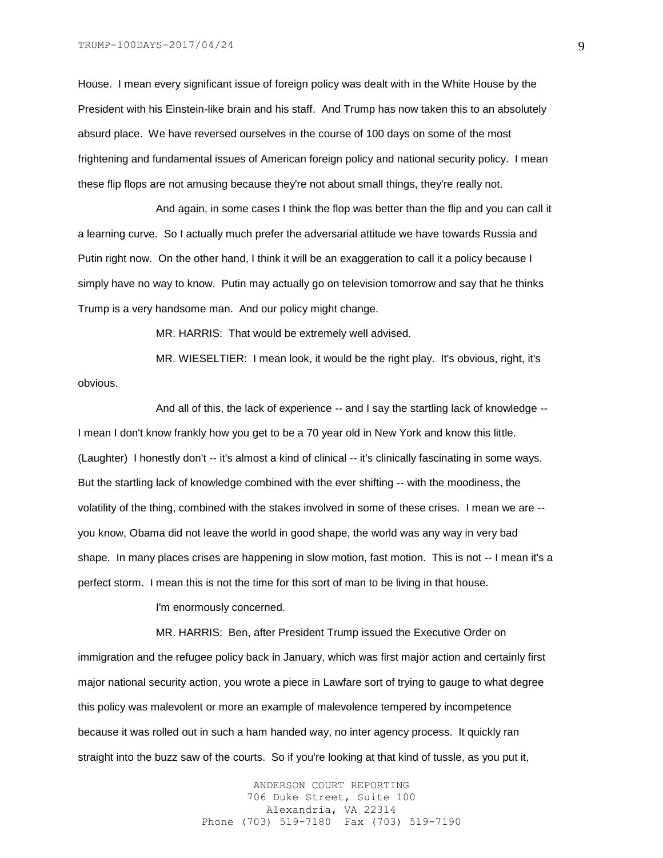House. I mean every significant issue of foreign policy was dealt with in the White House by the President with his Einstein-like brain and his staff. And Trump has now taken this to an absolutely absurd place. We have reversed ourselves in the course of 100 days on some of the most frightening and fundamental issues of American foreign policy and national security policy. I mean these flip flops are not amusing because they're not about small things, they're really not.

And again, in some cases I think the flop was better than the flip and you can call it a learning curve. So I actually much prefer the adversarial attitude we have towards Russia and Putin right now. On the other hand, I think it will be an exaggeration to call it a policy because I simply have no way to know. Putin may actually go on television tomorrow and say that he thinks Trump is a very handsome man. And our policy might change.

MR. HARRIS: That would be extremely well advised.

MR. WIESELTIER: I mean look, it would be the right play. It's obvious, right, it's obvious.

And all of this, the lack of experience -- and I say the startling lack of knowledge -- I mean I don't know frankly how you get to be a 70 year old in New York and know this little. (Laughter) I honestly don't -- it's almost a kind of clinical -- it's clinically fascinating in some ways. But the startling lack of knowledge combined with the ever shifting -- with the moodiness, the volatility of the thing, combined with the stakes involved in some of these crises. I mean we are - you know, Obama did not leave the world in good shape, the world was any way in very bad shape. In many places crises are happening in slow motion, fast motion. This is not -- I mean it's a perfect storm. I mean this is not the time for this sort of man to be living in that house.

I'm enormously concerned.

MR. HARRIS: Ben, after President Trump issued the Executive Order on immigration and the refugee policy back in January, which was first major action and certainly first major national security action, you wrote a piece in Lawfare sort of trying to gauge to what degree this policy was malevolent or more an example of malevolence tempered by incompetence because it was rolled out in such a ham handed way, no inter agency process. It quickly ran straight into the buzz saw of the courts. So if you're looking at that kind of tussle, as you put it,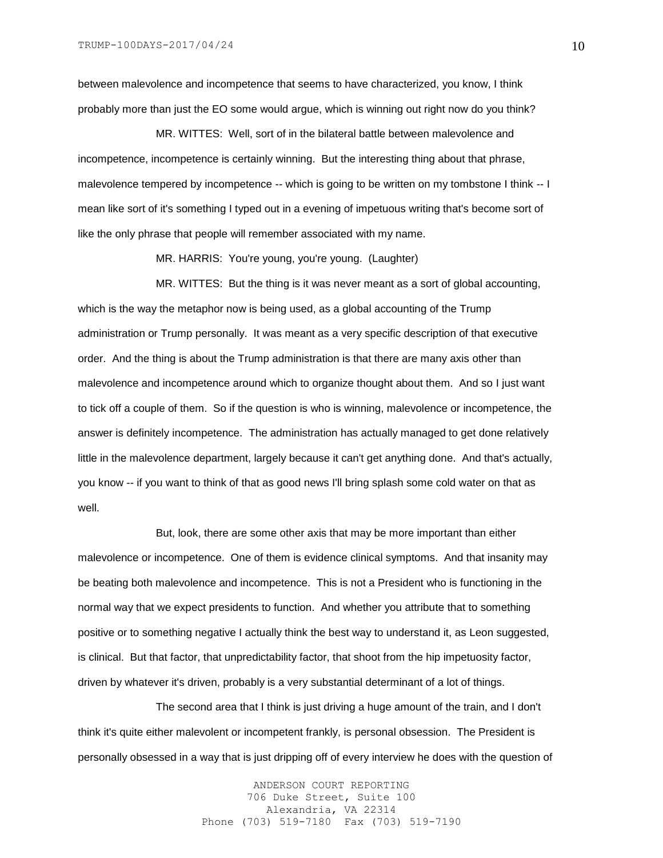between malevolence and incompetence that seems to have characterized, you know, I think probably more than just the EO some would argue, which is winning out right now do you think?

MR. WITTES: Well, sort of in the bilateral battle between malevolence and incompetence, incompetence is certainly winning. But the interesting thing about that phrase, malevolence tempered by incompetence -- which is going to be written on my tombstone I think -- I mean like sort of it's something I typed out in a evening of impetuous writing that's become sort of like the only phrase that people will remember associated with my name.

MR. HARRIS: You're young, you're young. (Laughter)

MR. WITTES: But the thing is it was never meant as a sort of global accounting, which is the way the metaphor now is being used, as a global accounting of the Trump administration or Trump personally. It was meant as a very specific description of that executive order. And the thing is about the Trump administration is that there are many axis other than malevolence and incompetence around which to organize thought about them. And so I just want to tick off a couple of them. So if the question is who is winning, malevolence or incompetence, the answer is definitely incompetence. The administration has actually managed to get done relatively little in the malevolence department, largely because it can't get anything done. And that's actually, you know -- if you want to think of that as good news I'll bring splash some cold water on that as well.

But, look, there are some other axis that may be more important than either malevolence or incompetence. One of them is evidence clinical symptoms. And that insanity may be beating both malevolence and incompetence. This is not a President who is functioning in the normal way that we expect presidents to function. And whether you attribute that to something positive or to something negative I actually think the best way to understand it, as Leon suggested, is clinical. But that factor, that unpredictability factor, that shoot from the hip impetuosity factor, driven by whatever it's driven, probably is a very substantial determinant of a lot of things.

The second area that I think is just driving a huge amount of the train, and I don't think it's quite either malevolent or incompetent frankly, is personal obsession. The President is personally obsessed in a way that is just dripping off of every interview he does with the question of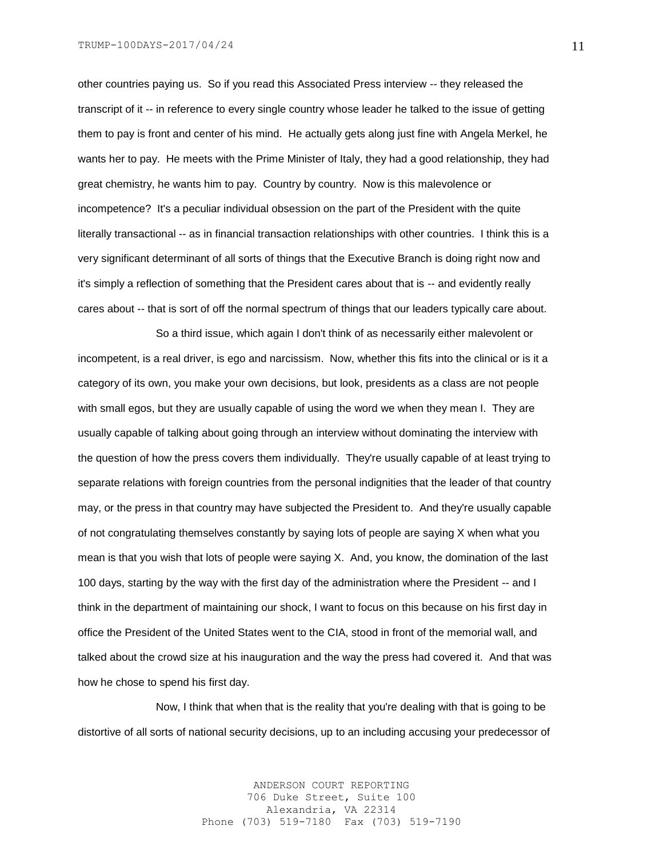other countries paying us. So if you read this Associated Press interview -- they released the transcript of it -- in reference to every single country whose leader he talked to the issue of getting them to pay is front and center of his mind. He actually gets along just fine with Angela Merkel, he wants her to pay. He meets with the Prime Minister of Italy, they had a good relationship, they had great chemistry, he wants him to pay. Country by country. Now is this malevolence or incompetence? It's a peculiar individual obsession on the part of the President with the quite literally transactional -- as in financial transaction relationships with other countries. I think this is a very significant determinant of all sorts of things that the Executive Branch is doing right now and it's simply a reflection of something that the President cares about that is -- and evidently really cares about -- that is sort of off the normal spectrum of things that our leaders typically care about.

So a third issue, which again I don't think of as necessarily either malevolent or incompetent, is a real driver, is ego and narcissism. Now, whether this fits into the clinical or is it a category of its own, you make your own decisions, but look, presidents as a class are not people with small egos, but they are usually capable of using the word we when they mean I. They are usually capable of talking about going through an interview without dominating the interview with the question of how the press covers them individually. They're usually capable of at least trying to separate relations with foreign countries from the personal indignities that the leader of that country may, or the press in that country may have subjected the President to. And they're usually capable of not congratulating themselves constantly by saying lots of people are saying X when what you mean is that you wish that lots of people were saying X. And, you know, the domination of the last 100 days, starting by the way with the first day of the administration where the President -- and I think in the department of maintaining our shock, I want to focus on this because on his first day in office the President of the United States went to the CIA, stood in front of the memorial wall, and talked about the crowd size at his inauguration and the way the press had covered it. And that was how he chose to spend his first day.

Now, I think that when that is the reality that you're dealing with that is going to be distortive of all sorts of national security decisions, up to an including accusing your predecessor of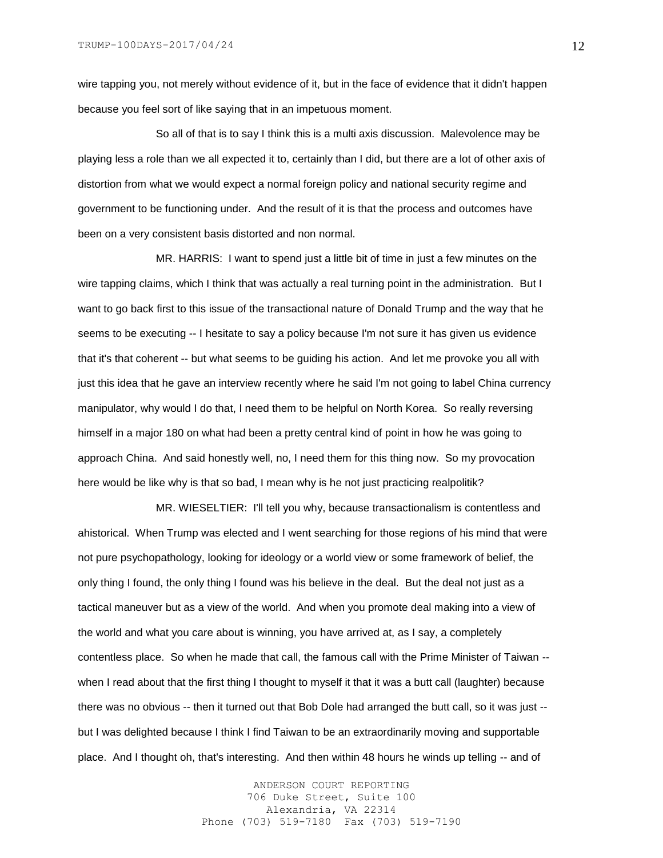wire tapping you, not merely without evidence of it, but in the face of evidence that it didn't happen because you feel sort of like saying that in an impetuous moment.

So all of that is to say I think this is a multi axis discussion. Malevolence may be playing less a role than we all expected it to, certainly than I did, but there are a lot of other axis of distortion from what we would expect a normal foreign policy and national security regime and government to be functioning under. And the result of it is that the process and outcomes have been on a very consistent basis distorted and non normal.

MR. HARRIS: I want to spend just a little bit of time in just a few minutes on the wire tapping claims, which I think that was actually a real turning point in the administration. But I want to go back first to this issue of the transactional nature of Donald Trump and the way that he seems to be executing -- I hesitate to say a policy because I'm not sure it has given us evidence that it's that coherent -- but what seems to be guiding his action. And let me provoke you all with just this idea that he gave an interview recently where he said I'm not going to label China currency manipulator, why would I do that, I need them to be helpful on North Korea. So really reversing himself in a major 180 on what had been a pretty central kind of point in how he was going to approach China. And said honestly well, no, I need them for this thing now. So my provocation here would be like why is that so bad, I mean why is he not just practicing realpolitik?

MR. WIESELTIER: I'll tell you why, because transactionalism is contentless and ahistorical. When Trump was elected and I went searching for those regions of his mind that were not pure psychopathology, looking for ideology or a world view or some framework of belief, the only thing I found, the only thing I found was his believe in the deal. But the deal not just as a tactical maneuver but as a view of the world. And when you promote deal making into a view of the world and what you care about is winning, you have arrived at, as I say, a completely contentless place. So when he made that call, the famous call with the Prime Minister of Taiwan - when I read about that the first thing I thought to myself it that it was a butt call (laughter) because there was no obvious -- then it turned out that Bob Dole had arranged the butt call, so it was just - but I was delighted because I think I find Taiwan to be an extraordinarily moving and supportable place. And I thought oh, that's interesting. And then within 48 hours he winds up telling -- and of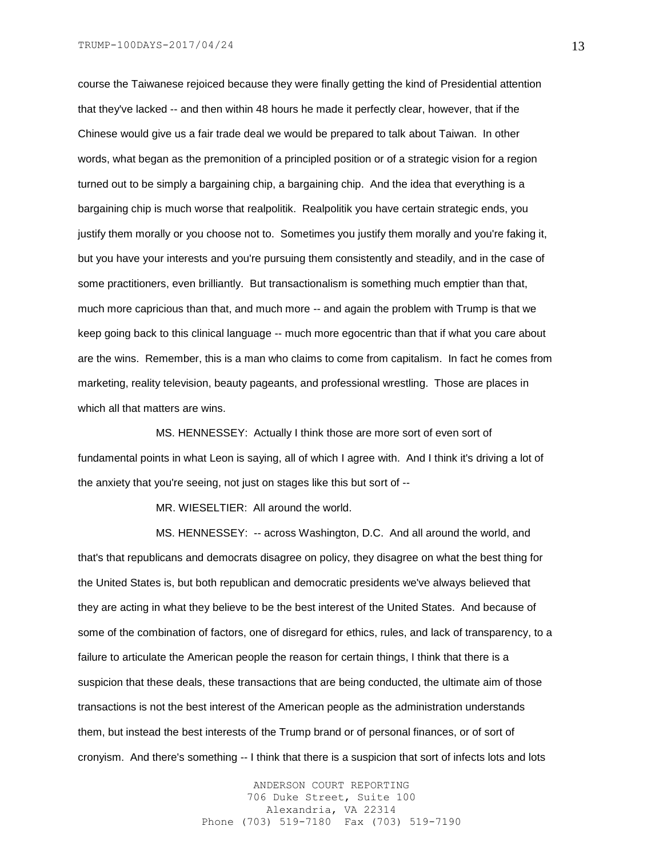course the Taiwanese rejoiced because they were finally getting the kind of Presidential attention that they've lacked -- and then within 48 hours he made it perfectly clear, however, that if the Chinese would give us a fair trade deal we would be prepared to talk about Taiwan. In other words, what began as the premonition of a principled position or of a strategic vision for a region turned out to be simply a bargaining chip, a bargaining chip. And the idea that everything is a bargaining chip is much worse that realpolitik. Realpolitik you have certain strategic ends, you justify them morally or you choose not to. Sometimes you justify them morally and you're faking it, but you have your interests and you're pursuing them consistently and steadily, and in the case of some practitioners, even brilliantly. But transactionalism is something much emptier than that, much more capricious than that, and much more -- and again the problem with Trump is that we keep going back to this clinical language -- much more egocentric than that if what you care about are the wins. Remember, this is a man who claims to come from capitalism. In fact he comes from marketing, reality television, beauty pageants, and professional wrestling. Those are places in which all that matters are wins.

MS. HENNESSEY: Actually I think those are more sort of even sort of fundamental points in what Leon is saying, all of which I agree with. And I think it's driving a lot of the anxiety that you're seeing, not just on stages like this but sort of --

MR. WIESELTIER: All around the world.

MS. HENNESSEY: -- across Washington, D.C. And all around the world, and that's that republicans and democrats disagree on policy, they disagree on what the best thing for the United States is, but both republican and democratic presidents we've always believed that they are acting in what they believe to be the best interest of the United States. And because of some of the combination of factors, one of disregard for ethics, rules, and lack of transparency, to a failure to articulate the American people the reason for certain things, I think that there is a suspicion that these deals, these transactions that are being conducted, the ultimate aim of those transactions is not the best interest of the American people as the administration understands them, but instead the best interests of the Trump brand or of personal finances, or of sort of cronyism. And there's something -- I think that there is a suspicion that sort of infects lots and lots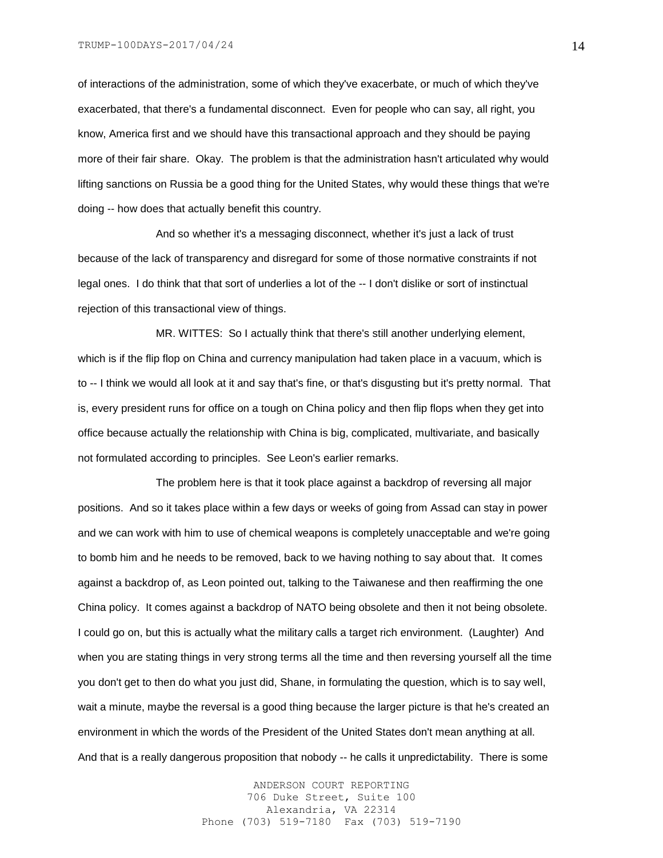of interactions of the administration, some of which they've exacerbate, or much of which they've exacerbated, that there's a fundamental disconnect. Even for people who can say, all right, you know, America first and we should have this transactional approach and they should be paying more of their fair share. Okay. The problem is that the administration hasn't articulated why would lifting sanctions on Russia be a good thing for the United States, why would these things that we're doing -- how does that actually benefit this country.

And so whether it's a messaging disconnect, whether it's just a lack of trust because of the lack of transparency and disregard for some of those normative constraints if not legal ones. I do think that that sort of underlies a lot of the -- I don't dislike or sort of instinctual rejection of this transactional view of things.

MR. WITTES: So I actually think that there's still another underlying element, which is if the flip flop on China and currency manipulation had taken place in a vacuum, which is to -- I think we would all look at it and say that's fine, or that's disgusting but it's pretty normal. That is, every president runs for office on a tough on China policy and then flip flops when they get into office because actually the relationship with China is big, complicated, multivariate, and basically not formulated according to principles. See Leon's earlier remarks.

The problem here is that it took place against a backdrop of reversing all major positions. And so it takes place within a few days or weeks of going from Assad can stay in power and we can work with him to use of chemical weapons is completely unacceptable and we're going to bomb him and he needs to be removed, back to we having nothing to say about that. It comes against a backdrop of, as Leon pointed out, talking to the Taiwanese and then reaffirming the one China policy. It comes against a backdrop of NATO being obsolete and then it not being obsolete. I could go on, but this is actually what the military calls a target rich environment. (Laughter) And when you are stating things in very strong terms all the time and then reversing yourself all the time you don't get to then do what you just did, Shane, in formulating the question, which is to say well, wait a minute, maybe the reversal is a good thing because the larger picture is that he's created an environment in which the words of the President of the United States don't mean anything at all. And that is a really dangerous proposition that nobody -- he calls it unpredictability. There is some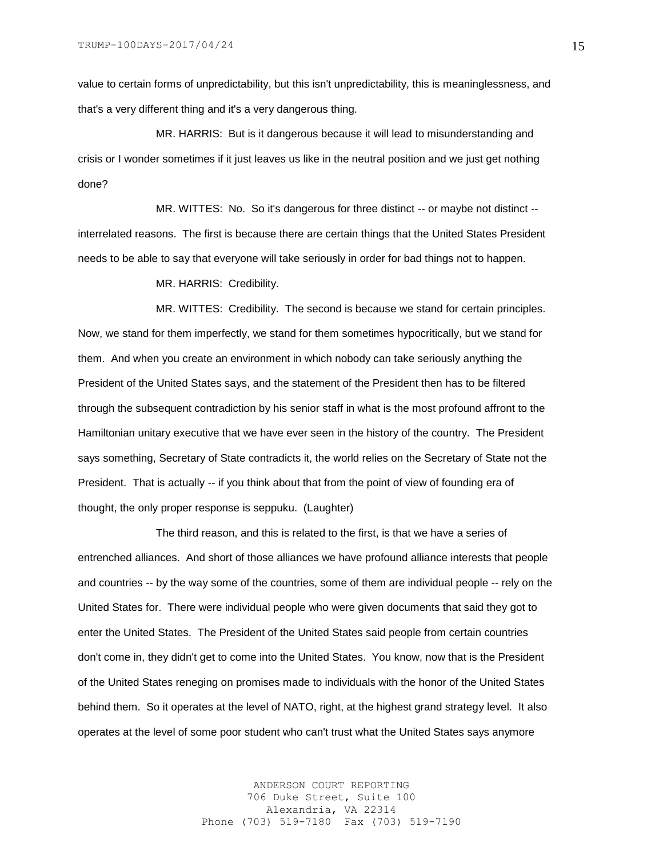value to certain forms of unpredictability, but this isn't unpredictability, this is meaninglessness, and that's a very different thing and it's a very dangerous thing.

MR. HARRIS: But is it dangerous because it will lead to misunderstanding and crisis or I wonder sometimes if it just leaves us like in the neutral position and we just get nothing done?

MR. WITTES: No. So it's dangerous for three distinct -- or maybe not distinct - interrelated reasons. The first is because there are certain things that the United States President needs to be able to say that everyone will take seriously in order for bad things not to happen.

MR. HARRIS: Credibility.

MR. WITTES: Credibility. The second is because we stand for certain principles. Now, we stand for them imperfectly, we stand for them sometimes hypocritically, but we stand for them. And when you create an environment in which nobody can take seriously anything the President of the United States says, and the statement of the President then has to be filtered through the subsequent contradiction by his senior staff in what is the most profound affront to the Hamiltonian unitary executive that we have ever seen in the history of the country. The President says something, Secretary of State contradicts it, the world relies on the Secretary of State not the President. That is actually -- if you think about that from the point of view of founding era of thought, the only proper response is seppuku. (Laughter)

The third reason, and this is related to the first, is that we have a series of entrenched alliances. And short of those alliances we have profound alliance interests that people and countries -- by the way some of the countries, some of them are individual people -- rely on the United States for. There were individual people who were given documents that said they got to enter the United States. The President of the United States said people from certain countries don't come in, they didn't get to come into the United States. You know, now that is the President of the United States reneging on promises made to individuals with the honor of the United States behind them. So it operates at the level of NATO, right, at the highest grand strategy level. It also operates at the level of some poor student who can't trust what the United States says anymore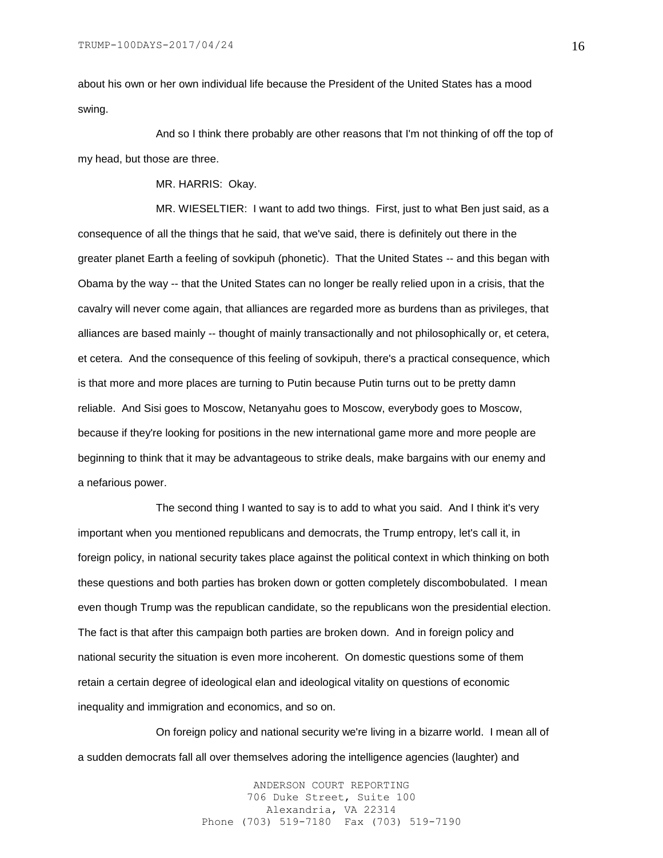about his own or her own individual life because the President of the United States has a mood swing.

And so I think there probably are other reasons that I'm not thinking of off the top of my head, but those are three.

MR. HARRIS: Okay.

MR. WIESELTIER: I want to add two things. First, just to what Ben just said, as a consequence of all the things that he said, that we've said, there is definitely out there in the greater planet Earth a feeling of sovkipuh (phonetic). That the United States -- and this began with Obama by the way -- that the United States can no longer be really relied upon in a crisis, that the cavalry will never come again, that alliances are regarded more as burdens than as privileges, that alliances are based mainly -- thought of mainly transactionally and not philosophically or, et cetera, et cetera. And the consequence of this feeling of sovkipuh, there's a practical consequence, which is that more and more places are turning to Putin because Putin turns out to be pretty damn reliable. And Sisi goes to Moscow, Netanyahu goes to Moscow, everybody goes to Moscow, because if they're looking for positions in the new international game more and more people are beginning to think that it may be advantageous to strike deals, make bargains with our enemy and a nefarious power.

The second thing I wanted to say is to add to what you said. And I think it's very important when you mentioned republicans and democrats, the Trump entropy, let's call it, in foreign policy, in national security takes place against the political context in which thinking on both these questions and both parties has broken down or gotten completely discombobulated. I mean even though Trump was the republican candidate, so the republicans won the presidential election. The fact is that after this campaign both parties are broken down. And in foreign policy and national security the situation is even more incoherent. On domestic questions some of them retain a certain degree of ideological elan and ideological vitality on questions of economic inequality and immigration and economics, and so on.

On foreign policy and national security we're living in a bizarre world. I mean all of a sudden democrats fall all over themselves adoring the intelligence agencies (laughter) and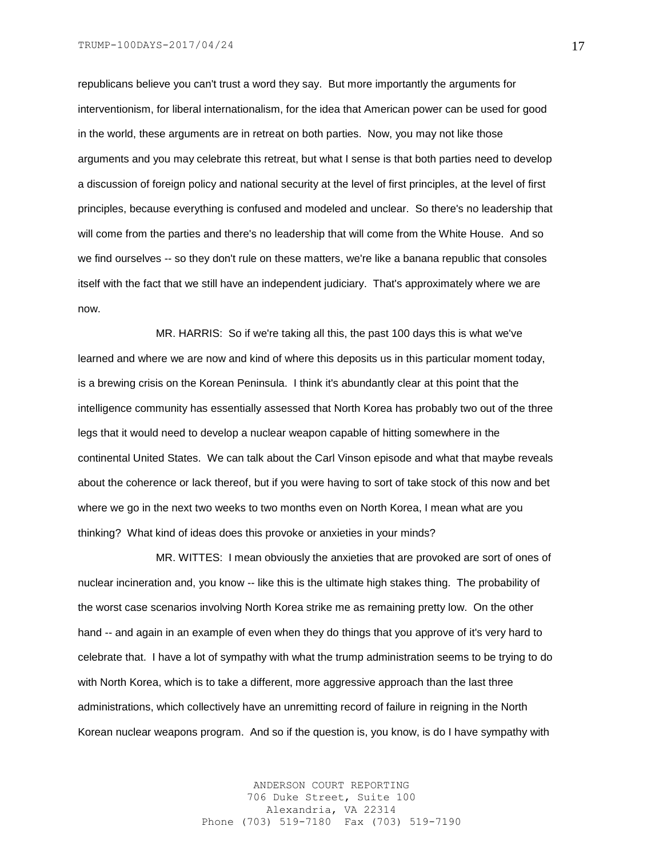republicans believe you can't trust a word they say. But more importantly the arguments for interventionism, for liberal internationalism, for the idea that American power can be used for good in the world, these arguments are in retreat on both parties. Now, you may not like those arguments and you may celebrate this retreat, but what I sense is that both parties need to develop a discussion of foreign policy and national security at the level of first principles, at the level of first principles, because everything is confused and modeled and unclear. So there's no leadership that will come from the parties and there's no leadership that will come from the White House. And so we find ourselves -- so they don't rule on these matters, we're like a banana republic that consoles itself with the fact that we still have an independent judiciary. That's approximately where we are now.

MR. HARRIS: So if we're taking all this, the past 100 days this is what we've learned and where we are now and kind of where this deposits us in this particular moment today, is a brewing crisis on the Korean Peninsula. I think it's abundantly clear at this point that the intelligence community has essentially assessed that North Korea has probably two out of the three legs that it would need to develop a nuclear weapon capable of hitting somewhere in the continental United States. We can talk about the Carl Vinson episode and what that maybe reveals about the coherence or lack thereof, but if you were having to sort of take stock of this now and bet where we go in the next two weeks to two months even on North Korea, I mean what are you thinking? What kind of ideas does this provoke or anxieties in your minds?

MR. WITTES: I mean obviously the anxieties that are provoked are sort of ones of nuclear incineration and, you know -- like this is the ultimate high stakes thing. The probability of the worst case scenarios involving North Korea strike me as remaining pretty low. On the other hand -- and again in an example of even when they do things that you approve of it's very hard to celebrate that. I have a lot of sympathy with what the trump administration seems to be trying to do with North Korea, which is to take a different, more aggressive approach than the last three administrations, which collectively have an unremitting record of failure in reigning in the North Korean nuclear weapons program. And so if the question is, you know, is do I have sympathy with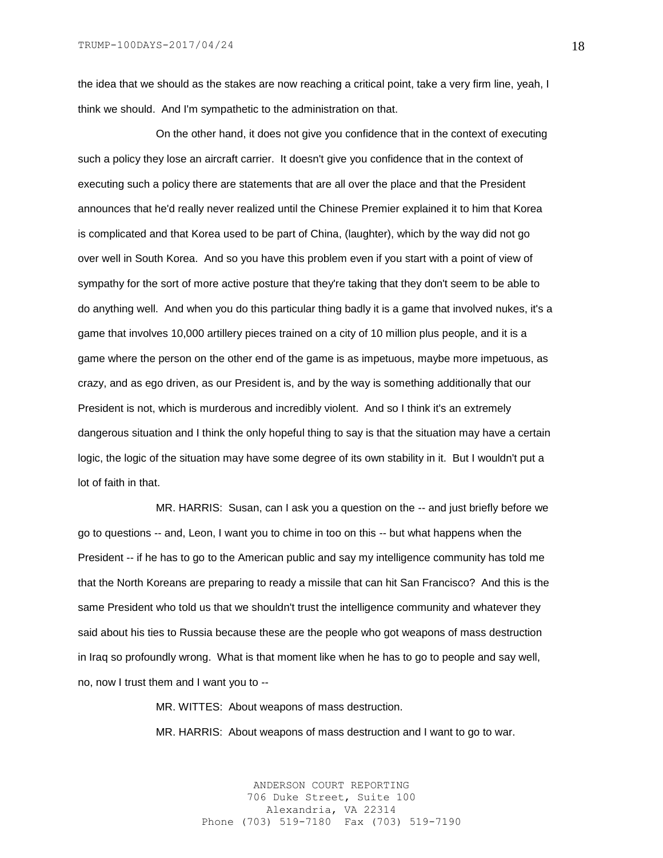the idea that we should as the stakes are now reaching a critical point, take a very firm line, yeah, I think we should. And I'm sympathetic to the administration on that.

On the other hand, it does not give you confidence that in the context of executing such a policy they lose an aircraft carrier. It doesn't give you confidence that in the context of executing such a policy there are statements that are all over the place and that the President announces that he'd really never realized until the Chinese Premier explained it to him that Korea is complicated and that Korea used to be part of China, (laughter), which by the way did not go over well in South Korea. And so you have this problem even if you start with a point of view of sympathy for the sort of more active posture that they're taking that they don't seem to be able to do anything well. And when you do this particular thing badly it is a game that involved nukes, it's a game that involves 10,000 artillery pieces trained on a city of 10 million plus people, and it is a game where the person on the other end of the game is as impetuous, maybe more impetuous, as crazy, and as ego driven, as our President is, and by the way is something additionally that our President is not, which is murderous and incredibly violent. And so I think it's an extremely dangerous situation and I think the only hopeful thing to say is that the situation may have a certain logic, the logic of the situation may have some degree of its own stability in it. But I wouldn't put a lot of faith in that.

MR. HARRIS: Susan, can I ask you a question on the -- and just briefly before we go to questions -- and, Leon, I want you to chime in too on this -- but what happens when the President -- if he has to go to the American public and say my intelligence community has told me that the North Koreans are preparing to ready a missile that can hit San Francisco? And this is the same President who told us that we shouldn't trust the intelligence community and whatever they said about his ties to Russia because these are the people who got weapons of mass destruction in Iraq so profoundly wrong. What is that moment like when he has to go to people and say well, no, now I trust them and I want you to --

MR. WITTES: About weapons of mass destruction.

MR. HARRIS: About weapons of mass destruction and I want to go to war.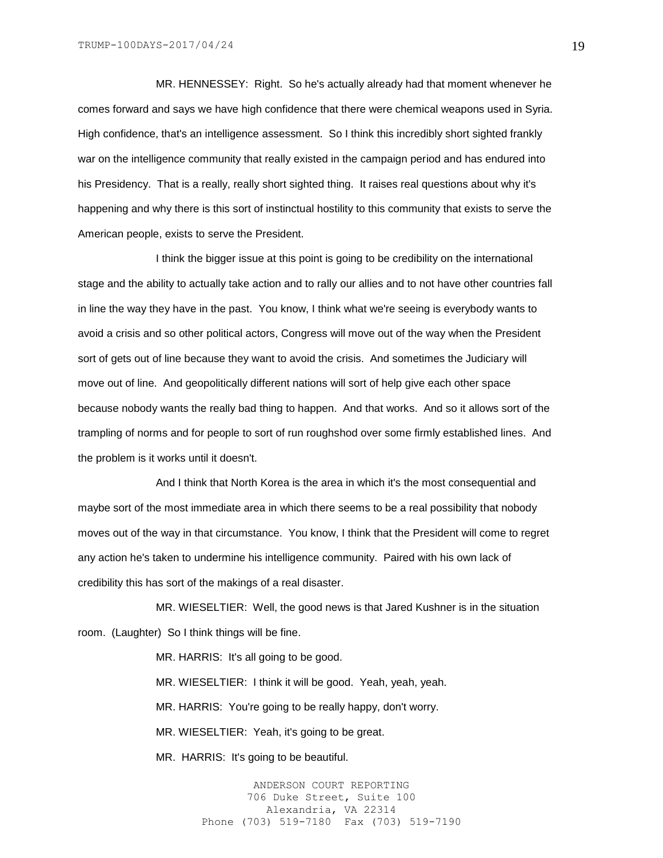MR. HENNESSEY: Right. So he's actually already had that moment whenever he comes forward and says we have high confidence that there were chemical weapons used in Syria. High confidence, that's an intelligence assessment. So I think this incredibly short sighted frankly war on the intelligence community that really existed in the campaign period and has endured into his Presidency. That is a really, really short sighted thing. It raises real questions about why it's happening and why there is this sort of instinctual hostility to this community that exists to serve the American people, exists to serve the President.

I think the bigger issue at this point is going to be credibility on the international stage and the ability to actually take action and to rally our allies and to not have other countries fall in line the way they have in the past. You know, I think what we're seeing is everybody wants to avoid a crisis and so other political actors, Congress will move out of the way when the President sort of gets out of line because they want to avoid the crisis. And sometimes the Judiciary will move out of line. And geopolitically different nations will sort of help give each other space because nobody wants the really bad thing to happen. And that works. And so it allows sort of the trampling of norms and for people to sort of run roughshod over some firmly established lines. And the problem is it works until it doesn't.

And I think that North Korea is the area in which it's the most consequential and maybe sort of the most immediate area in which there seems to be a real possibility that nobody moves out of the way in that circumstance. You know, I think that the President will come to regret any action he's taken to undermine his intelligence community. Paired with his own lack of credibility this has sort of the makings of a real disaster.

MR. WIESELTIER: Well, the good news is that Jared Kushner is in the situation room. (Laughter) So I think things will be fine.

> MR. HARRIS: It's all going to be good. MR. WIESELTIER: I think it will be good. Yeah, yeah, yeah. MR. HARRIS: You're going to be really happy, don't worry. MR. WIESELTIER: Yeah, it's going to be great.

MR. HARRIS: It's going to be beautiful.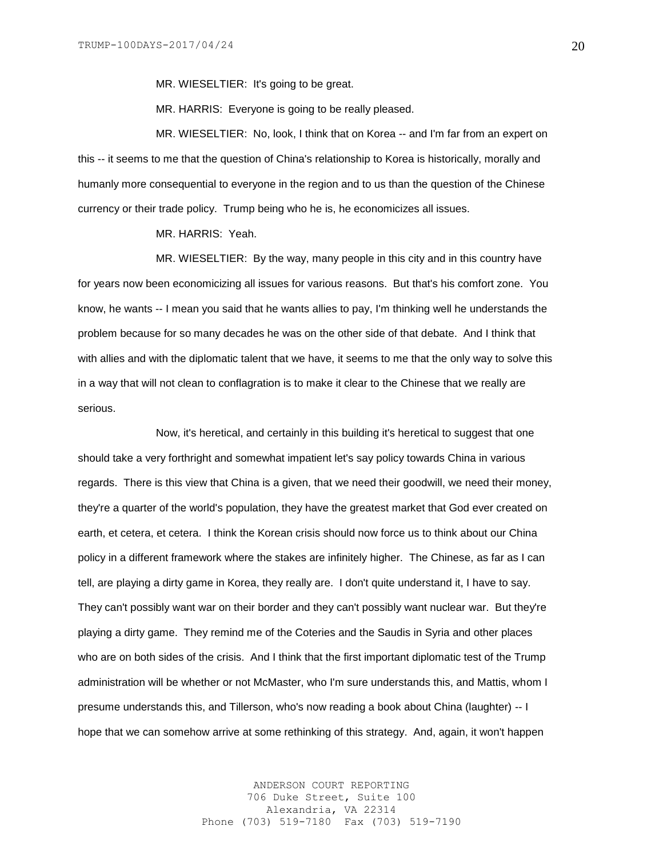MR. WIESELTIER: It's going to be great.

MR. HARRIS: Everyone is going to be really pleased.

MR. WIESELTIER: No, look, I think that on Korea -- and I'm far from an expert on this -- it seems to me that the question of China's relationship to Korea is historically, morally and humanly more consequential to everyone in the region and to us than the question of the Chinese currency or their trade policy. Trump being who he is, he economicizes all issues.

MR. HARRIS: Yeah.

MR. WIESELTIER: By the way, many people in this city and in this country have for years now been economicizing all issues for various reasons. But that's his comfort zone. You know, he wants -- I mean you said that he wants allies to pay, I'm thinking well he understands the problem because for so many decades he was on the other side of that debate. And I think that with allies and with the diplomatic talent that we have, it seems to me that the only way to solve this in a way that will not clean to conflagration is to make it clear to the Chinese that we really are serious.

Now, it's heretical, and certainly in this building it's heretical to suggest that one should take a very forthright and somewhat impatient let's say policy towards China in various regards. There is this view that China is a given, that we need their goodwill, we need their money, they're a quarter of the world's population, they have the greatest market that God ever created on earth, et cetera, et cetera. I think the Korean crisis should now force us to think about our China policy in a different framework where the stakes are infinitely higher. The Chinese, as far as I can tell, are playing a dirty game in Korea, they really are. I don't quite understand it, I have to say. They can't possibly want war on their border and they can't possibly want nuclear war. But they're playing a dirty game. They remind me of the Coteries and the Saudis in Syria and other places who are on both sides of the crisis. And I think that the first important diplomatic test of the Trump administration will be whether or not McMaster, who I'm sure understands this, and Mattis, whom I presume understands this, and Tillerson, who's now reading a book about China (laughter) -- I hope that we can somehow arrive at some rethinking of this strategy. And, again, it won't happen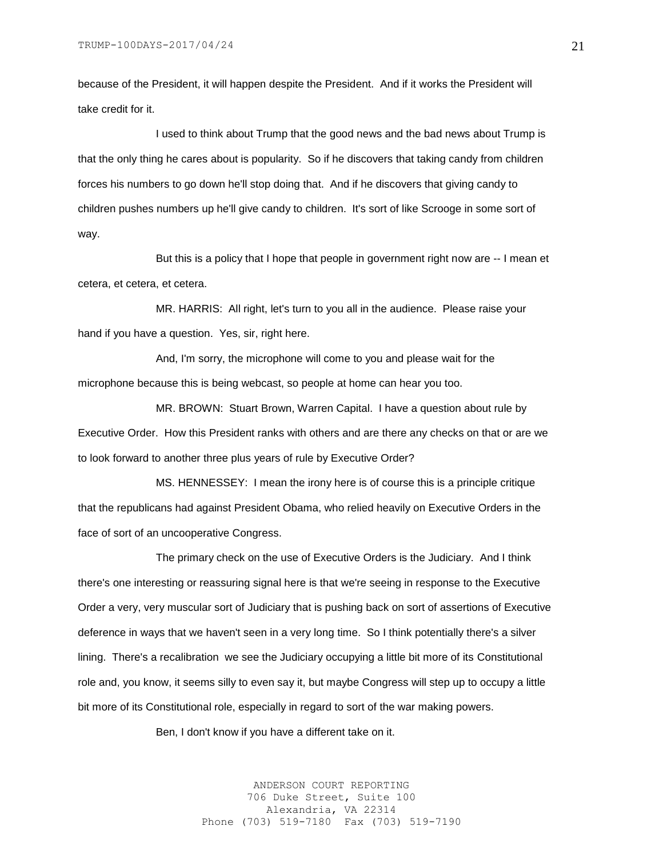because of the President, it will happen despite the President. And if it works the President will take credit for it.

I used to think about Trump that the good news and the bad news about Trump is that the only thing he cares about is popularity. So if he discovers that taking candy from children forces his numbers to go down he'll stop doing that. And if he discovers that giving candy to children pushes numbers up he'll give candy to children. It's sort of like Scrooge in some sort of way.

But this is a policy that I hope that people in government right now are -- I mean et cetera, et cetera, et cetera.

MR. HARRIS: All right, let's turn to you all in the audience. Please raise your hand if you have a question. Yes, sir, right here.

And, I'm sorry, the microphone will come to you and please wait for the microphone because this is being webcast, so people at home can hear you too.

MR. BROWN: Stuart Brown, Warren Capital. I have a question about rule by Executive Order. How this President ranks with others and are there any checks on that or are we to look forward to another three plus years of rule by Executive Order?

MS. HENNESSEY: I mean the irony here is of course this is a principle critique that the republicans had against President Obama, who relied heavily on Executive Orders in the face of sort of an uncooperative Congress.

The primary check on the use of Executive Orders is the Judiciary. And I think there's one interesting or reassuring signal here is that we're seeing in response to the Executive Order a very, very muscular sort of Judiciary that is pushing back on sort of assertions of Executive deference in ways that we haven't seen in a very long time. So I think potentially there's a silver lining. There's a recalibration we see the Judiciary occupying a little bit more of its Constitutional role and, you know, it seems silly to even say it, but maybe Congress will step up to occupy a little bit more of its Constitutional role, especially in regard to sort of the war making powers.

Ben, I don't know if you have a different take on it.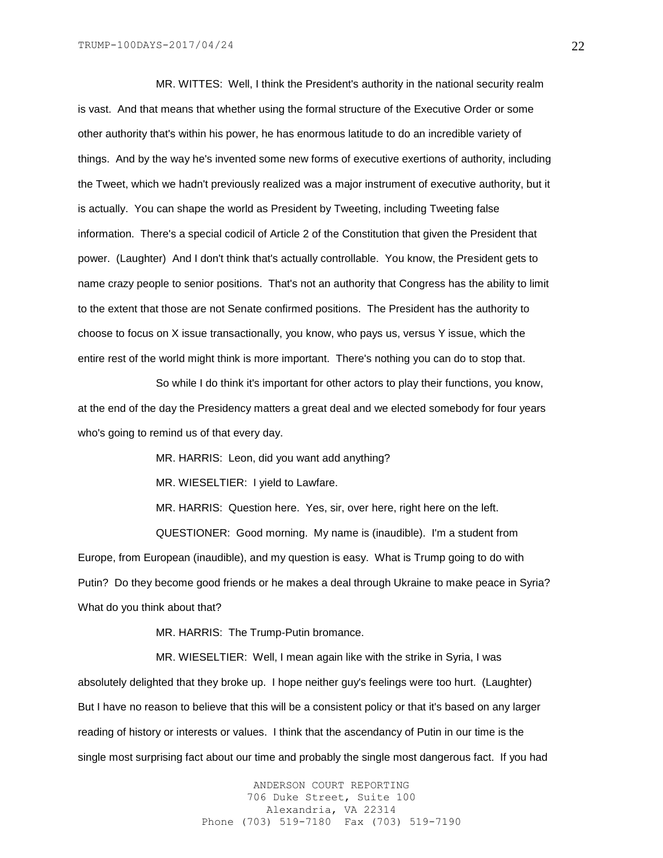MR. WITTES: Well, I think the President's authority in the national security realm is vast. And that means that whether using the formal structure of the Executive Order or some other authority that's within his power, he has enormous latitude to do an incredible variety of things. And by the way he's invented some new forms of executive exertions of authority, including the Tweet, which we hadn't previously realized was a major instrument of executive authority, but it is actually. You can shape the world as President by Tweeting, including Tweeting false information. There's a special codicil of Article 2 of the Constitution that given the President that power. (Laughter) And I don't think that's actually controllable. You know, the President gets to name crazy people to senior positions. That's not an authority that Congress has the ability to limit to the extent that those are not Senate confirmed positions. The President has the authority to choose to focus on X issue transactionally, you know, who pays us, versus Y issue, which the entire rest of the world might think is more important. There's nothing you can do to stop that.

So while I do think it's important for other actors to play their functions, you know, at the end of the day the Presidency matters a great deal and we elected somebody for four years who's going to remind us of that every day.

MR. HARRIS: Leon, did you want add anything?

MR. WIESELTIER: I yield to Lawfare.

MR. HARRIS: Question here. Yes, sir, over here, right here on the left. QUESTIONER: Good morning. My name is (inaudible). I'm a student from Europe, from European (inaudible), and my question is easy. What is Trump going to do with Putin? Do they become good friends or he makes a deal through Ukraine to make peace in Syria?

What do you think about that?

MR. HARRIS: The Trump-Putin bromance.

MR. WIESELTIER: Well, I mean again like with the strike in Syria, I was absolutely delighted that they broke up. I hope neither guy's feelings were too hurt. (Laughter) But I have no reason to believe that this will be a consistent policy or that it's based on any larger reading of history or interests or values. I think that the ascendancy of Putin in our time is the single most surprising fact about our time and probably the single most dangerous fact. If you had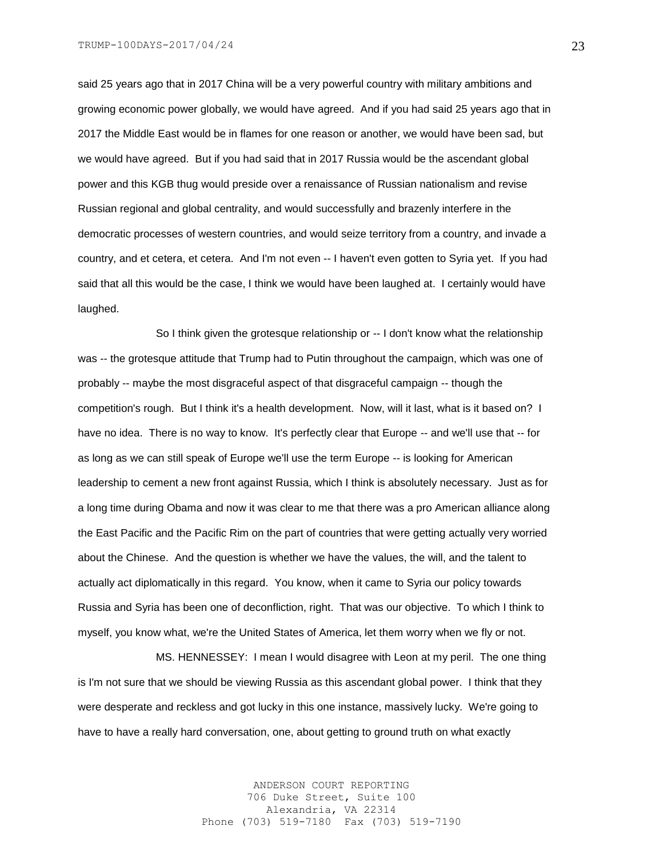said 25 years ago that in 2017 China will be a very powerful country with military ambitions and growing economic power globally, we would have agreed. And if you had said 25 years ago that in 2017 the Middle East would be in flames for one reason or another, we would have been sad, but we would have agreed. But if you had said that in 2017 Russia would be the ascendant global power and this KGB thug would preside over a renaissance of Russian nationalism and revise Russian regional and global centrality, and would successfully and brazenly interfere in the democratic processes of western countries, and would seize territory from a country, and invade a country, and et cetera, et cetera. And I'm not even -- I haven't even gotten to Syria yet. If you had said that all this would be the case, I think we would have been laughed at. I certainly would have laughed.

So I think given the grotesque relationship or -- I don't know what the relationship was -- the grotesque attitude that Trump had to Putin throughout the campaign, which was one of probably -- maybe the most disgraceful aspect of that disgraceful campaign -- though the competition's rough. But I think it's a health development. Now, will it last, what is it based on? I have no idea. There is no way to know. It's perfectly clear that Europe -- and we'll use that -- for as long as we can still speak of Europe we'll use the term Europe -- is looking for American leadership to cement a new front against Russia, which I think is absolutely necessary. Just as for a long time during Obama and now it was clear to me that there was a pro American alliance along the East Pacific and the Pacific Rim on the part of countries that were getting actually very worried about the Chinese. And the question is whether we have the values, the will, and the talent to actually act diplomatically in this regard. You know, when it came to Syria our policy towards Russia and Syria has been one of deconfliction, right. That was our objective. To which I think to myself, you know what, we're the United States of America, let them worry when we fly or not.

MS. HENNESSEY: I mean I would disagree with Leon at my peril. The one thing is I'm not sure that we should be viewing Russia as this ascendant global power. I think that they were desperate and reckless and got lucky in this one instance, massively lucky. We're going to have to have a really hard conversation, one, about getting to ground truth on what exactly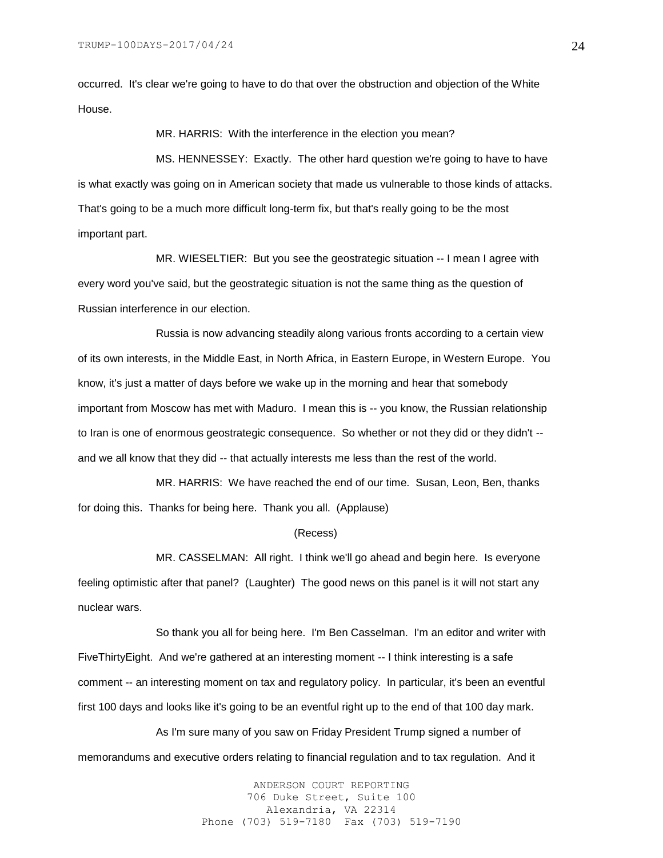occurred. It's clear we're going to have to do that over the obstruction and objection of the White House.

MR. HARRIS: With the interference in the election you mean?

MS. HENNESSEY: Exactly. The other hard question we're going to have to have is what exactly was going on in American society that made us vulnerable to those kinds of attacks. That's going to be a much more difficult long-term fix, but that's really going to be the most important part.

MR. WIESELTIER: But you see the geostrategic situation -- I mean I agree with every word you've said, but the geostrategic situation is not the same thing as the question of Russian interference in our election.

Russia is now advancing steadily along various fronts according to a certain view of its own interests, in the Middle East, in North Africa, in Eastern Europe, in Western Europe. You know, it's just a matter of days before we wake up in the morning and hear that somebody important from Moscow has met with Maduro. I mean this is -- you know, the Russian relationship to Iran is one of enormous geostrategic consequence. So whether or not they did or they didn't - and we all know that they did -- that actually interests me less than the rest of the world.

MR. HARRIS: We have reached the end of our time. Susan, Leon, Ben, thanks for doing this. Thanks for being here. Thank you all. (Applause)

#### (Recess)

MR. CASSELMAN: All right. I think we'll go ahead and begin here. Is everyone feeling optimistic after that panel? (Laughter) The good news on this panel is it will not start any nuclear wars.

So thank you all for being here. I'm Ben Casselman. I'm an editor and writer with FiveThirtyEight. And we're gathered at an interesting moment -- I think interesting is a safe comment -- an interesting moment on tax and regulatory policy. In particular, it's been an eventful first 100 days and looks like it's going to be an eventful right up to the end of that 100 day mark.

As I'm sure many of you saw on Friday President Trump signed a number of memorandums and executive orders relating to financial regulation and to tax regulation. And it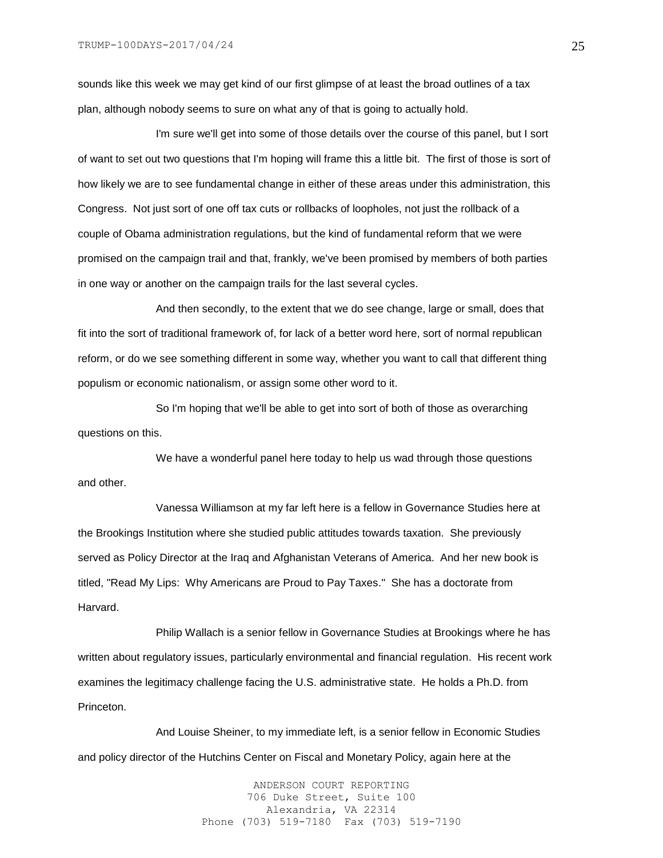sounds like this week we may get kind of our first glimpse of at least the broad outlines of a tax plan, although nobody seems to sure on what any of that is going to actually hold.

I'm sure we'll get into some of those details over the course of this panel, but I sort of want to set out two questions that I'm hoping will frame this a little bit. The first of those is sort of how likely we are to see fundamental change in either of these areas under this administration, this Congress. Not just sort of one off tax cuts or rollbacks of loopholes, not just the rollback of a couple of Obama administration regulations, but the kind of fundamental reform that we were promised on the campaign trail and that, frankly, we've been promised by members of both parties in one way or another on the campaign trails for the last several cycles.

And then secondly, to the extent that we do see change, large or small, does that fit into the sort of traditional framework of, for lack of a better word here, sort of normal republican reform, or do we see something different in some way, whether you want to call that different thing populism or economic nationalism, or assign some other word to it.

So I'm hoping that we'll be able to get into sort of both of those as overarching questions on this.

We have a wonderful panel here today to help us wad through those questions and other.

Vanessa Williamson at my far left here is a fellow in Governance Studies here at the Brookings Institution where she studied public attitudes towards taxation. She previously served as Policy Director at the Iraq and Afghanistan Veterans of America. And her new book is titled, "Read My Lips: Why Americans are Proud to Pay Taxes." She has a doctorate from Harvard.

Philip Wallach is a senior fellow in Governance Studies at Brookings where he has written about regulatory issues, particularly environmental and financial regulation. His recent work examines the legitimacy challenge facing the U.S. administrative state. He holds a Ph.D. from Princeton.

And Louise Sheiner, to my immediate left, is a senior fellow in Economic Studies and policy director of the Hutchins Center on Fiscal and Monetary Policy, again here at the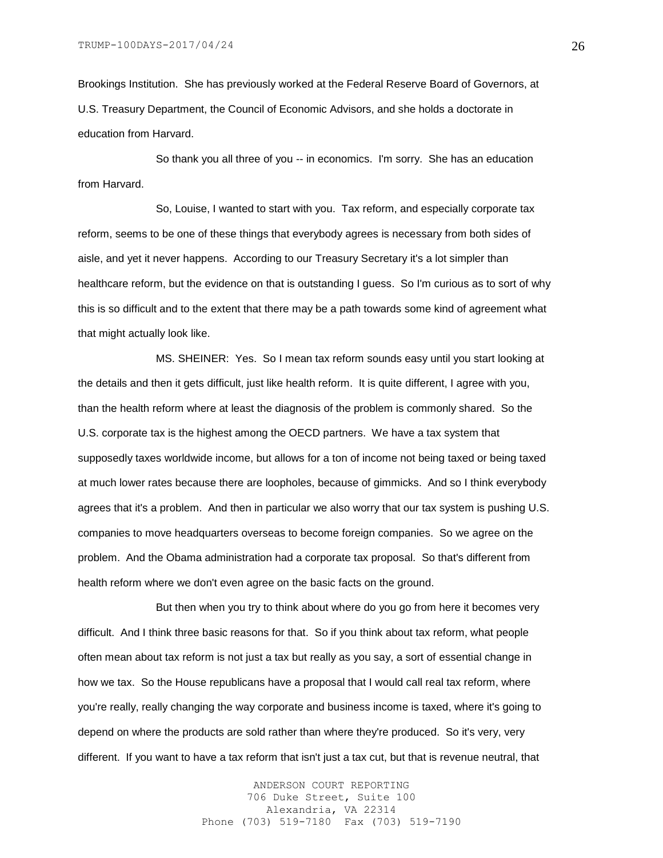Brookings Institution. She has previously worked at the Federal Reserve Board of Governors, at U.S. Treasury Department, the Council of Economic Advisors, and she holds a doctorate in education from Harvard.

So thank you all three of you -- in economics. I'm sorry. She has an education from Harvard.

So, Louise, I wanted to start with you. Tax reform, and especially corporate tax reform, seems to be one of these things that everybody agrees is necessary from both sides of aisle, and yet it never happens. According to our Treasury Secretary it's a lot simpler than healthcare reform, but the evidence on that is outstanding I guess. So I'm curious as to sort of why this is so difficult and to the extent that there may be a path towards some kind of agreement what that might actually look like.

MS. SHEINER: Yes. So I mean tax reform sounds easy until you start looking at the details and then it gets difficult, just like health reform. It is quite different, I agree with you, than the health reform where at least the diagnosis of the problem is commonly shared. So the U.S. corporate tax is the highest among the OECD partners. We have a tax system that supposedly taxes worldwide income, but allows for a ton of income not being taxed or being taxed at much lower rates because there are loopholes, because of gimmicks. And so I think everybody agrees that it's a problem. And then in particular we also worry that our tax system is pushing U.S. companies to move headquarters overseas to become foreign companies. So we agree on the problem. And the Obama administration had a corporate tax proposal. So that's different from health reform where we don't even agree on the basic facts on the ground.

But then when you try to think about where do you go from here it becomes very difficult. And I think three basic reasons for that. So if you think about tax reform, what people often mean about tax reform is not just a tax but really as you say, a sort of essential change in how we tax. So the House republicans have a proposal that I would call real tax reform, where you're really, really changing the way corporate and business income is taxed, where it's going to depend on where the products are sold rather than where they're produced. So it's very, very different. If you want to have a tax reform that isn't just a tax cut, but that is revenue neutral, that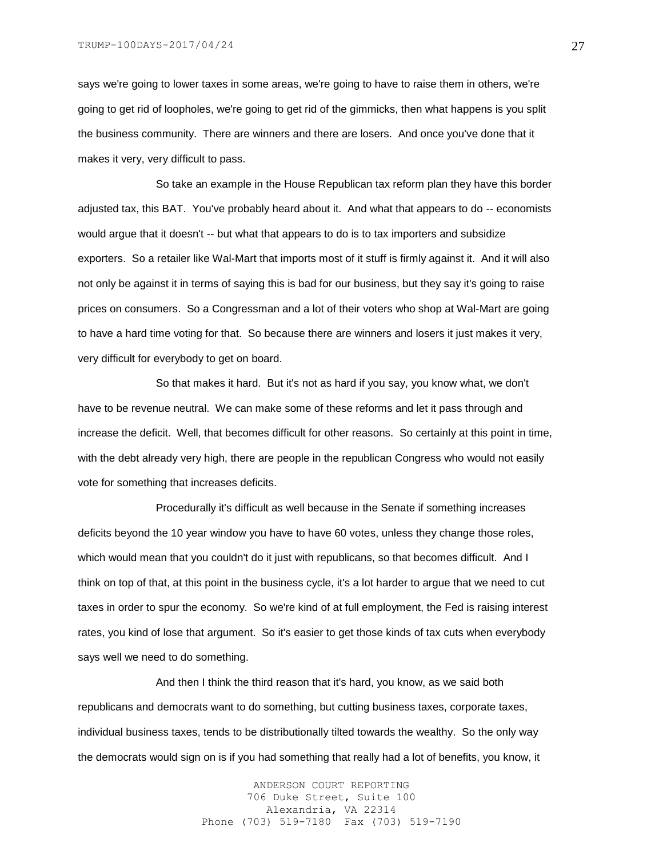says we're going to lower taxes in some areas, we're going to have to raise them in others, we're going to get rid of loopholes, we're going to get rid of the gimmicks, then what happens is you split the business community. There are winners and there are losers. And once you've done that it makes it very, very difficult to pass.

So take an example in the House Republican tax reform plan they have this border adjusted tax, this BAT. You've probably heard about it. And what that appears to do -- economists would argue that it doesn't -- but what that appears to do is to tax importers and subsidize exporters. So a retailer like Wal-Mart that imports most of it stuff is firmly against it. And it will also not only be against it in terms of saying this is bad for our business, but they say it's going to raise prices on consumers. So a Congressman and a lot of their voters who shop at Wal-Mart are going to have a hard time voting for that. So because there are winners and losers it just makes it very, very difficult for everybody to get on board.

So that makes it hard. But it's not as hard if you say, you know what, we don't have to be revenue neutral. We can make some of these reforms and let it pass through and increase the deficit. Well, that becomes difficult for other reasons. So certainly at this point in time, with the debt already very high, there are people in the republican Congress who would not easily vote for something that increases deficits.

Procedurally it's difficult as well because in the Senate if something increases deficits beyond the 10 year window you have to have 60 votes, unless they change those roles, which would mean that you couldn't do it just with republicans, so that becomes difficult. And I think on top of that, at this point in the business cycle, it's a lot harder to argue that we need to cut taxes in order to spur the economy. So we're kind of at full employment, the Fed is raising interest rates, you kind of lose that argument. So it's easier to get those kinds of tax cuts when everybody says well we need to do something.

And then I think the third reason that it's hard, you know, as we said both republicans and democrats want to do something, but cutting business taxes, corporate taxes, individual business taxes, tends to be distributionally tilted towards the wealthy. So the only way the democrats would sign on is if you had something that really had a lot of benefits, you know, it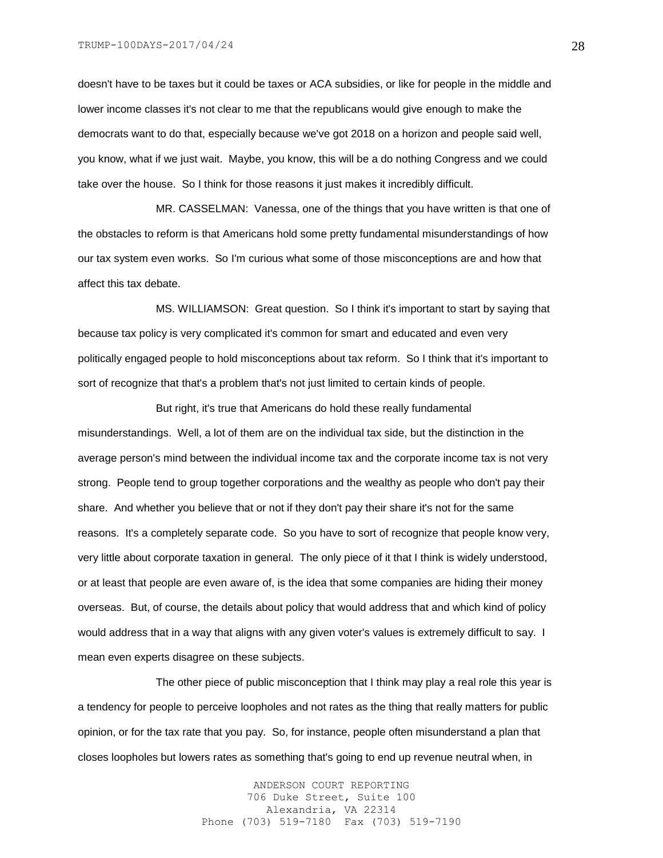doesn't have to be taxes but it could be taxes or ACA subsidies, or like for people in the middle and lower income classes it's not clear to me that the republicans would give enough to make the democrats want to do that, especially because we've got 2018 on a horizon and people said well, you know, what if we just wait. Maybe, you know, this will be a do nothing Congress and we could take over the house. So I think for those reasons it just makes it incredibly difficult.

MR. CASSELMAN: Vanessa, one of the things that you have written is that one of the obstacles to reform is that Americans hold some pretty fundamental misunderstandings of how our tax system even works. So I'm curious what some of those misconceptions are and how that affect this tax debate.

MS. WILLIAMSON: Great question. So I think it's important to start by saying that because tax policy is very complicated it's common for smart and educated and even very politically engaged people to hold misconceptions about tax reform. So I think that it's important to sort of recognize that that's a problem that's not just limited to certain kinds of people.

But right, it's true that Americans do hold these really fundamental misunderstandings. Well, a lot of them are on the individual tax side, but the distinction in the average person's mind between the individual income tax and the corporate income tax is not very strong. People tend to group together corporations and the wealthy as people who don't pay their share. And whether you believe that or not if they don't pay their share it's not for the same reasons. It's a completely separate code. So you have to sort of recognize that people know very, very little about corporate taxation in general. The only piece of it that I think is widely understood, or at least that people are even aware of, is the idea that some companies are hiding their money overseas. But, of course, the details about policy that would address that and which kind of policy would address that in a way that aligns with any given voter's values is extremely difficult to say. I mean even experts disagree on these subjects.

The other piece of public misconception that I think may play a real role this year is a tendency for people to perceive loopholes and not rates as the thing that really matters for public opinion, or for the tax rate that you pay. So, for instance, people often misunderstand a plan that closes loopholes but lowers rates as something that's going to end up revenue neutral when, in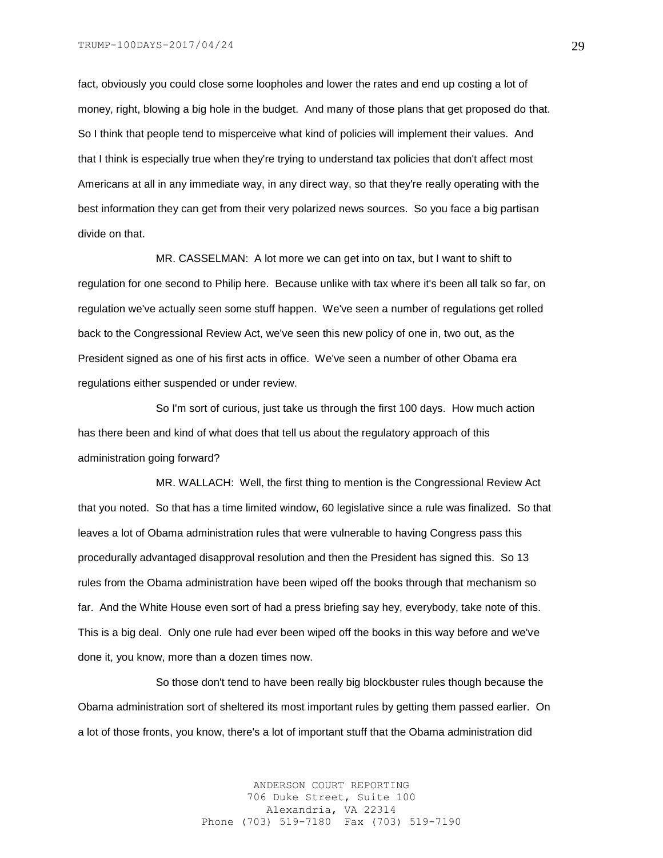fact, obviously you could close some loopholes and lower the rates and end up costing a lot of money, right, blowing a big hole in the budget. And many of those plans that get proposed do that. So I think that people tend to misperceive what kind of policies will implement their values. And that I think is especially true when they're trying to understand tax policies that don't affect most Americans at all in any immediate way, in any direct way, so that they're really operating with the best information they can get from their very polarized news sources. So you face a big partisan divide on that.

MR. CASSELMAN: A lot more we can get into on tax, but I want to shift to regulation for one second to Philip here. Because unlike with tax where it's been all talk so far, on regulation we've actually seen some stuff happen. We've seen a number of regulations get rolled back to the Congressional Review Act, we've seen this new policy of one in, two out, as the President signed as one of his first acts in office. We've seen a number of other Obama era regulations either suspended or under review.

So I'm sort of curious, just take us through the first 100 days. How much action has there been and kind of what does that tell us about the regulatory approach of this administration going forward?

MR. WALLACH: Well, the first thing to mention is the Congressional Review Act that you noted. So that has a time limited window, 60 legislative since a rule was finalized. So that leaves a lot of Obama administration rules that were vulnerable to having Congress pass this procedurally advantaged disapproval resolution and then the President has signed this. So 13 rules from the Obama administration have been wiped off the books through that mechanism so far. And the White House even sort of had a press briefing say hey, everybody, take note of this. This is a big deal. Only one rule had ever been wiped off the books in this way before and we've done it, you know, more than a dozen times now.

So those don't tend to have been really big blockbuster rules though because the Obama administration sort of sheltered its most important rules by getting them passed earlier. On a lot of those fronts, you know, there's a lot of important stuff that the Obama administration did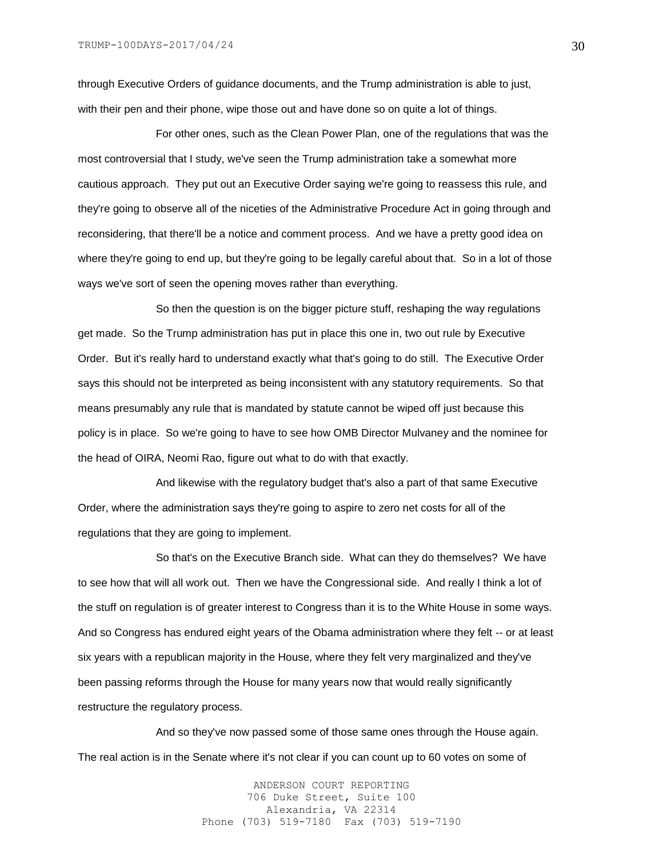through Executive Orders of guidance documents, and the Trump administration is able to just, with their pen and their phone, wipe those out and have done so on quite a lot of things.

For other ones, such as the Clean Power Plan, one of the regulations that was the most controversial that I study, we've seen the Trump administration take a somewhat more cautious approach. They put out an Executive Order saying we're going to reassess this rule, and they're going to observe all of the niceties of the Administrative Procedure Act in going through and reconsidering, that there'll be a notice and comment process. And we have a pretty good idea on where they're going to end up, but they're going to be legally careful about that. So in a lot of those ways we've sort of seen the opening moves rather than everything.

So then the question is on the bigger picture stuff, reshaping the way regulations get made. So the Trump administration has put in place this one in, two out rule by Executive Order. But it's really hard to understand exactly what that's going to do still. The Executive Order says this should not be interpreted as being inconsistent with any statutory requirements. So that means presumably any rule that is mandated by statute cannot be wiped off just because this policy is in place. So we're going to have to see how OMB Director Mulvaney and the nominee for the head of OIRA, Neomi Rao, figure out what to do with that exactly.

And likewise with the regulatory budget that's also a part of that same Executive Order, where the administration says they're going to aspire to zero net costs for all of the regulations that they are going to implement.

So that's on the Executive Branch side. What can they do themselves? We have to see how that will all work out. Then we have the Congressional side. And really I think a lot of the stuff on regulation is of greater interest to Congress than it is to the White House in some ways. And so Congress has endured eight years of the Obama administration where they felt -- or at least six years with a republican majority in the House, where they felt very marginalized and they've been passing reforms through the House for many years now that would really significantly restructure the regulatory process.

And so they've now passed some of those same ones through the House again. The real action is in the Senate where it's not clear if you can count up to 60 votes on some of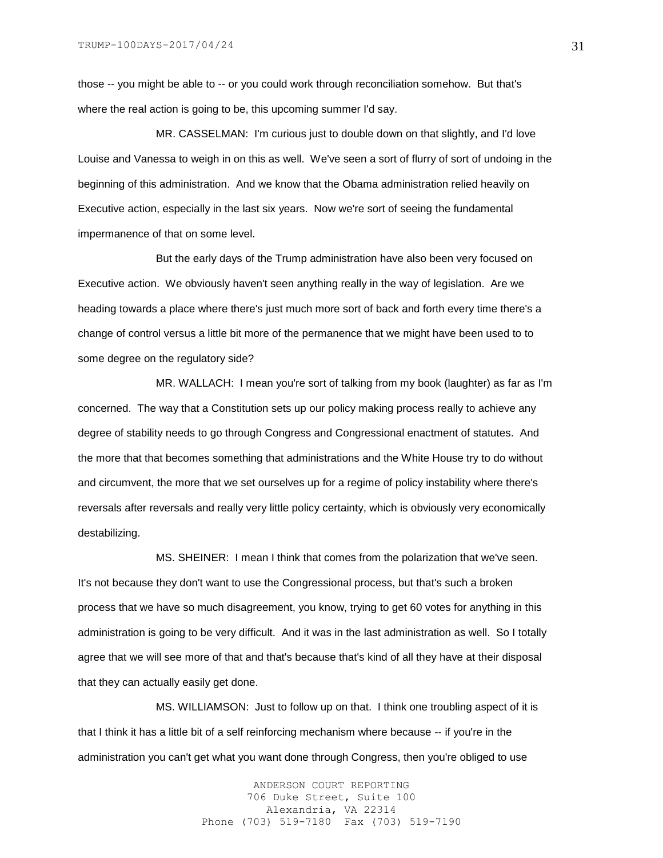those -- you might be able to -- or you could work through reconciliation somehow. But that's where the real action is going to be, this upcoming summer I'd say.

MR. CASSELMAN: I'm curious just to double down on that slightly, and I'd love Louise and Vanessa to weigh in on this as well. We've seen a sort of flurry of sort of undoing in the beginning of this administration. And we know that the Obama administration relied heavily on Executive action, especially in the last six years. Now we're sort of seeing the fundamental impermanence of that on some level.

But the early days of the Trump administration have also been very focused on Executive action. We obviously haven't seen anything really in the way of legislation. Are we heading towards a place where there's just much more sort of back and forth every time there's a change of control versus a little bit more of the permanence that we might have been used to to some degree on the regulatory side?

MR. WALLACH: I mean you're sort of talking from my book (laughter) as far as I'm concerned. The way that a Constitution sets up our policy making process really to achieve any degree of stability needs to go through Congress and Congressional enactment of statutes. And the more that that becomes something that administrations and the White House try to do without and circumvent, the more that we set ourselves up for a regime of policy instability where there's reversals after reversals and really very little policy certainty, which is obviously very economically destabilizing.

MS. SHEINER: I mean I think that comes from the polarization that we've seen. It's not because they don't want to use the Congressional process, but that's such a broken process that we have so much disagreement, you know, trying to get 60 votes for anything in this administration is going to be very difficult. And it was in the last administration as well. So I totally agree that we will see more of that and that's because that's kind of all they have at their disposal that they can actually easily get done.

MS. WILLIAMSON: Just to follow up on that. I think one troubling aspect of it is that I think it has a little bit of a self reinforcing mechanism where because -- if you're in the administration you can't get what you want done through Congress, then you're obliged to use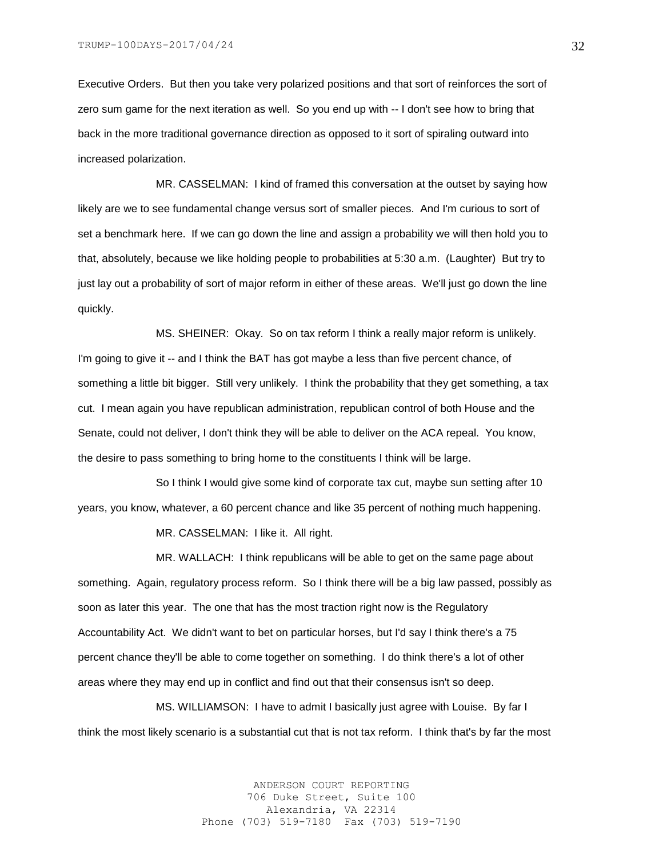Executive Orders. But then you take very polarized positions and that sort of reinforces the sort of zero sum game for the next iteration as well. So you end up with -- I don't see how to bring that back in the more traditional governance direction as opposed to it sort of spiraling outward into increased polarization.

MR. CASSELMAN: I kind of framed this conversation at the outset by saying how likely are we to see fundamental change versus sort of smaller pieces. And I'm curious to sort of set a benchmark here. If we can go down the line and assign a probability we will then hold you to that, absolutely, because we like holding people to probabilities at 5:30 a.m. (Laughter) But try to just lay out a probability of sort of major reform in either of these areas. We'll just go down the line quickly.

MS. SHEINER: Okay. So on tax reform I think a really major reform is unlikely. I'm going to give it -- and I think the BAT has got maybe a less than five percent chance, of something a little bit bigger. Still very unlikely. I think the probability that they get something, a tax cut. I mean again you have republican administration, republican control of both House and the Senate, could not deliver, I don't think they will be able to deliver on the ACA repeal. You know, the desire to pass something to bring home to the constituents I think will be large.

So I think I would give some kind of corporate tax cut, maybe sun setting after 10 years, you know, whatever, a 60 percent chance and like 35 percent of nothing much happening.

MR. CASSELMAN: I like it. All right.

MR. WALLACH: I think republicans will be able to get on the same page about something. Again, regulatory process reform. So I think there will be a big law passed, possibly as soon as later this year. The one that has the most traction right now is the Regulatory Accountability Act. We didn't want to bet on particular horses, but I'd say I think there's a 75 percent chance they'll be able to come together on something. I do think there's a lot of other areas where they may end up in conflict and find out that their consensus isn't so deep.

MS. WILLIAMSON: I have to admit I basically just agree with Louise. By far I think the most likely scenario is a substantial cut that is not tax reform. I think that's by far the most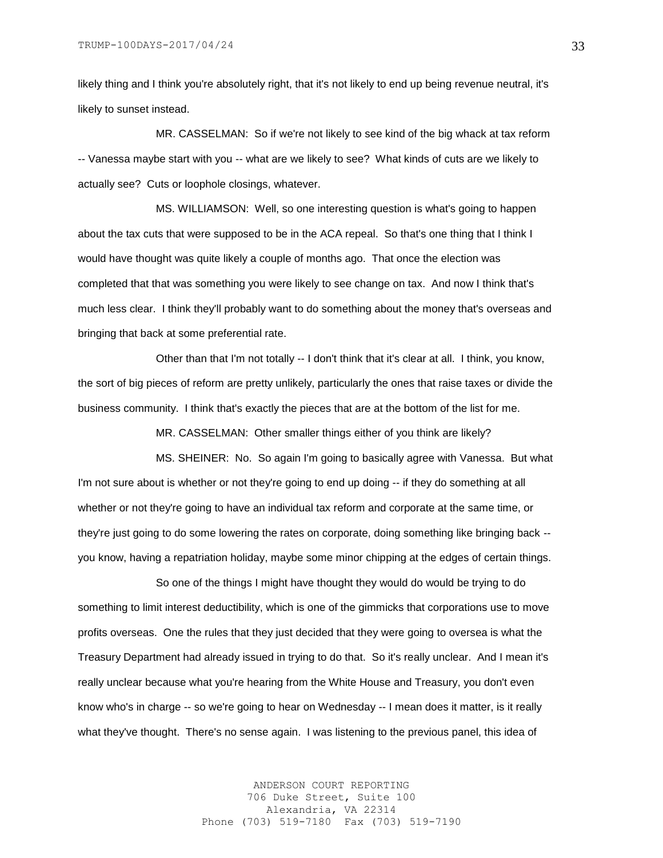likely thing and I think you're absolutely right, that it's not likely to end up being revenue neutral, it's likely to sunset instead.

MR. CASSELMAN: So if we're not likely to see kind of the big whack at tax reform -- Vanessa maybe start with you -- what are we likely to see? What kinds of cuts are we likely to actually see? Cuts or loophole closings, whatever.

MS. WILLIAMSON: Well, so one interesting question is what's going to happen about the tax cuts that were supposed to be in the ACA repeal. So that's one thing that I think I would have thought was quite likely a couple of months ago. That once the election was completed that that was something you were likely to see change on tax. And now I think that's much less clear. I think they'll probably want to do something about the money that's overseas and bringing that back at some preferential rate.

Other than that I'm not totally -- I don't think that it's clear at all. I think, you know, the sort of big pieces of reform are pretty unlikely, particularly the ones that raise taxes or divide the business community. I think that's exactly the pieces that are at the bottom of the list for me.

MR. CASSELMAN: Other smaller things either of you think are likely?

MS. SHEINER: No. So again I'm going to basically agree with Vanessa. But what I'm not sure about is whether or not they're going to end up doing -- if they do something at all whether or not they're going to have an individual tax reform and corporate at the same time, or they're just going to do some lowering the rates on corporate, doing something like bringing back - you know, having a repatriation holiday, maybe some minor chipping at the edges of certain things.

So one of the things I might have thought they would do would be trying to do something to limit interest deductibility, which is one of the gimmicks that corporations use to move profits overseas. One the rules that they just decided that they were going to oversea is what the Treasury Department had already issued in trying to do that. So it's really unclear. And I mean it's really unclear because what you're hearing from the White House and Treasury, you don't even know who's in charge -- so we're going to hear on Wednesday -- I mean does it matter, is it really what they've thought. There's no sense again. I was listening to the previous panel, this idea of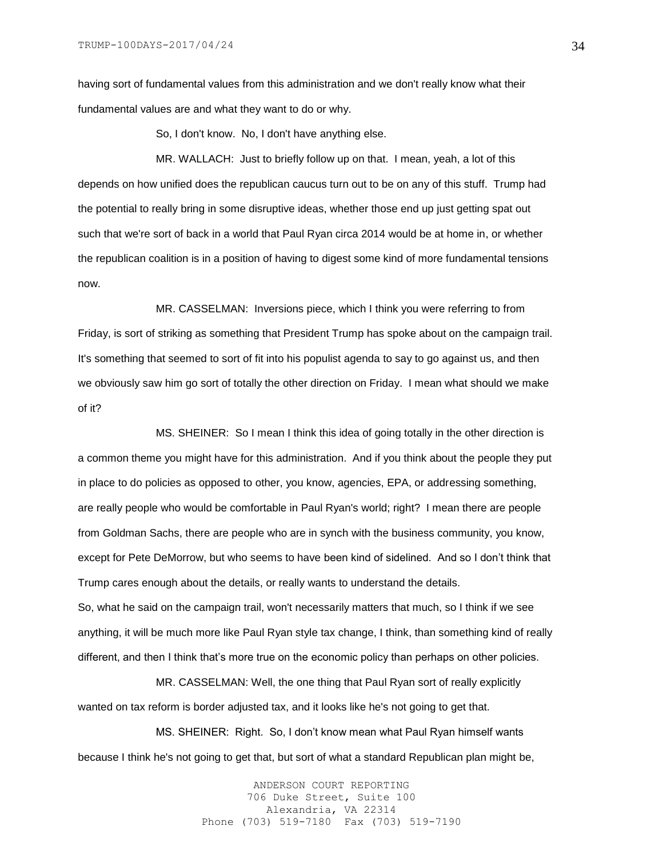having sort of fundamental values from this administration and we don't really know what their fundamental values are and what they want to do or why.

So, I don't know. No, I don't have anything else.

MR. WALLACH: Just to briefly follow up on that. I mean, yeah, a lot of this depends on how unified does the republican caucus turn out to be on any of this stuff. Trump had the potential to really bring in some disruptive ideas, whether those end up just getting spat out such that we're sort of back in a world that Paul Ryan circa 2014 would be at home in, or whether the republican coalition is in a position of having to digest some kind of more fundamental tensions now.

MR. CASSELMAN: Inversions piece, which I think you were referring to from Friday, is sort of striking as something that President Trump has spoke about on the campaign trail. It's something that seemed to sort of fit into his populist agenda to say to go against us, and then we obviously saw him go sort of totally the other direction on Friday. I mean what should we make of it?

MS. SHEINER: So I mean I think this idea of going totally in the other direction is a common theme you might have for this administration. And if you think about the people they put in place to do policies as opposed to other, you know, agencies, EPA, or addressing something, are really people who would be comfortable in Paul Ryan's world; right? I mean there are people from Goldman Sachs, there are people who are in synch with the business community, you know, except for Pete DeMorrow, but who seems to have been kind of sidelined. And so I don't think that Trump cares enough about the details, or really wants to understand the details. So, what he said on the campaign trail, won't necessarily matters that much, so I think if we see anything, it will be much more like Paul Ryan style tax change, I think, than something kind of really different, and then I think that's more true on the economic policy than perhaps on other policies.

MR. CASSELMAN: Well, the one thing that Paul Ryan sort of really explicitly wanted on tax reform is border adjusted tax, and it looks like he's not going to get that.

MS. SHEINER: Right. So, I don't know mean what Paul Ryan himself wants because I think he's not going to get that, but sort of what a standard Republican plan might be,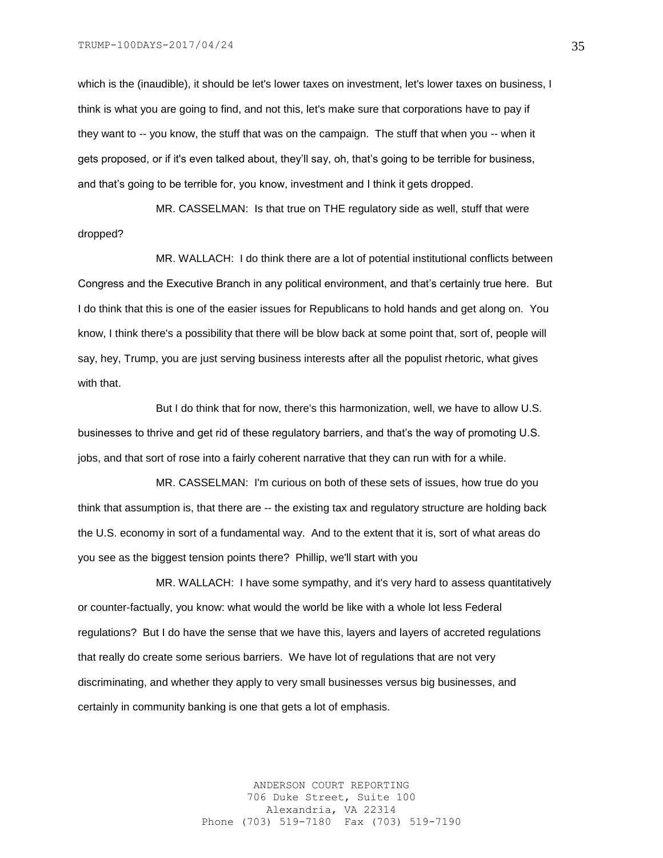which is the (inaudible), it should be let's lower taxes on investment, let's lower taxes on business, I think is what you are going to find, and not this, let's make sure that corporations have to pay if they want to -- you know, the stuff that was on the campaign. The stuff that when you -- when it gets proposed, or if it's even talked about, they'll say, oh, that's going to be terrible for business, and that's going to be terrible for, you know, investment and I think it gets dropped.

MR. CASSELMAN: Is that true on THE regulatory side as well, stuff that were dropped?

MR. WALLACH: I do think there are a lot of potential institutional conflicts between Congress and the Executive Branch in any political environment, and that's certainly true here. But I do think that this is one of the easier issues for Republicans to hold hands and get along on. You know, I think there's a possibility that there will be blow back at some point that, sort of, people will say, hey, Trump, you are just serving business interests after all the populist rhetoric, what gives with that.

But I do think that for now, there's this harmonization, well, we have to allow U.S. businesses to thrive and get rid of these regulatory barriers, and that's the way of promoting U.S. jobs, and that sort of rose into a fairly coherent narrative that they can run with for a while.

MR. CASSELMAN: I'm curious on both of these sets of issues, how true do you think that assumption is, that there are -- the existing tax and regulatory structure are holding back the U.S. economy in sort of a fundamental way. And to the extent that it is, sort of what areas do you see as the biggest tension points there? Phillip, we'll start with you

MR. WALLACH: I have some sympathy, and it's very hard to assess quantitatively or counter-factually, you know: what would the world be like with a whole lot less Federal regulations? But I do have the sense that we have this, layers and layers of accreted regulations that really do create some serious barriers. We have lot of regulations that are not very discriminating, and whether they apply to very small businesses versus big businesses, and certainly in community banking is one that gets a lot of emphasis.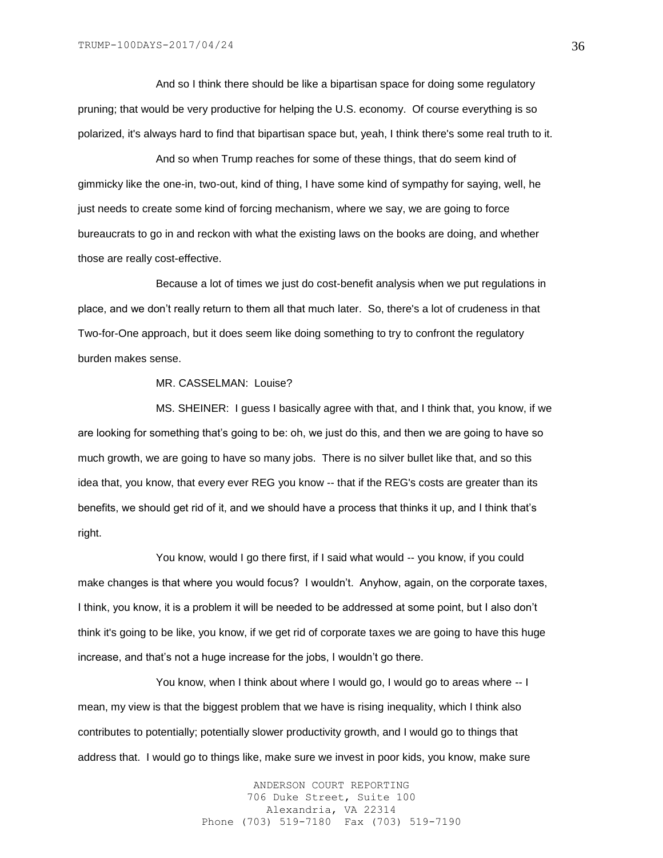And so I think there should be like a bipartisan space for doing some regulatory pruning; that would be very productive for helping the U.S. economy. Of course everything is so polarized, it's always hard to find that bipartisan space but, yeah, I think there's some real truth to it.

And so when Trump reaches for some of these things, that do seem kind of gimmicky like the one-in, two-out, kind of thing, I have some kind of sympathy for saying, well, he just needs to create some kind of forcing mechanism, where we say, we are going to force bureaucrats to go in and reckon with what the existing laws on the books are doing, and whether those are really cost-effective.

Because a lot of times we just do cost-benefit analysis when we put regulations in place, and we don't really return to them all that much later. So, there's a lot of crudeness in that Two-for-One approach, but it does seem like doing something to try to confront the regulatory burden makes sense.

# MR. CASSELMAN: Louise?

MS. SHEINER: I guess I basically agree with that, and I think that, you know, if we are looking for something that's going to be: oh, we just do this, and then we are going to have so much growth, we are going to have so many jobs. There is no silver bullet like that, and so this idea that, you know, that every ever REG you know -- that if the REG's costs are greater than its benefits, we should get rid of it, and we should have a process that thinks it up, and I think that's right.

You know, would I go there first, if I said what would -- you know, if you could make changes is that where you would focus? I wouldn't. Anyhow, again, on the corporate taxes, I think, you know, it is a problem it will be needed to be addressed at some point, but I also don't think it's going to be like, you know, if we get rid of corporate taxes we are going to have this huge increase, and that's not a huge increase for the jobs, I wouldn't go there.

You know, when I think about where I would go, I would go to areas where -- I mean, my view is that the biggest problem that we have is rising inequality, which I think also contributes to potentially; potentially slower productivity growth, and I would go to things that address that. I would go to things like, make sure we invest in poor kids, you know, make sure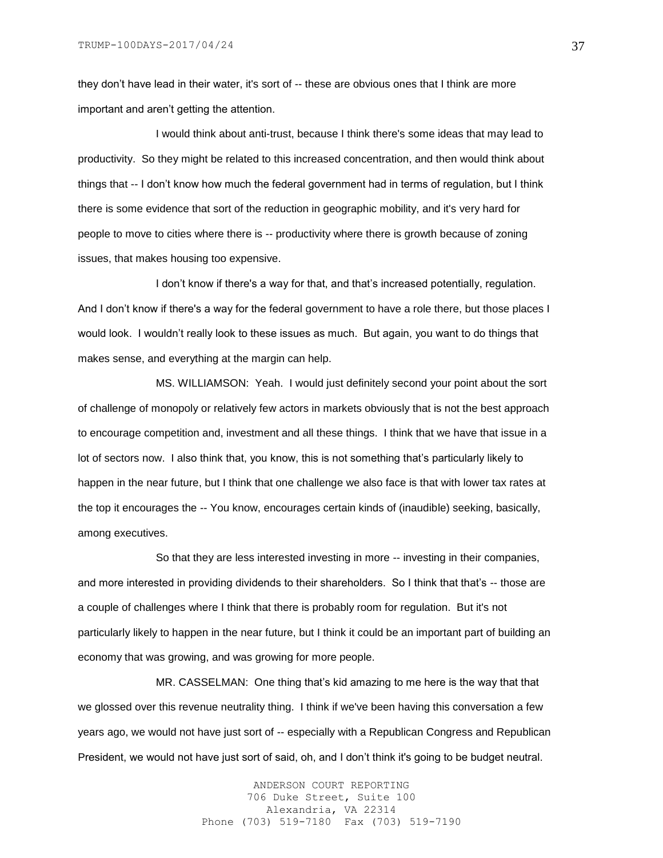they don't have lead in their water, it's sort of -- these are obvious ones that I think are more important and aren't getting the attention.

I would think about anti-trust, because I think there's some ideas that may lead to productivity. So they might be related to this increased concentration, and then would think about things that -- I don't know how much the federal government had in terms of regulation, but I think there is some evidence that sort of the reduction in geographic mobility, and it's very hard for people to move to cities where there is -- productivity where there is growth because of zoning issues, that makes housing too expensive.

I don't know if there's a way for that, and that's increased potentially, regulation. And I don't know if there's a way for the federal government to have a role there, but those places I would look. I wouldn't really look to these issues as much. But again, you want to do things that makes sense, and everything at the margin can help.

MS. WILLIAMSON: Yeah. I would just definitely second your point about the sort of challenge of monopoly or relatively few actors in markets obviously that is not the best approach to encourage competition and, investment and all these things. I think that we have that issue in a lot of sectors now. I also think that, you know, this is not something that's particularly likely to happen in the near future, but I think that one challenge we also face is that with lower tax rates at the top it encourages the -- You know, encourages certain kinds of (inaudible) seeking, basically, among executives.

So that they are less interested investing in more -- investing in their companies, and more interested in providing dividends to their shareholders. So I think that that's -- those are a couple of challenges where I think that there is probably room for regulation. But it's not particularly likely to happen in the near future, but I think it could be an important part of building an economy that was growing, and was growing for more people.

MR. CASSELMAN: One thing that's kid amazing to me here is the way that that we glossed over this revenue neutrality thing. I think if we've been having this conversation a few years ago, we would not have just sort of -- especially with a Republican Congress and Republican President, we would not have just sort of said, oh, and I don't think it's going to be budget neutral.

> ANDERSON COURT REPORTING 706 Duke Street, Suite 100 Alexandria, VA 22314 Phone (703) 519-7180 Fax (703) 519-7190

37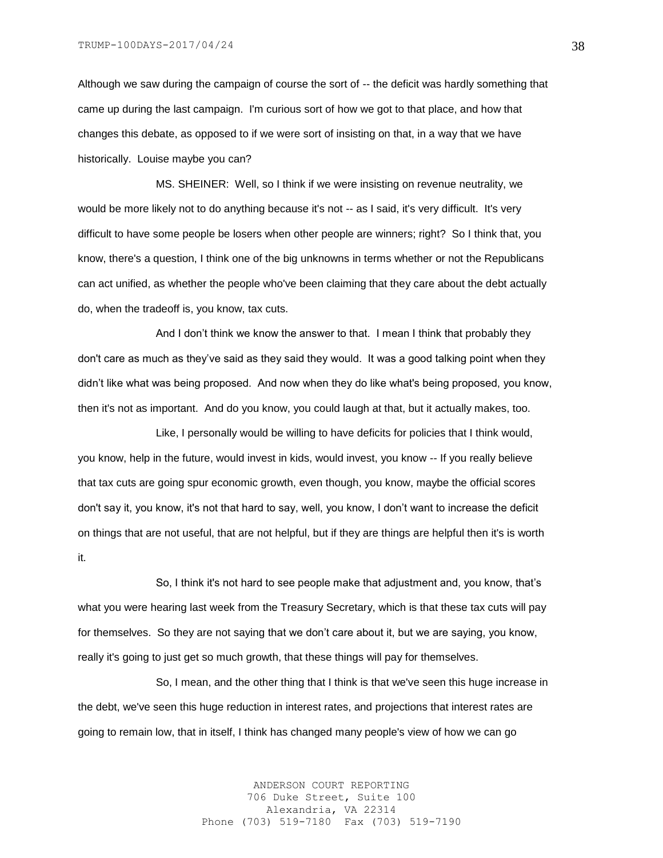Although we saw during the campaign of course the sort of -- the deficit was hardly something that came up during the last campaign. I'm curious sort of how we got to that place, and how that changes this debate, as opposed to if we were sort of insisting on that, in a way that we have historically. Louise maybe you can?

MS. SHEINER: Well, so I think if we were insisting on revenue neutrality, we would be more likely not to do anything because it's not -- as I said, it's very difficult. It's very difficult to have some people be losers when other people are winners; right? So I think that, you know, there's a question, I think one of the big unknowns in terms whether or not the Republicans can act unified, as whether the people who've been claiming that they care about the debt actually do, when the tradeoff is, you know, tax cuts.

And I don't think we know the answer to that. I mean I think that probably they don't care as much as they've said as they said they would. It was a good talking point when they didn't like what was being proposed. And now when they do like what's being proposed, you know, then it's not as important. And do you know, you could laugh at that, but it actually makes, too.

Like, I personally would be willing to have deficits for policies that I think would, you know, help in the future, would invest in kids, would invest, you know -- If you really believe that tax cuts are going spur economic growth, even though, you know, maybe the official scores don't say it, you know, it's not that hard to say, well, you know, I don't want to increase the deficit on things that are not useful, that are not helpful, but if they are things are helpful then it's is worth it.

So, I think it's not hard to see people make that adjustment and, you know, that's what you were hearing last week from the Treasury Secretary, which is that these tax cuts will pay for themselves. So they are not saying that we don't care about it, but we are saying, you know, really it's going to just get so much growth, that these things will pay for themselves.

So, I mean, and the other thing that I think is that we've seen this huge increase in the debt, we've seen this huge reduction in interest rates, and projections that interest rates are going to remain low, that in itself, I think has changed many people's view of how we can go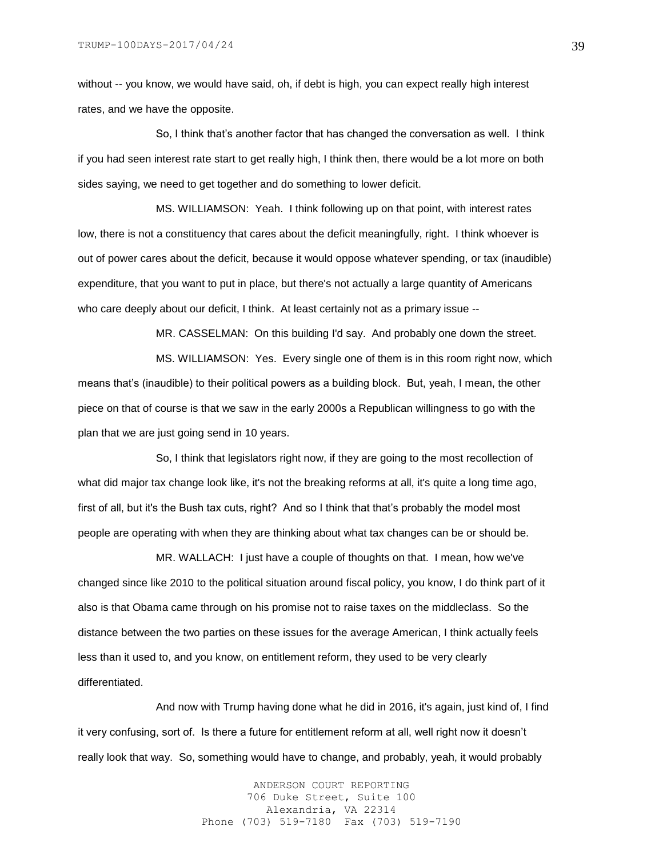without -- you know, we would have said, oh, if debt is high, you can expect really high interest rates, and we have the opposite.

So, I think that's another factor that has changed the conversation as well. I think if you had seen interest rate start to get really high, I think then, there would be a lot more on both sides saying, we need to get together and do something to lower deficit.

MS. WILLIAMSON: Yeah. I think following up on that point, with interest rates low, there is not a constituency that cares about the deficit meaningfully, right. I think whoever is out of power cares about the deficit, because it would oppose whatever spending, or tax (inaudible) expenditure, that you want to put in place, but there's not actually a large quantity of Americans who care deeply about our deficit, I think. At least certainly not as a primary issue --

MR. CASSELMAN: On this building I'd say. And probably one down the street.

MS. WILLIAMSON: Yes. Every single one of them is in this room right now, which means that's (inaudible) to their political powers as a building block. But, yeah, I mean, the other piece on that of course is that we saw in the early 2000s a Republican willingness to go with the plan that we are just going send in 10 years.

So, I think that legislators right now, if they are going to the most recollection of what did major tax change look like, it's not the breaking reforms at all, it's quite a long time ago, first of all, but it's the Bush tax cuts, right? And so I think that that's probably the model most people are operating with when they are thinking about what tax changes can be or should be.

MR. WALLACH: I just have a couple of thoughts on that. I mean, how we've changed since like 2010 to the political situation around fiscal policy, you know, I do think part of it also is that Obama came through on his promise not to raise taxes on the middleclass. So the distance between the two parties on these issues for the average American, I think actually feels less than it used to, and you know, on entitlement reform, they used to be very clearly differentiated.

And now with Trump having done what he did in 2016, it's again, just kind of, I find it very confusing, sort of. Is there a future for entitlement reform at all, well right now it doesn't really look that way. So, something would have to change, and probably, yeah, it would probably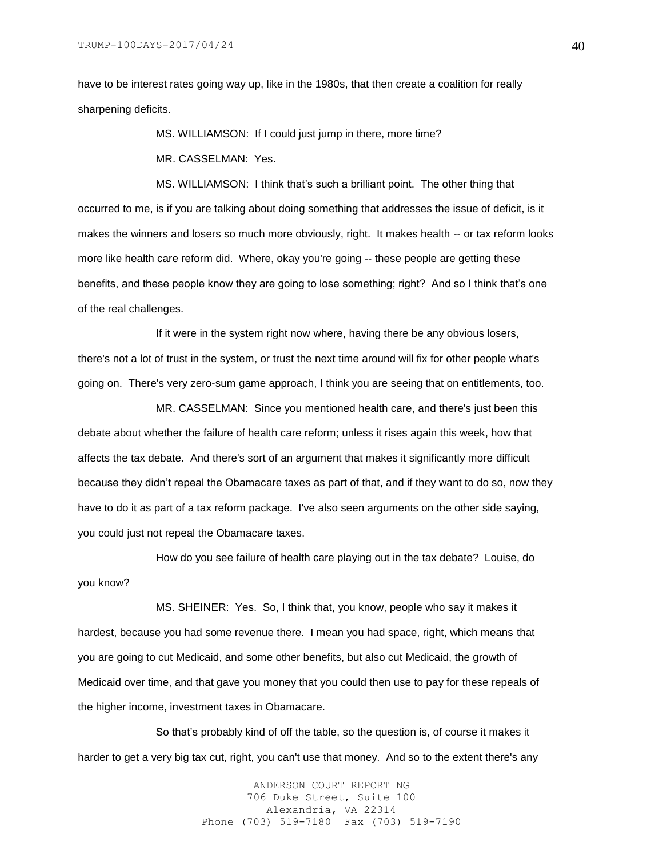have to be interest rates going way up, like in the 1980s, that then create a coalition for really sharpening deficits.

MS. WILLIAMSON: If I could just jump in there, more time?

MR. CASSELMAN: Yes.

MS. WILLIAMSON: I think that's such a brilliant point. The other thing that occurred to me, is if you are talking about doing something that addresses the issue of deficit, is it makes the winners and losers so much more obviously, right. It makes health -- or tax reform looks more like health care reform did. Where, okay you're going -- these people are getting these benefits, and these people know they are going to lose something; right? And so I think that's one of the real challenges.

If it were in the system right now where, having there be any obvious losers, there's not a lot of trust in the system, or trust the next time around will fix for other people what's going on. There's very zero-sum game approach, I think you are seeing that on entitlements, too.

MR. CASSELMAN: Since you mentioned health care, and there's just been this debate about whether the failure of health care reform; unless it rises again this week, how that affects the tax debate. And there's sort of an argument that makes it significantly more difficult because they didn't repeal the Obamacare taxes as part of that, and if they want to do so, now they have to do it as part of a tax reform package. I've also seen arguments on the other side saying, you could just not repeal the Obamacare taxes.

How do you see failure of health care playing out in the tax debate? Louise, do you know?

MS. SHEINER: Yes. So, I think that, you know, people who say it makes it hardest, because you had some revenue there. I mean you had space, right, which means that you are going to cut Medicaid, and some other benefits, but also cut Medicaid, the growth of Medicaid over time, and that gave you money that you could then use to pay for these repeals of the higher income, investment taxes in Obamacare.

So that's probably kind of off the table, so the question is, of course it makes it harder to get a very big tax cut, right, you can't use that money. And so to the extent there's any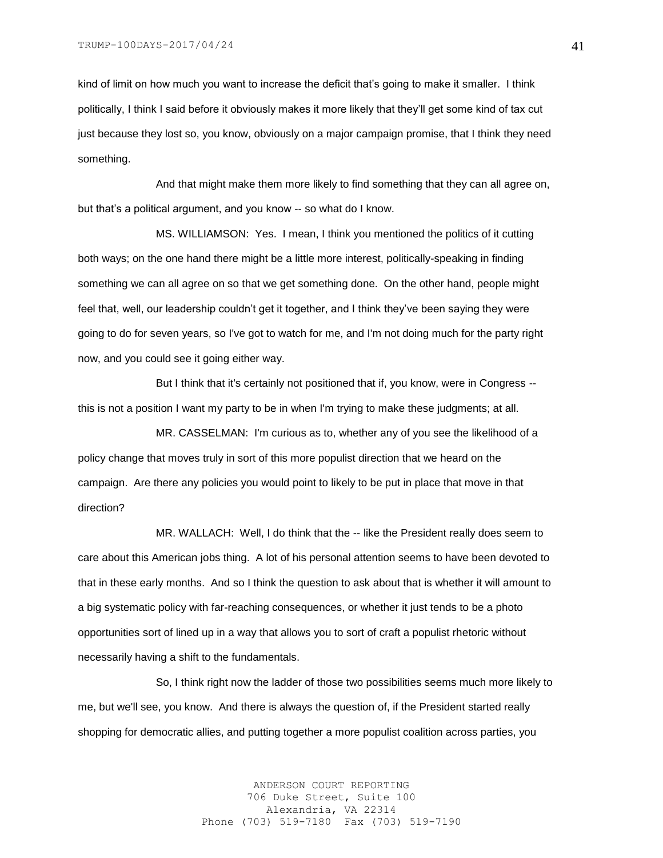kind of limit on how much you want to increase the deficit that's going to make it smaller. I think politically, I think I said before it obviously makes it more likely that they'll get some kind of tax cut just because they lost so, you know, obviously on a major campaign promise, that I think they need something.

And that might make them more likely to find something that they can all agree on, but that's a political argument, and you know -- so what do I know.

MS. WILLIAMSON: Yes. I mean, I think you mentioned the politics of it cutting both ways; on the one hand there might be a little more interest, politically-speaking in finding something we can all agree on so that we get something done. On the other hand, people might feel that, well, our leadership couldn't get it together, and I think they've been saying they were going to do for seven years, so I've got to watch for me, and I'm not doing much for the party right now, and you could see it going either way.

But I think that it's certainly not positioned that if, you know, were in Congress - this is not a position I want my party to be in when I'm trying to make these judgments; at all.

MR. CASSELMAN: I'm curious as to, whether any of you see the likelihood of a policy change that moves truly in sort of this more populist direction that we heard on the campaign. Are there any policies you would point to likely to be put in place that move in that direction?

MR. WALLACH: Well, I do think that the -- like the President really does seem to care about this American jobs thing. A lot of his personal attention seems to have been devoted to that in these early months. And so I think the question to ask about that is whether it will amount to a big systematic policy with far-reaching consequences, or whether it just tends to be a photo opportunities sort of lined up in a way that allows you to sort of craft a populist rhetoric without necessarily having a shift to the fundamentals.

So, I think right now the ladder of those two possibilities seems much more likely to me, but we'll see, you know. And there is always the question of, if the President started really shopping for democratic allies, and putting together a more populist coalition across parties, you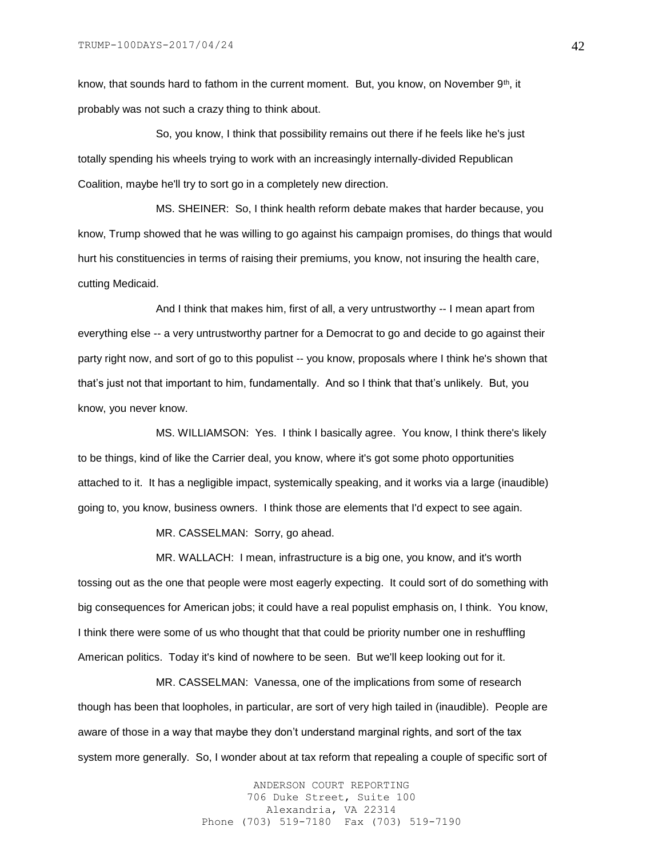know, that sounds hard to fathom in the current moment. But, you know, on November  $9<sup>th</sup>$ , it probably was not such a crazy thing to think about.

So, you know, I think that possibility remains out there if he feels like he's just totally spending his wheels trying to work with an increasingly internally-divided Republican Coalition, maybe he'll try to sort go in a completely new direction.

MS. SHEINER: So, I think health reform debate makes that harder because, you know, Trump showed that he was willing to go against his campaign promises, do things that would hurt his constituencies in terms of raising their premiums, you know, not insuring the health care, cutting Medicaid.

And I think that makes him, first of all, a very untrustworthy -- I mean apart from everything else -- a very untrustworthy partner for a Democrat to go and decide to go against their party right now, and sort of go to this populist -- you know, proposals where I think he's shown that that's just not that important to him, fundamentally. And so I think that that's unlikely. But, you know, you never know.

MS. WILLIAMSON: Yes. I think I basically agree. You know, I think there's likely to be things, kind of like the Carrier deal, you know, where it's got some photo opportunities attached to it. It has a negligible impact, systemically speaking, and it works via a large (inaudible) going to, you know, business owners. I think those are elements that I'd expect to see again.

MR. CASSELMAN: Sorry, go ahead.

MR. WALLACH: I mean, infrastructure is a big one, you know, and it's worth tossing out as the one that people were most eagerly expecting. It could sort of do something with big consequences for American jobs; it could have a real populist emphasis on, I think. You know, I think there were some of us who thought that that could be priority number one in reshuffling American politics. Today it's kind of nowhere to be seen. But we'll keep looking out for it.

MR. CASSELMAN: Vanessa, one of the implications from some of research though has been that loopholes, in particular, are sort of very high tailed in (inaudible). People are aware of those in a way that maybe they don't understand marginal rights, and sort of the tax system more generally. So, I wonder about at tax reform that repealing a couple of specific sort of

> ANDERSON COURT REPORTING 706 Duke Street, Suite 100 Alexandria, VA 22314 Phone (703) 519-7180 Fax (703) 519-7190

42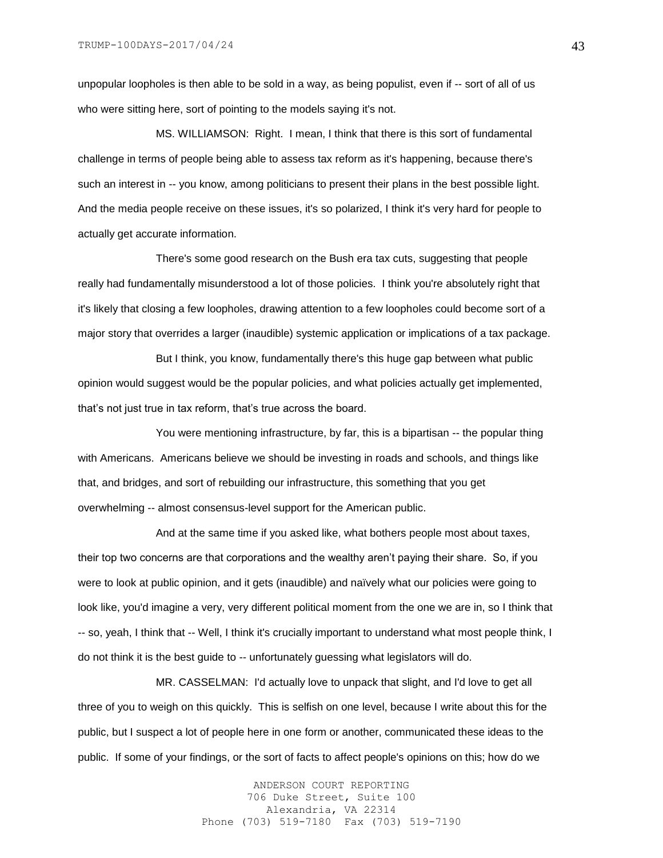unpopular loopholes is then able to be sold in a way, as being populist, even if -- sort of all of us who were sitting here, sort of pointing to the models saying it's not.

MS. WILLIAMSON: Right. I mean, I think that there is this sort of fundamental challenge in terms of people being able to assess tax reform as it's happening, because there's such an interest in -- you know, among politicians to present their plans in the best possible light. And the media people receive on these issues, it's so polarized, I think it's very hard for people to actually get accurate information.

There's some good research on the Bush era tax cuts, suggesting that people really had fundamentally misunderstood a lot of those policies. I think you're absolutely right that it's likely that closing a few loopholes, drawing attention to a few loopholes could become sort of a major story that overrides a larger (inaudible) systemic application or implications of a tax package.

But I think, you know, fundamentally there's this huge gap between what public opinion would suggest would be the popular policies, and what policies actually get implemented, that's not just true in tax reform, that's true across the board.

You were mentioning infrastructure, by far, this is a bipartisan -- the popular thing with Americans. Americans believe we should be investing in roads and schools, and things like that, and bridges, and sort of rebuilding our infrastructure, this something that you get overwhelming -- almost consensus-level support for the American public.

And at the same time if you asked like, what bothers people most about taxes, their top two concerns are that corporations and the wealthy aren't paying their share. So, if you were to look at public opinion, and it gets (inaudible) and naïvely what our policies were going to look like, you'd imagine a very, very different political moment from the one we are in, so I think that -- so, yeah, I think that -- Well, I think it's crucially important to understand what most people think, I do not think it is the best guide to -- unfortunately guessing what legislators will do.

MR. CASSELMAN: I'd actually love to unpack that slight, and I'd love to get all three of you to weigh on this quickly. This is selfish on one level, because I write about this for the public, but I suspect a lot of people here in one form or another, communicated these ideas to the public. If some of your findings, or the sort of facts to affect people's opinions on this; how do we

> ANDERSON COURT REPORTING 706 Duke Street, Suite 100 Alexandria, VA 22314 Phone (703) 519-7180 Fax (703) 519-7190

43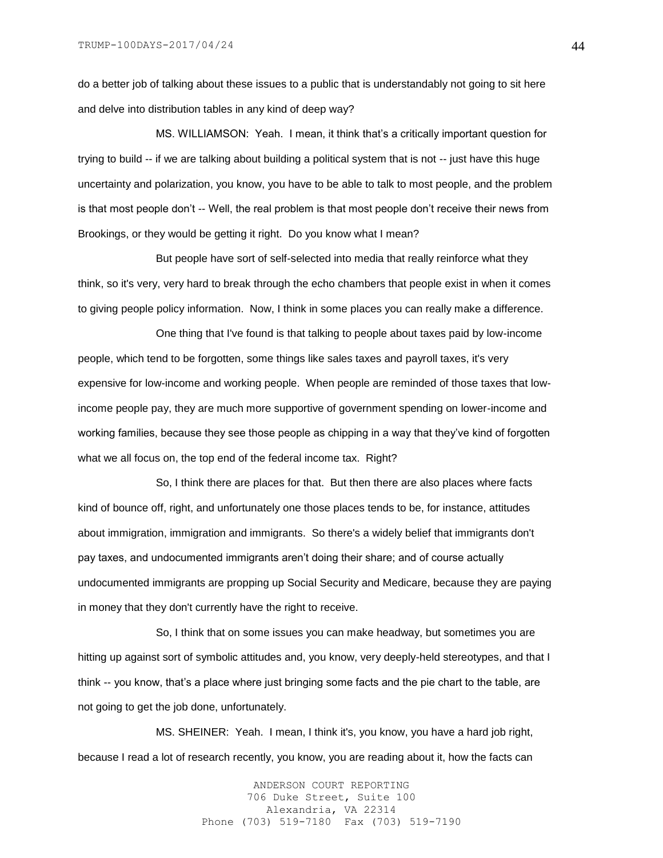do a better job of talking about these issues to a public that is understandably not going to sit here and delve into distribution tables in any kind of deep way?

MS. WILLIAMSON: Yeah. I mean, it think that's a critically important question for trying to build -- if we are talking about building a political system that is not -- just have this huge uncertainty and polarization, you know, you have to be able to talk to most people, and the problem is that most people don't -- Well, the real problem is that most people don't receive their news from Brookings, or they would be getting it right. Do you know what I mean?

But people have sort of self-selected into media that really reinforce what they think, so it's very, very hard to break through the echo chambers that people exist in when it comes to giving people policy information. Now, I think in some places you can really make a difference.

One thing that I've found is that talking to people about taxes paid by low-income people, which tend to be forgotten, some things like sales taxes and payroll taxes, it's very expensive for low-income and working people. When people are reminded of those taxes that lowincome people pay, they are much more supportive of government spending on lower-income and working families, because they see those people as chipping in a way that they've kind of forgotten what we all focus on, the top end of the federal income tax. Right?

So, I think there are places for that. But then there are also places where facts kind of bounce off, right, and unfortunately one those places tends to be, for instance, attitudes about immigration, immigration and immigrants. So there's a widely belief that immigrants don't pay taxes, and undocumented immigrants aren't doing their share; and of course actually undocumented immigrants are propping up Social Security and Medicare, because they are paying in money that they don't currently have the right to receive.

So, I think that on some issues you can make headway, but sometimes you are hitting up against sort of symbolic attitudes and, you know, very deeply-held stereotypes, and that I think -- you know, that's a place where just bringing some facts and the pie chart to the table, are not going to get the job done, unfortunately.

MS. SHEINER: Yeah. I mean, I think it's, you know, you have a hard job right, because I read a lot of research recently, you know, you are reading about it, how the facts can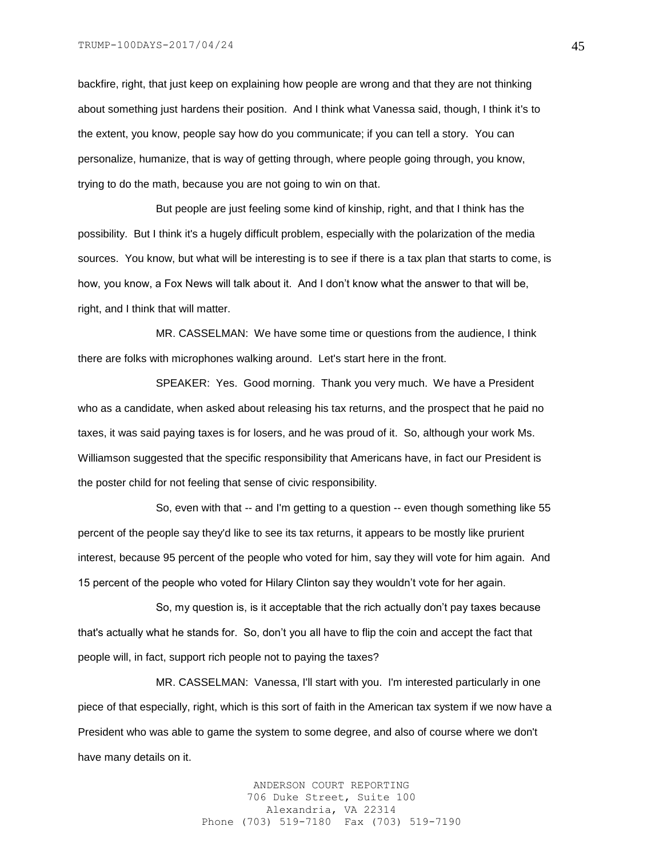backfire, right, that just keep on explaining how people are wrong and that they are not thinking about something just hardens their position. And I think what Vanessa said, though, I think it's to the extent, you know, people say how do you communicate; if you can tell a story. You can personalize, humanize, that is way of getting through, where people going through, you know, trying to do the math, because you are not going to win on that.

But people are just feeling some kind of kinship, right, and that I think has the possibility. But I think it's a hugely difficult problem, especially with the polarization of the media sources. You know, but what will be interesting is to see if there is a tax plan that starts to come, is how, you know, a Fox News will talk about it. And I don't know what the answer to that will be, right, and I think that will matter.

MR. CASSELMAN: We have some time or questions from the audience, I think there are folks with microphones walking around. Let's start here in the front.

SPEAKER: Yes. Good morning. Thank you very much. We have a President who as a candidate, when asked about releasing his tax returns, and the prospect that he paid no taxes, it was said paying taxes is for losers, and he was proud of it. So, although your work Ms. Williamson suggested that the specific responsibility that Americans have, in fact our President is the poster child for not feeling that sense of civic responsibility.

So, even with that -- and I'm getting to a question -- even though something like 55 percent of the people say they'd like to see its tax returns, it appears to be mostly like prurient interest, because 95 percent of the people who voted for him, say they will vote for him again. And 15 percent of the people who voted for Hilary Clinton say they wouldn't vote for her again.

So, my question is, is it acceptable that the rich actually don't pay taxes because that's actually what he stands for. So, don't you all have to flip the coin and accept the fact that people will, in fact, support rich people not to paying the taxes?

MR. CASSELMAN: Vanessa, I'll start with you. I'm interested particularly in one piece of that especially, right, which is this sort of faith in the American tax system if we now have a President who was able to game the system to some degree, and also of course where we don't have many details on it.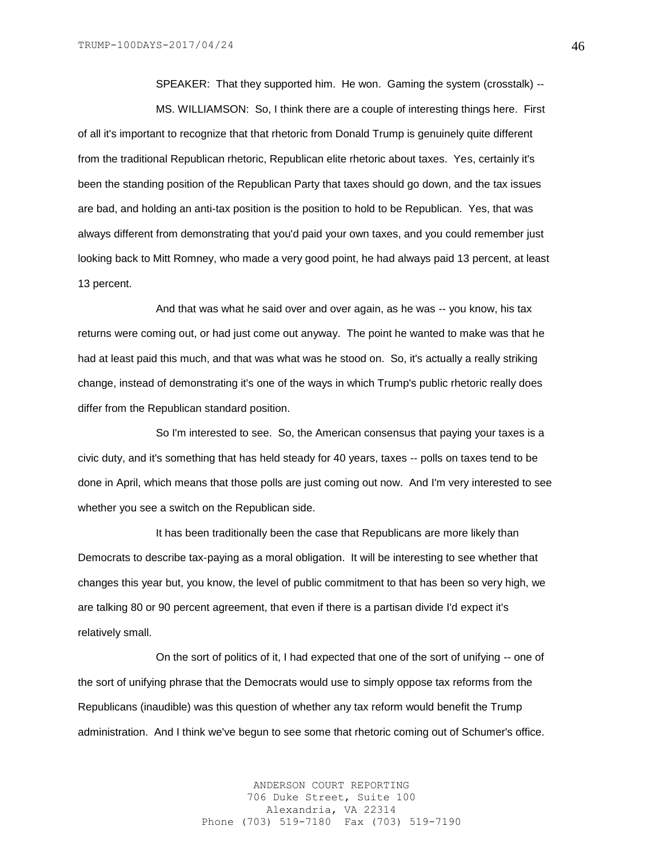SPEAKER: That they supported him. He won. Gaming the system (crosstalk) --

MS. WILLIAMSON: So, I think there are a couple of interesting things here. First of all it's important to recognize that that rhetoric from Donald Trump is genuinely quite different from the traditional Republican rhetoric, Republican elite rhetoric about taxes. Yes, certainly it's been the standing position of the Republican Party that taxes should go down, and the tax issues are bad, and holding an anti-tax position is the position to hold to be Republican. Yes, that was always different from demonstrating that you'd paid your own taxes, and you could remember just looking back to Mitt Romney, who made a very good point, he had always paid 13 percent, at least 13 percent.

And that was what he said over and over again, as he was -- you know, his tax returns were coming out, or had just come out anyway. The point he wanted to make was that he had at least paid this much, and that was what was he stood on. So, it's actually a really striking change, instead of demonstrating it's one of the ways in which Trump's public rhetoric really does differ from the Republican standard position.

So I'm interested to see. So, the American consensus that paying your taxes is a civic duty, and it's something that has held steady for 40 years, taxes -- polls on taxes tend to be done in April, which means that those polls are just coming out now. And I'm very interested to see whether you see a switch on the Republican side.

It has been traditionally been the case that Republicans are more likely than Democrats to describe tax-paying as a moral obligation. It will be interesting to see whether that changes this year but, you know, the level of public commitment to that has been so very high, we are talking 80 or 90 percent agreement, that even if there is a partisan divide I'd expect it's relatively small.

On the sort of politics of it, I had expected that one of the sort of unifying -- one of the sort of unifying phrase that the Democrats would use to simply oppose tax reforms from the Republicans (inaudible) was this question of whether any tax reform would benefit the Trump administration. And I think we've begun to see some that rhetoric coming out of Schumer's office.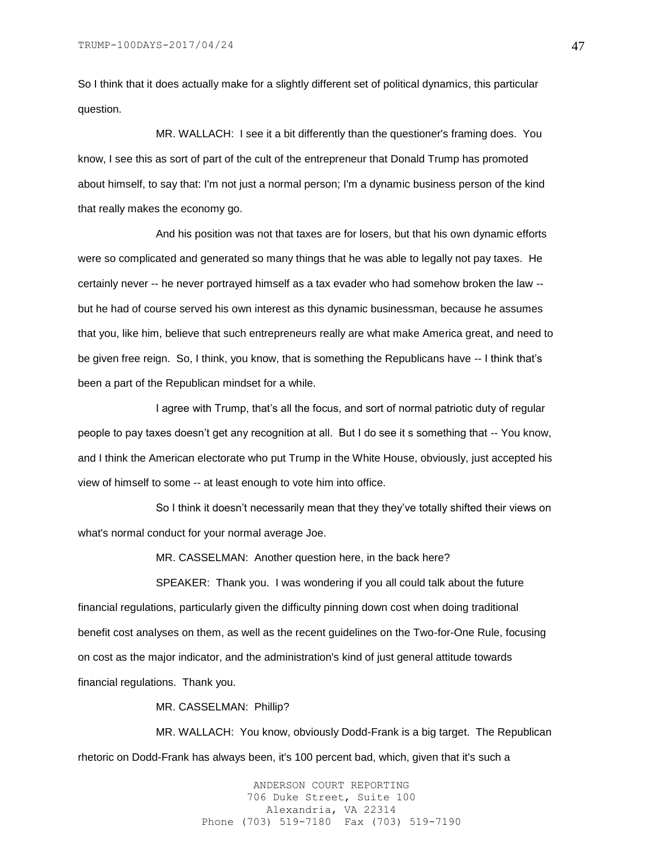So I think that it does actually make for a slightly different set of political dynamics, this particular question.

MR. WALLACH: I see it a bit differently than the questioner's framing does. You know, I see this as sort of part of the cult of the entrepreneur that Donald Trump has promoted about himself, to say that: I'm not just a normal person; I'm a dynamic business person of the kind that really makes the economy go.

And his position was not that taxes are for losers, but that his own dynamic efforts were so complicated and generated so many things that he was able to legally not pay taxes. He certainly never -- he never portrayed himself as a tax evader who had somehow broken the law - but he had of course served his own interest as this dynamic businessman, because he assumes that you, like him, believe that such entrepreneurs really are what make America great, and need to be given free reign. So, I think, you know, that is something the Republicans have -- I think that's been a part of the Republican mindset for a while.

I agree with Trump, that's all the focus, and sort of normal patriotic duty of regular people to pay taxes doesn't get any recognition at all. But I do see it s something that -- You know, and I think the American electorate who put Trump in the White House, obviously, just accepted his view of himself to some -- at least enough to vote him into office.

So I think it doesn't necessarily mean that they they've totally shifted their views on what's normal conduct for your normal average Joe.

MR. CASSELMAN: Another question here, in the back here?

SPEAKER: Thank you. I was wondering if you all could talk about the future financial regulations, particularly given the difficulty pinning down cost when doing traditional benefit cost analyses on them, as well as the recent guidelines on the Two-for-One Rule, focusing on cost as the major indicator, and the administration's kind of just general attitude towards financial regulations. Thank you.

MR. CASSELMAN: Phillip?

MR. WALLACH: You know, obviously Dodd-Frank is a big target. The Republican rhetoric on Dodd-Frank has always been, it's 100 percent bad, which, given that it's such a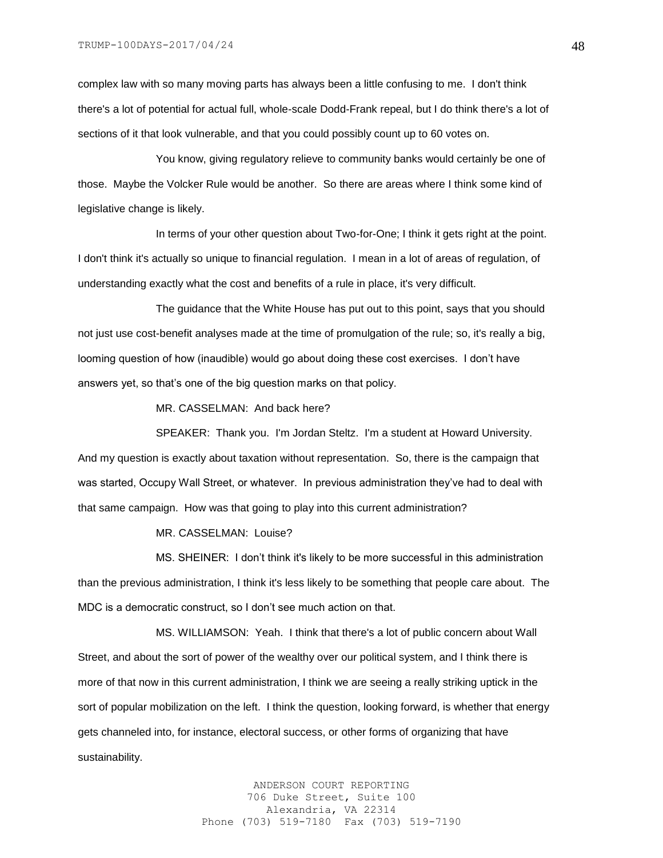complex law with so many moving parts has always been a little confusing to me. I don't think there's a lot of potential for actual full, whole-scale Dodd-Frank repeal, but I do think there's a lot of sections of it that look vulnerable, and that you could possibly count up to 60 votes on.

You know, giving regulatory relieve to community banks would certainly be one of those. Maybe the Volcker Rule would be another. So there are areas where I think some kind of legislative change is likely.

In terms of your other question about Two-for-One; I think it gets right at the point. I don't think it's actually so unique to financial regulation. I mean in a lot of areas of regulation, of understanding exactly what the cost and benefits of a rule in place, it's very difficult.

The guidance that the White House has put out to this point, says that you should not just use cost-benefit analyses made at the time of promulgation of the rule; so, it's really a big, looming question of how (inaudible) would go about doing these cost exercises. I don't have answers yet, so that's one of the big question marks on that policy.

MR. CASSELMAN: And back here?

SPEAKER: Thank you. I'm Jordan Steltz. I'm a student at Howard University. And my question is exactly about taxation without representation. So, there is the campaign that was started, Occupy Wall Street, or whatever. In previous administration they've had to deal with that same campaign. How was that going to play into this current administration?

MR. CASSELMAN: Louise?

MS. SHEINER: I don't think it's likely to be more successful in this administration than the previous administration, I think it's less likely to be something that people care about. The MDC is a democratic construct, so I don't see much action on that.

MS. WILLIAMSON: Yeah. I think that there's a lot of public concern about Wall Street, and about the sort of power of the wealthy over our political system, and I think there is more of that now in this current administration, I think we are seeing a really striking uptick in the sort of popular mobilization on the left. I think the question, looking forward, is whether that energy gets channeled into, for instance, electoral success, or other forms of organizing that have sustainability.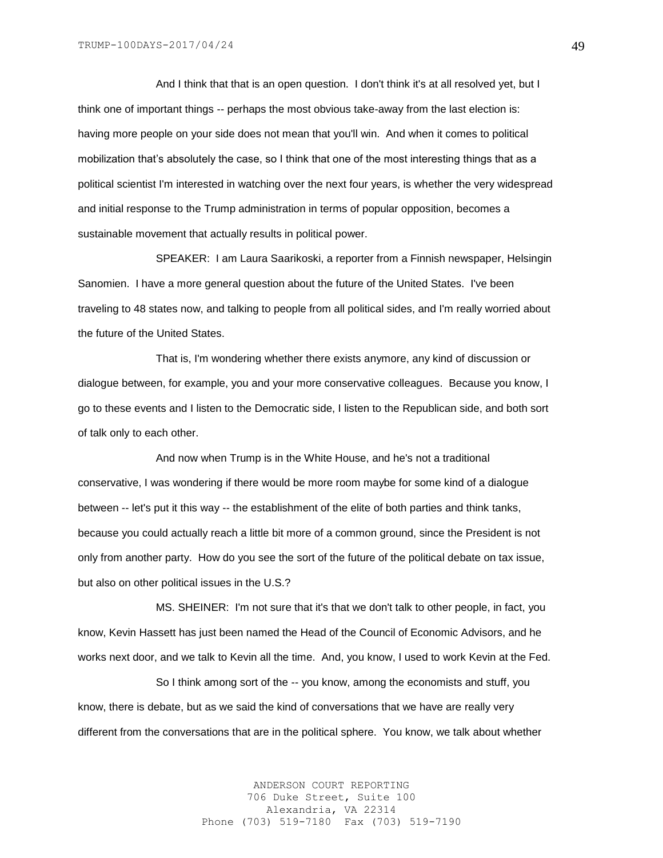And I think that that is an open question. I don't think it's at all resolved yet, but I think one of important things -- perhaps the most obvious take-away from the last election is: having more people on your side does not mean that you'll win. And when it comes to political mobilization that's absolutely the case, so I think that one of the most interesting things that as a political scientist I'm interested in watching over the next four years, is whether the very widespread and initial response to the Trump administration in terms of popular opposition, becomes a sustainable movement that actually results in political power.

SPEAKER: I am Laura Saarikoski, a reporter from a Finnish newspaper, Helsingin Sanomien. I have a more general question about the future of the United States. I've been traveling to 48 states now, and talking to people from all political sides, and I'm really worried about the future of the United States.

That is, I'm wondering whether there exists anymore, any kind of discussion or dialogue between, for example, you and your more conservative colleagues. Because you know, I go to these events and I listen to the Democratic side, I listen to the Republican side, and both sort of talk only to each other.

And now when Trump is in the White House, and he's not a traditional conservative, I was wondering if there would be more room maybe for some kind of a dialogue between -- let's put it this way -- the establishment of the elite of both parties and think tanks, because you could actually reach a little bit more of a common ground, since the President is not only from another party. How do you see the sort of the future of the political debate on tax issue, but also on other political issues in the U.S.?

MS. SHEINER: I'm not sure that it's that we don't talk to other people, in fact, you know, Kevin Hassett has just been named the Head of the Council of Economic Advisors, and he works next door, and we talk to Kevin all the time. And, you know, I used to work Kevin at the Fed.

So I think among sort of the -- you know, among the economists and stuff, you know, there is debate, but as we said the kind of conversations that we have are really very different from the conversations that are in the political sphere. You know, we talk about whether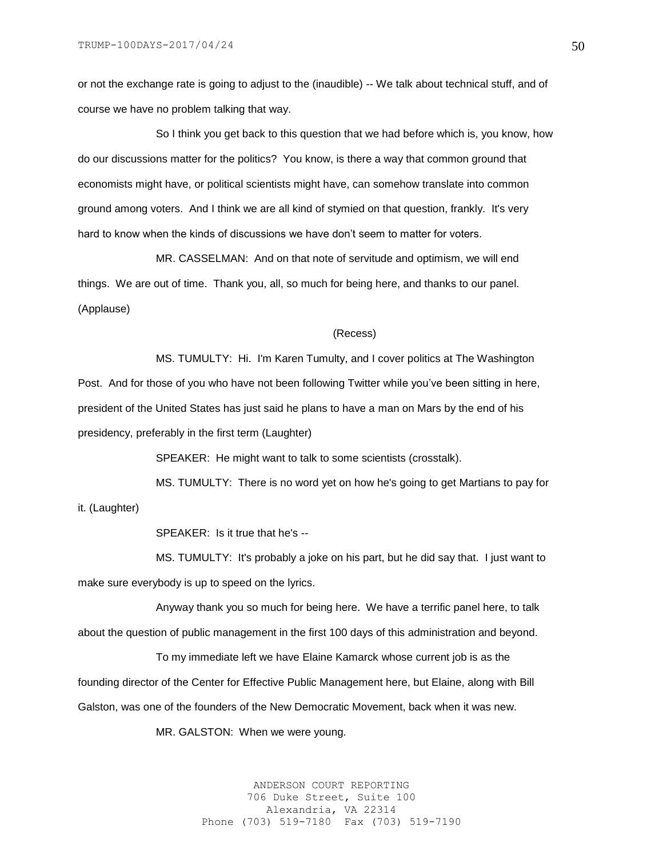or not the exchange rate is going to adjust to the (inaudible) -- We talk about technical stuff, and of course we have no problem talking that way.

So I think you get back to this question that we had before which is, you know, how do our discussions matter for the politics? You know, is there a way that common ground that economists might have, or political scientists might have, can somehow translate into common ground among voters. And I think we are all kind of stymied on that question, frankly. It's very hard to know when the kinds of discussions we have don't seem to matter for voters.

MR. CASSELMAN: And on that note of servitude and optimism, we will end things. We are out of time. Thank you, all, so much for being here, and thanks to our panel. (Applause)

## (Recess)

MS. TUMULTY: Hi. I'm Karen Tumulty, and I cover politics at The Washington Post. And for those of you who have not been following Twitter while you've been sitting in here, president of the United States has just said he plans to have a man on Mars by the end of his presidency, preferably in the first term (Laughter)

SPEAKER: He might want to talk to some scientists (crosstalk).

MS. TUMULTY: There is no word yet on how he's going to get Martians to pay for it. (Laughter)

SPEAKER: Is it true that he's --

MS. TUMULTY: It's probably a joke on his part, but he did say that. I just want to make sure everybody is up to speed on the lyrics.

Anyway thank you so much for being here. We have a terrific panel here, to talk about the question of public management in the first 100 days of this administration and beyond.

To my immediate left we have Elaine Kamarck whose current job is as the founding director of the Center for Effective Public Management here, but Elaine, along with Bill Galston, was one of the founders of the New Democratic Movement, back when it was new.

MR. GALSTON: When we were young.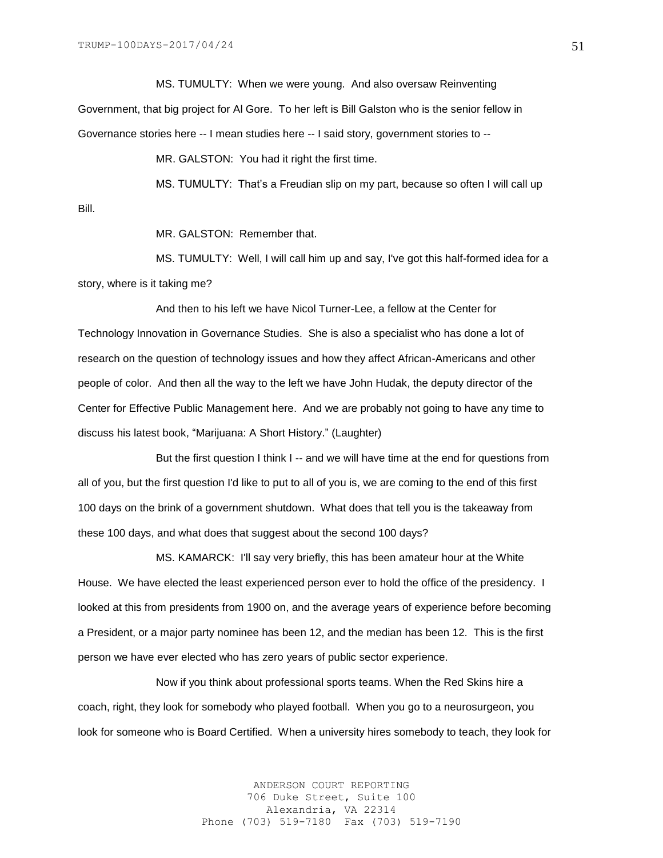Bill.

MS. TUMULTY: When we were young. And also oversaw Reinventing Government, that big project for Al Gore. To her left is Bill Galston who is the senior fellow in Governance stories here -- I mean studies here -- I said story, government stories to --

MR. GALSTON: You had it right the first time.

MS. TUMULTY: That's a Freudian slip on my part, because so often I will call up

MR. GALSTON: Remember that.

MS. TUMULTY: Well, I will call him up and say, I've got this half-formed idea for a story, where is it taking me?

And then to his left we have Nicol Turner-Lee, a fellow at the Center for Technology Innovation in Governance Studies. She is also a specialist who has done a lot of research on the question of technology issues and how they affect African-Americans and other people of color. And then all the way to the left we have John Hudak, the deputy director of the Center for Effective Public Management here. And we are probably not going to have any time to discuss his latest book, "Marijuana: A Short History." (Laughter)

But the first question I think I -- and we will have time at the end for questions from all of you, but the first question I'd like to put to all of you is, we are coming to the end of this first 100 days on the brink of a government shutdown. What does that tell you is the takeaway from these 100 days, and what does that suggest about the second 100 days?

MS. KAMARCK: I'll say very briefly, this has been amateur hour at the White House. We have elected the least experienced person ever to hold the office of the presidency. I looked at this from presidents from 1900 on, and the average years of experience before becoming a President, or a major party nominee has been 12, and the median has been 12. This is the first person we have ever elected who has zero years of public sector experience.

Now if you think about professional sports teams. When the Red Skins hire a coach, right, they look for somebody who played football. When you go to a neurosurgeon, you look for someone who is Board Certified. When a university hires somebody to teach, they look for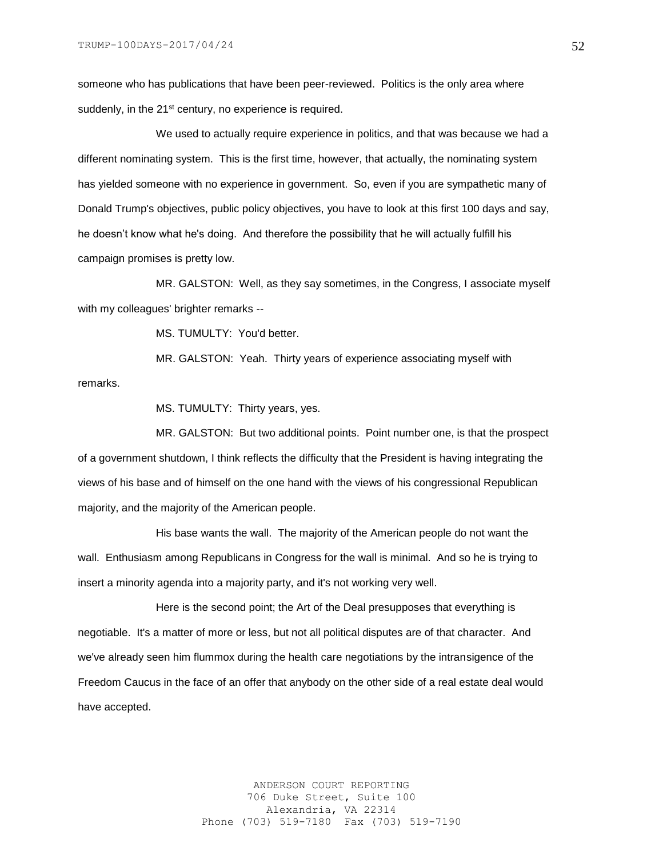someone who has publications that have been peer-reviewed. Politics is the only area where suddenly, in the 21<sup>st</sup> century, no experience is required.

We used to actually require experience in politics, and that was because we had a different nominating system. This is the first time, however, that actually, the nominating system has yielded someone with no experience in government. So, even if you are sympathetic many of Donald Trump's objectives, public policy objectives, you have to look at this first 100 days and say, he doesn't know what he's doing. And therefore the possibility that he will actually fulfill his campaign promises is pretty low.

MR. GALSTON: Well, as they say sometimes, in the Congress, I associate myself with my colleagues' brighter remarks --

MS. TUMULTY: You'd better.

MR. GALSTON: Yeah. Thirty years of experience associating myself with remarks.

MS. TUMULTY: Thirty years, yes.

MR. GALSTON: But two additional points. Point number one, is that the prospect of a government shutdown, I think reflects the difficulty that the President is having integrating the views of his base and of himself on the one hand with the views of his congressional Republican majority, and the majority of the American people.

His base wants the wall. The majority of the American people do not want the wall. Enthusiasm among Republicans in Congress for the wall is minimal. And so he is trying to insert a minority agenda into a majority party, and it's not working very well.

Here is the second point; the Art of the Deal presupposes that everything is negotiable. It's a matter of more or less, but not all political disputes are of that character. And we've already seen him flummox during the health care negotiations by the intransigence of the Freedom Caucus in the face of an offer that anybody on the other side of a real estate deal would have accepted.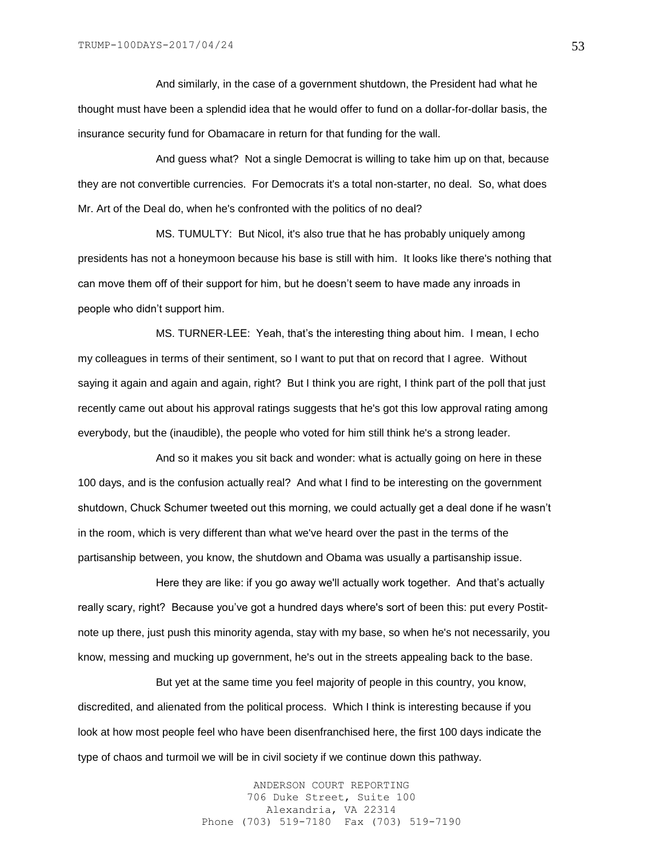And similarly, in the case of a government shutdown, the President had what he thought must have been a splendid idea that he would offer to fund on a dollar-for-dollar basis, the insurance security fund for Obamacare in return for that funding for the wall.

And guess what? Not a single Democrat is willing to take him up on that, because they are not convertible currencies. For Democrats it's a total non-starter, no deal. So, what does Mr. Art of the Deal do, when he's confronted with the politics of no deal?

MS. TUMULTY: But Nicol, it's also true that he has probably uniquely among presidents has not a honeymoon because his base is still with him. It looks like there's nothing that can move them off of their support for him, but he doesn't seem to have made any inroads in people who didn't support him.

MS. TURNER-LEE: Yeah, that's the interesting thing about him. I mean, I echo my colleagues in terms of their sentiment, so I want to put that on record that I agree. Without saying it again and again and again, right? But I think you are right, I think part of the poll that just recently came out about his approval ratings suggests that he's got this low approval rating among everybody, but the (inaudible), the people who voted for him still think he's a strong leader.

And so it makes you sit back and wonder: what is actually going on here in these 100 days, and is the confusion actually real? And what I find to be interesting on the government shutdown, Chuck Schumer tweeted out this morning, we could actually get a deal done if he wasn't in the room, which is very different than what we've heard over the past in the terms of the partisanship between, you know, the shutdown and Obama was usually a partisanship issue.

Here they are like: if you go away we'll actually work together. And that's actually really scary, right? Because you've got a hundred days where's sort of been this: put every Postitnote up there, just push this minority agenda, stay with my base, so when he's not necessarily, you know, messing and mucking up government, he's out in the streets appealing back to the base.

But yet at the same time you feel majority of people in this country, you know, discredited, and alienated from the political process. Which I think is interesting because if you look at how most people feel who have been disenfranchised here, the first 100 days indicate the type of chaos and turmoil we will be in civil society if we continue down this pathway.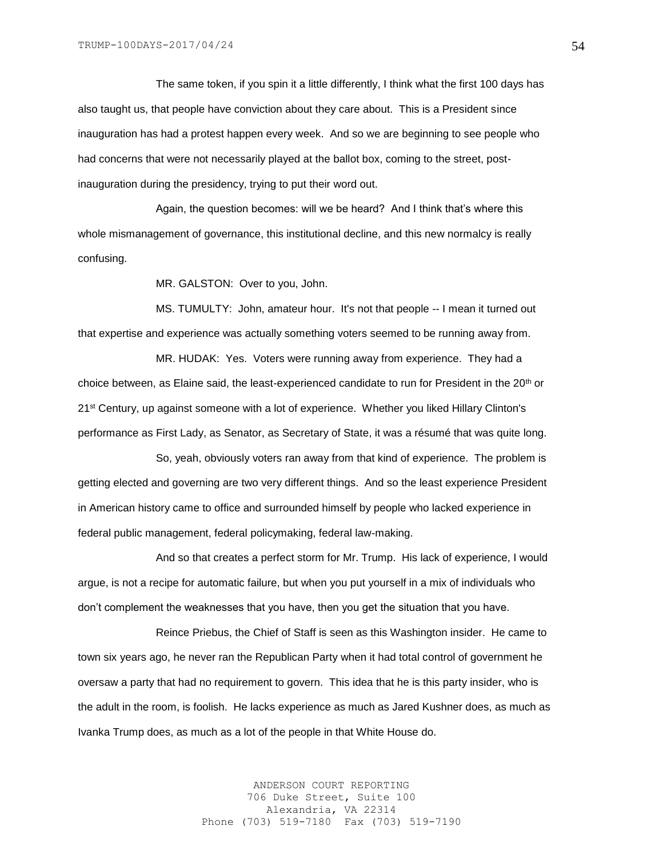The same token, if you spin it a little differently, I think what the first 100 days has also taught us, that people have conviction about they care about. This is a President since inauguration has had a protest happen every week. And so we are beginning to see people who had concerns that were not necessarily played at the ballot box, coming to the street, postinauguration during the presidency, trying to put their word out.

Again, the question becomes: will we be heard? And I think that's where this whole mismanagement of governance, this institutional decline, and this new normalcy is really confusing.

MR. GALSTON: Over to you, John.

MS. TUMULTY: John, amateur hour. It's not that people -- I mean it turned out that expertise and experience was actually something voters seemed to be running away from.

MR. HUDAK: Yes. Voters were running away from experience. They had a choice between, as Elaine said, the least-experienced candidate to run for President in the 20<sup>th</sup> or 21st Century, up against someone with a lot of experience. Whether you liked Hillary Clinton's performance as First Lady, as Senator, as Secretary of State, it was a résumé that was quite long.

So, yeah, obviously voters ran away from that kind of experience. The problem is getting elected and governing are two very different things. And so the least experience President in American history came to office and surrounded himself by people who lacked experience in federal public management, federal policymaking, federal law-making.

And so that creates a perfect storm for Mr. Trump. His lack of experience, I would argue, is not a recipe for automatic failure, but when you put yourself in a mix of individuals who don't complement the weaknesses that you have, then you get the situation that you have.

Reince Priebus, the Chief of Staff is seen as this Washington insider. He came to town six years ago, he never ran the Republican Party when it had total control of government he oversaw a party that had no requirement to govern. This idea that he is this party insider, who is the adult in the room, is foolish. He lacks experience as much as Jared Kushner does, as much as Ivanka Trump does, as much as a lot of the people in that White House do.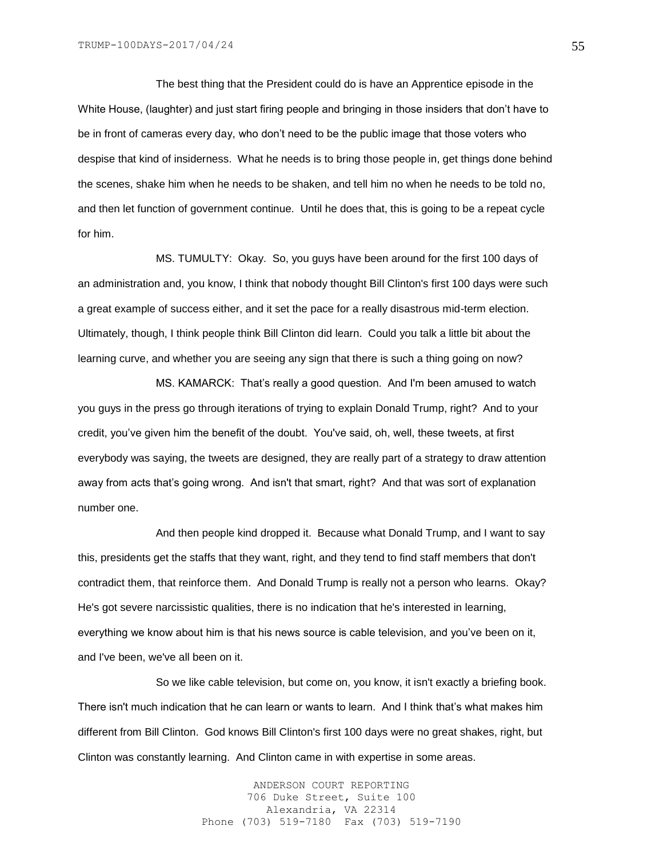The best thing that the President could do is have an Apprentice episode in the White House, (laughter) and just start firing people and bringing in those insiders that don't have to be in front of cameras every day, who don't need to be the public image that those voters who despise that kind of insiderness. What he needs is to bring those people in, get things done behind the scenes, shake him when he needs to be shaken, and tell him no when he needs to be told no, and then let function of government continue. Until he does that, this is going to be a repeat cycle for him.

MS. TUMULTY: Okay. So, you guys have been around for the first 100 days of an administration and, you know, I think that nobody thought Bill Clinton's first 100 days were such a great example of success either, and it set the pace for a really disastrous mid-term election. Ultimately, though, I think people think Bill Clinton did learn. Could you talk a little bit about the learning curve, and whether you are seeing any sign that there is such a thing going on now?

MS. KAMARCK: That's really a good question. And I'm been amused to watch you guys in the press go through iterations of trying to explain Donald Trump, right? And to your credit, you've given him the benefit of the doubt. You've said, oh, well, these tweets, at first everybody was saying, the tweets are designed, they are really part of a strategy to draw attention away from acts that's going wrong. And isn't that smart, right? And that was sort of explanation number one.

And then people kind dropped it. Because what Donald Trump, and I want to say this, presidents get the staffs that they want, right, and they tend to find staff members that don't contradict them, that reinforce them. And Donald Trump is really not a person who learns. Okay? He's got severe narcissistic qualities, there is no indication that he's interested in learning, everything we know about him is that his news source is cable television, and you've been on it, and I've been, we've all been on it.

So we like cable television, but come on, you know, it isn't exactly a briefing book. There isn't much indication that he can learn or wants to learn. And I think that's what makes him different from Bill Clinton. God knows Bill Clinton's first 100 days were no great shakes, right, but Clinton was constantly learning. And Clinton came in with expertise in some areas.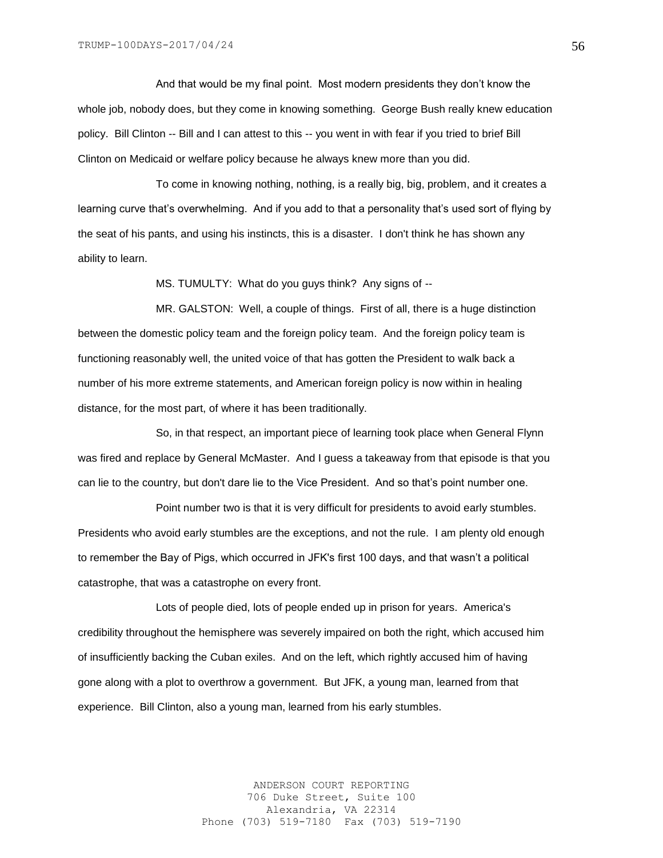And that would be my final point. Most modern presidents they don't know the whole job, nobody does, but they come in knowing something. George Bush really knew education policy. Bill Clinton -- Bill and I can attest to this -- you went in with fear if you tried to brief Bill Clinton on Medicaid or welfare policy because he always knew more than you did.

To come in knowing nothing, nothing, is a really big, big, problem, and it creates a learning curve that's overwhelming. And if you add to that a personality that's used sort of flying by the seat of his pants, and using his instincts, this is a disaster. I don't think he has shown any ability to learn.

MS. TUMULTY: What do you guys think? Any signs of --

MR. GALSTON: Well, a couple of things. First of all, there is a huge distinction between the domestic policy team and the foreign policy team. And the foreign policy team is functioning reasonably well, the united voice of that has gotten the President to walk back a number of his more extreme statements, and American foreign policy is now within in healing distance, for the most part, of where it has been traditionally.

So, in that respect, an important piece of learning took place when General Flynn was fired and replace by General McMaster. And I guess a takeaway from that episode is that you can lie to the country, but don't dare lie to the Vice President. And so that's point number one.

Point number two is that it is very difficult for presidents to avoid early stumbles. Presidents who avoid early stumbles are the exceptions, and not the rule. I am plenty old enough to remember the Bay of Pigs, which occurred in JFK's first 100 days, and that wasn't a political catastrophe, that was a catastrophe on every front.

Lots of people died, lots of people ended up in prison for years. America's credibility throughout the hemisphere was severely impaired on both the right, which accused him of insufficiently backing the Cuban exiles. And on the left, which rightly accused him of having gone along with a plot to overthrow a government. But JFK, a young man, learned from that experience. Bill Clinton, also a young man, learned from his early stumbles.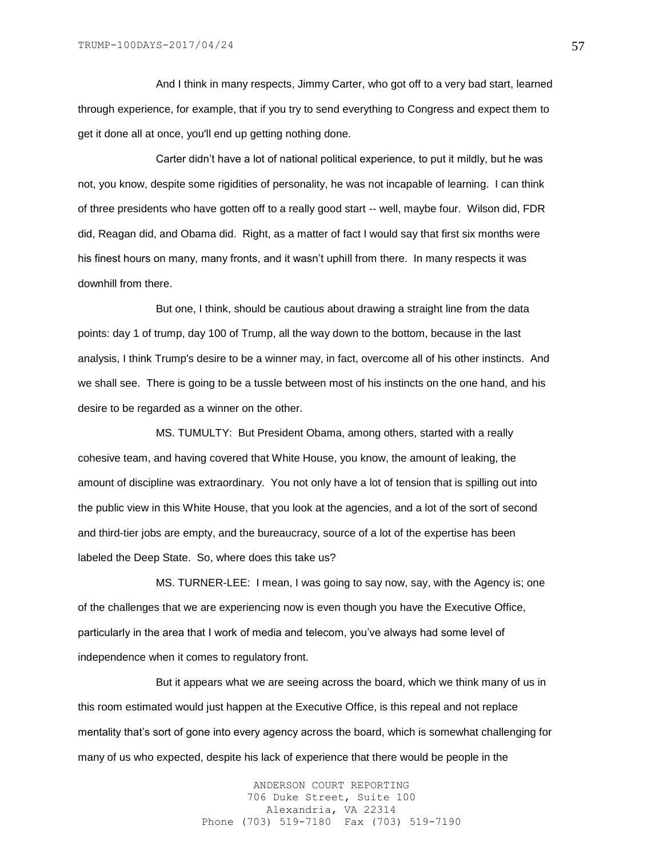And I think in many respects, Jimmy Carter, who got off to a very bad start, learned through experience, for example, that if you try to send everything to Congress and expect them to get it done all at once, you'll end up getting nothing done.

Carter didn't have a lot of national political experience, to put it mildly, but he was not, you know, despite some rigidities of personality, he was not incapable of learning. I can think of three presidents who have gotten off to a really good start -- well, maybe four. Wilson did, FDR did, Reagan did, and Obama did. Right, as a matter of fact I would say that first six months were his finest hours on many, many fronts, and it wasn't uphill from there. In many respects it was downhill from there.

But one, I think, should be cautious about drawing a straight line from the data points: day 1 of trump, day 100 of Trump, all the way down to the bottom, because in the last analysis, I think Trump's desire to be a winner may, in fact, overcome all of his other instincts. And we shall see. There is going to be a tussle between most of his instincts on the one hand, and his desire to be regarded as a winner on the other.

MS. TUMULTY: But President Obama, among others, started with a really cohesive team, and having covered that White House, you know, the amount of leaking, the amount of discipline was extraordinary. You not only have a lot of tension that is spilling out into the public view in this White House, that you look at the agencies, and a lot of the sort of second and third-tier jobs are empty, and the bureaucracy, source of a lot of the expertise has been labeled the Deep State. So, where does this take us?

MS. TURNER-LEE: I mean, I was going to say now, say, with the Agency is; one of the challenges that we are experiencing now is even though you have the Executive Office, particularly in the area that I work of media and telecom, you've always had some level of independence when it comes to regulatory front.

But it appears what we are seeing across the board, which we think many of us in this room estimated would just happen at the Executive Office, is this repeal and not replace mentality that's sort of gone into every agency across the board, which is somewhat challenging for many of us who expected, despite his lack of experience that there would be people in the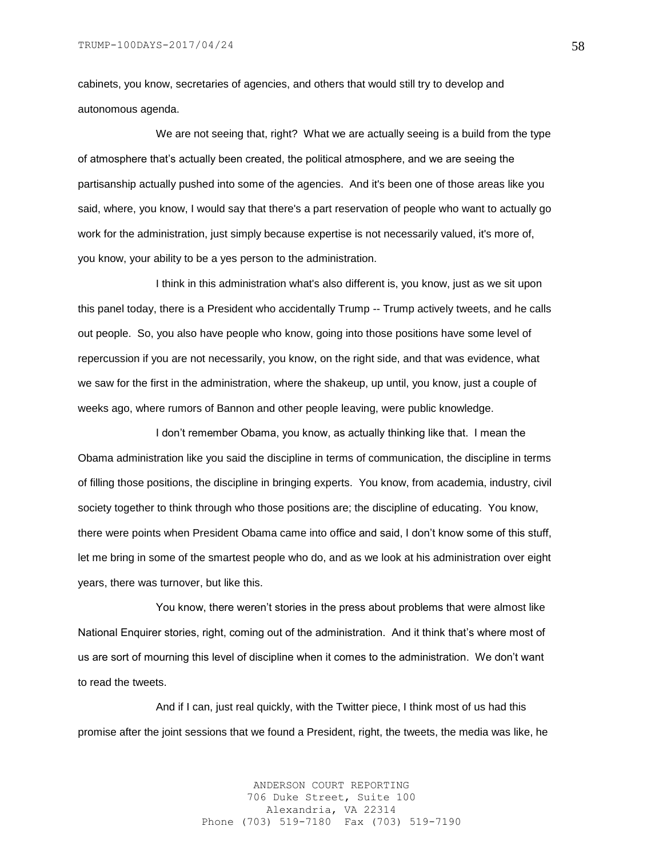cabinets, you know, secretaries of agencies, and others that would still try to develop and autonomous agenda.

We are not seeing that, right? What we are actually seeing is a build from the type of atmosphere that's actually been created, the political atmosphere, and we are seeing the partisanship actually pushed into some of the agencies. And it's been one of those areas like you said, where, you know, I would say that there's a part reservation of people who want to actually go work for the administration, just simply because expertise is not necessarily valued, it's more of, you know, your ability to be a yes person to the administration.

I think in this administration what's also different is, you know, just as we sit upon this panel today, there is a President who accidentally Trump -- Trump actively tweets, and he calls out people. So, you also have people who know, going into those positions have some level of repercussion if you are not necessarily, you know, on the right side, and that was evidence, what we saw for the first in the administration, where the shakeup, up until, you know, just a couple of weeks ago, where rumors of Bannon and other people leaving, were public knowledge.

I don't remember Obama, you know, as actually thinking like that. I mean the Obama administration like you said the discipline in terms of communication, the discipline in terms of filling those positions, the discipline in bringing experts. You know, from academia, industry, civil society together to think through who those positions are; the discipline of educating. You know, there were points when President Obama came into office and said, I don't know some of this stuff, let me bring in some of the smartest people who do, and as we look at his administration over eight years, there was turnover, but like this.

You know, there weren't stories in the press about problems that were almost like National Enquirer stories, right, coming out of the administration. And it think that's where most of us are sort of mourning this level of discipline when it comes to the administration. We don't want to read the tweets.

And if I can, just real quickly, with the Twitter piece, I think most of us had this promise after the joint sessions that we found a President, right, the tweets, the media was like, he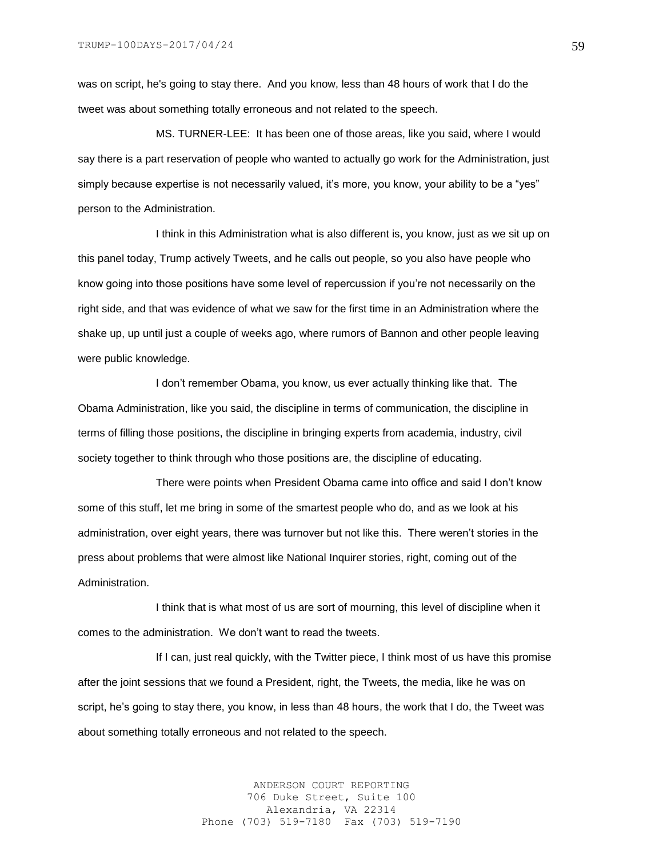was on script, he's going to stay there. And you know, less than 48 hours of work that I do the tweet was about something totally erroneous and not related to the speech.

MS. TURNER-LEE: It has been one of those areas, like you said, where I would say there is a part reservation of people who wanted to actually go work for the Administration, just simply because expertise is not necessarily valued, it's more, you know, your ability to be a "yes" person to the Administration.

I think in this Administration what is also different is, you know, just as we sit up on this panel today, Trump actively Tweets, and he calls out people, so you also have people who know going into those positions have some level of repercussion if you're not necessarily on the right side, and that was evidence of what we saw for the first time in an Administration where the shake up, up until just a couple of weeks ago, where rumors of Bannon and other people leaving were public knowledge.

I don't remember Obama, you know, us ever actually thinking like that. The Obama Administration, like you said, the discipline in terms of communication, the discipline in terms of filling those positions, the discipline in bringing experts from academia, industry, civil society together to think through who those positions are, the discipline of educating.

There were points when President Obama came into office and said I don't know some of this stuff, let me bring in some of the smartest people who do, and as we look at his administration, over eight years, there was turnover but not like this. There weren't stories in the press about problems that were almost like National Inquirer stories, right, coming out of the Administration.

I think that is what most of us are sort of mourning, this level of discipline when it comes to the administration. We don't want to read the tweets.

If I can, just real quickly, with the Twitter piece, I think most of us have this promise after the joint sessions that we found a President, right, the Tweets, the media, like he was on script, he's going to stay there, you know, in less than 48 hours, the work that I do, the Tweet was about something totally erroneous and not related to the speech.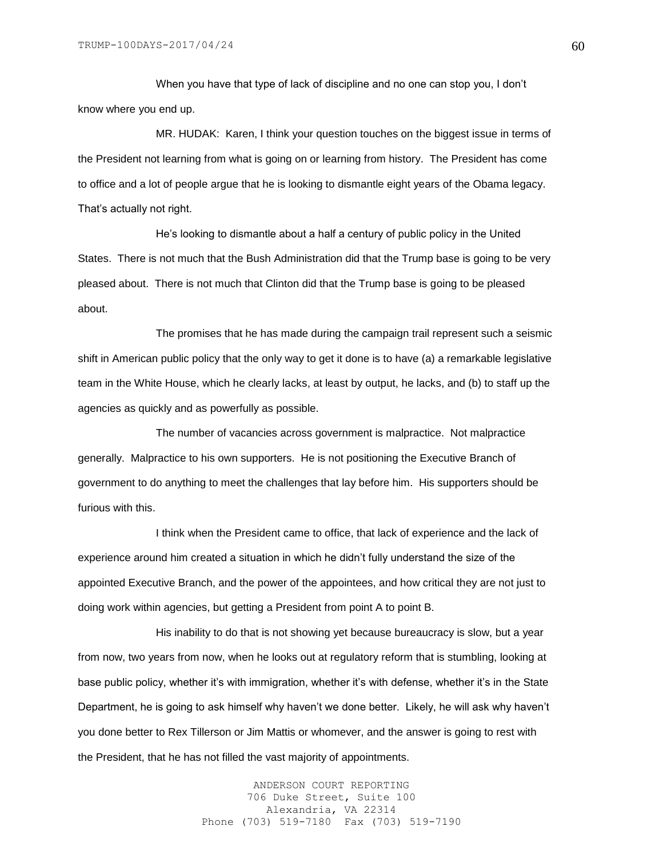When you have that type of lack of discipline and no one can stop you, I don't know where you end up.

MR. HUDAK: Karen, I think your question touches on the biggest issue in terms of the President not learning from what is going on or learning from history. The President has come to office and a lot of people argue that he is looking to dismantle eight years of the Obama legacy. That's actually not right.

He's looking to dismantle about a half a century of public policy in the United States. There is not much that the Bush Administration did that the Trump base is going to be very pleased about. There is not much that Clinton did that the Trump base is going to be pleased about.

The promises that he has made during the campaign trail represent such a seismic shift in American public policy that the only way to get it done is to have (a) a remarkable legislative team in the White House, which he clearly lacks, at least by output, he lacks, and (b) to staff up the agencies as quickly and as powerfully as possible.

The number of vacancies across government is malpractice. Not malpractice generally. Malpractice to his own supporters. He is not positioning the Executive Branch of government to do anything to meet the challenges that lay before him. His supporters should be furious with this.

I think when the President came to office, that lack of experience and the lack of experience around him created a situation in which he didn't fully understand the size of the appointed Executive Branch, and the power of the appointees, and how critical they are not just to doing work within agencies, but getting a President from point A to point B.

His inability to do that is not showing yet because bureaucracy is slow, but a year from now, two years from now, when he looks out at regulatory reform that is stumbling, looking at base public policy, whether it's with immigration, whether it's with defense, whether it's in the State Department, he is going to ask himself why haven't we done better. Likely, he will ask why haven't you done better to Rex Tillerson or Jim Mattis or whomever, and the answer is going to rest with the President, that he has not filled the vast majority of appointments.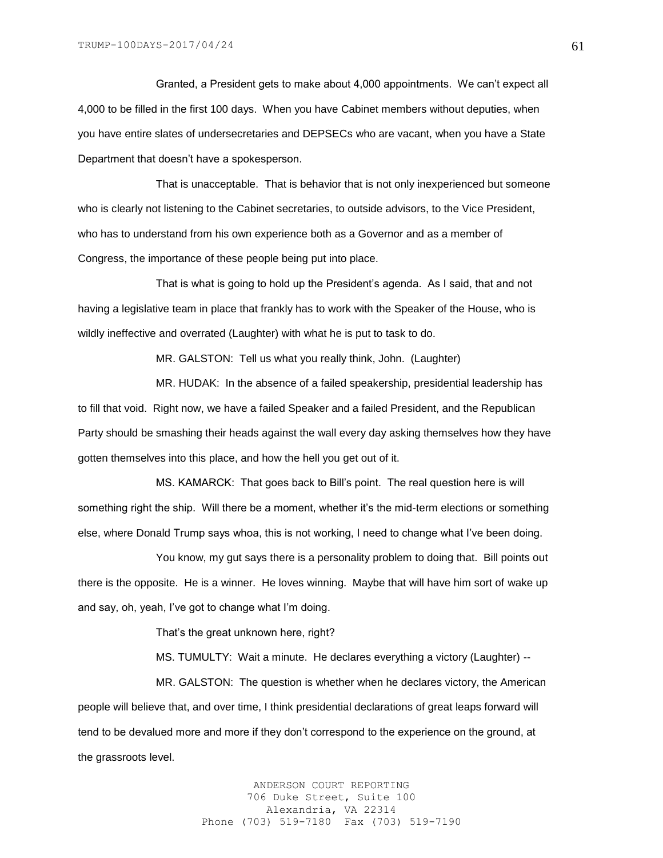Granted, a President gets to make about 4,000 appointments. We can't expect all 4,000 to be filled in the first 100 days. When you have Cabinet members without deputies, when you have entire slates of undersecretaries and DEPSECs who are vacant, when you have a State Department that doesn't have a spokesperson.

That is unacceptable. That is behavior that is not only inexperienced but someone who is clearly not listening to the Cabinet secretaries, to outside advisors, to the Vice President, who has to understand from his own experience both as a Governor and as a member of Congress, the importance of these people being put into place.

That is what is going to hold up the President's agenda. As I said, that and not having a legislative team in place that frankly has to work with the Speaker of the House, who is wildly ineffective and overrated (Laughter) with what he is put to task to do.

MR. GALSTON: Tell us what you really think, John. (Laughter)

MR. HUDAK: In the absence of a failed speakership, presidential leadership has to fill that void. Right now, we have a failed Speaker and a failed President, and the Republican Party should be smashing their heads against the wall every day asking themselves how they have gotten themselves into this place, and how the hell you get out of it.

MS. KAMARCK: That goes back to Bill's point. The real question here is will something right the ship. Will there be a moment, whether it's the mid-term elections or something else, where Donald Trump says whoa, this is not working, I need to change what I've been doing.

You know, my gut says there is a personality problem to doing that. Bill points out there is the opposite. He is a winner. He loves winning. Maybe that will have him sort of wake up and say, oh, yeah, I've got to change what I'm doing.

That's the great unknown here, right?

MS. TUMULTY: Wait a minute. He declares everything a victory (Laughter) --

MR. GALSTON: The question is whether when he declares victory, the American people will believe that, and over time, I think presidential declarations of great leaps forward will tend to be devalued more and more if they don't correspond to the experience on the ground, at the grassroots level.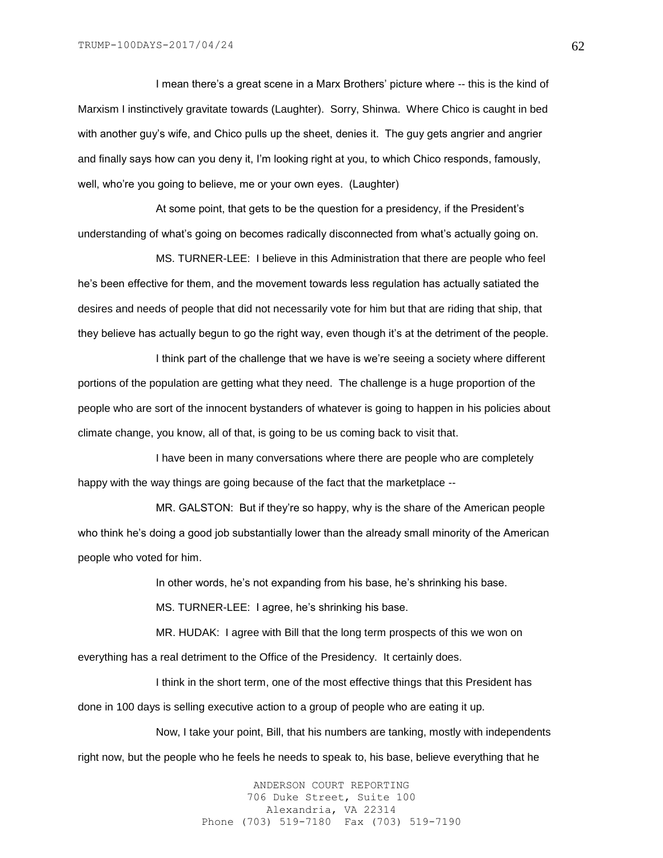I mean there's a great scene in a Marx Brothers' picture where -- this is the kind of Marxism I instinctively gravitate towards (Laughter). Sorry, Shinwa. Where Chico is caught in bed with another guy's wife, and Chico pulls up the sheet, denies it. The guy gets angrier and angrier and finally says how can you deny it, I'm looking right at you, to which Chico responds, famously, well, who're you going to believe, me or your own eyes. (Laughter)

At some point, that gets to be the question for a presidency, if the President's understanding of what's going on becomes radically disconnected from what's actually going on.

MS. TURNER-LEE: I believe in this Administration that there are people who feel he's been effective for them, and the movement towards less regulation has actually satiated the desires and needs of people that did not necessarily vote for him but that are riding that ship, that they believe has actually begun to go the right way, even though it's at the detriment of the people.

I think part of the challenge that we have is we're seeing a society where different portions of the population are getting what they need. The challenge is a huge proportion of the people who are sort of the innocent bystanders of whatever is going to happen in his policies about climate change, you know, all of that, is going to be us coming back to visit that.

I have been in many conversations where there are people who are completely happy with the way things are going because of the fact that the marketplace --

MR. GALSTON: But if they're so happy, why is the share of the American people who think he's doing a good job substantially lower than the already small minority of the American people who voted for him.

In other words, he's not expanding from his base, he's shrinking his base.

MS. TURNER-LEE: I agree, he's shrinking his base.

MR. HUDAK: I agree with Bill that the long term prospects of this we won on everything has a real detriment to the Office of the Presidency. It certainly does.

I think in the short term, one of the most effective things that this President has done in 100 days is selling executive action to a group of people who are eating it up.

Now, I take your point, Bill, that his numbers are tanking, mostly with independents right now, but the people who he feels he needs to speak to, his base, believe everything that he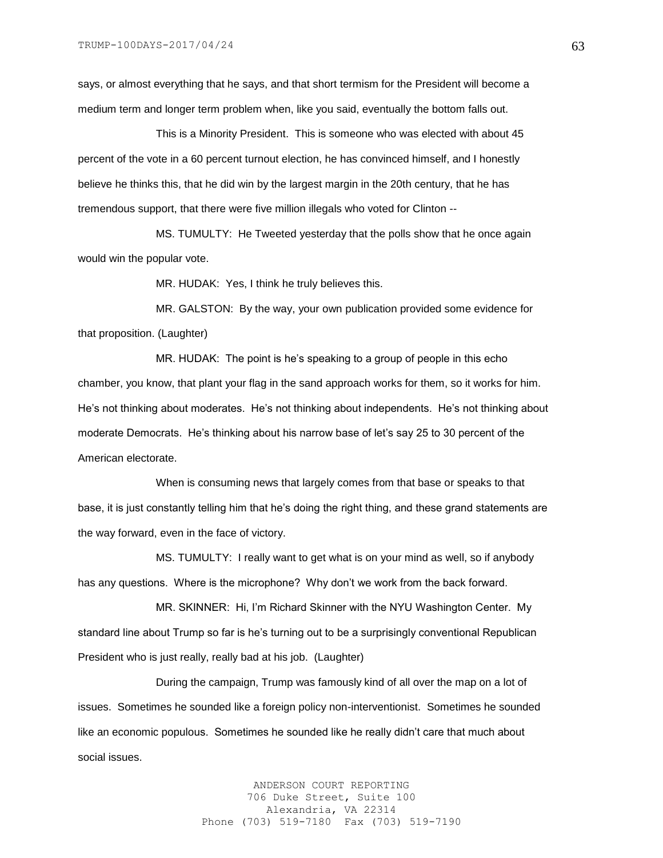says, or almost everything that he says, and that short termism for the President will become a medium term and longer term problem when, like you said, eventually the bottom falls out.

This is a Minority President. This is someone who was elected with about 45 percent of the vote in a 60 percent turnout election, he has convinced himself, and I honestly believe he thinks this, that he did win by the largest margin in the 20th century, that he has tremendous support, that there were five million illegals who voted for Clinton --

MS. TUMULTY: He Tweeted yesterday that the polls show that he once again would win the popular vote.

MR. HUDAK: Yes, I think he truly believes this.

MR. GALSTON: By the way, your own publication provided some evidence for that proposition. (Laughter)

MR. HUDAK: The point is he's speaking to a group of people in this echo chamber, you know, that plant your flag in the sand approach works for them, so it works for him. He's not thinking about moderates. He's not thinking about independents. He's not thinking about moderate Democrats. He's thinking about his narrow base of let's say 25 to 30 percent of the American electorate.

When is consuming news that largely comes from that base or speaks to that base, it is just constantly telling him that he's doing the right thing, and these grand statements are the way forward, even in the face of victory.

MS. TUMULTY: I really want to get what is on your mind as well, so if anybody has any questions. Where is the microphone? Why don't we work from the back forward.

MR. SKINNER: Hi, I'm Richard Skinner with the NYU Washington Center. My standard line about Trump so far is he's turning out to be a surprisingly conventional Republican President who is just really, really bad at his job. (Laughter)

During the campaign, Trump was famously kind of all over the map on a lot of issues. Sometimes he sounded like a foreign policy non-interventionist. Sometimes he sounded like an economic populous. Sometimes he sounded like he really didn't care that much about social issues.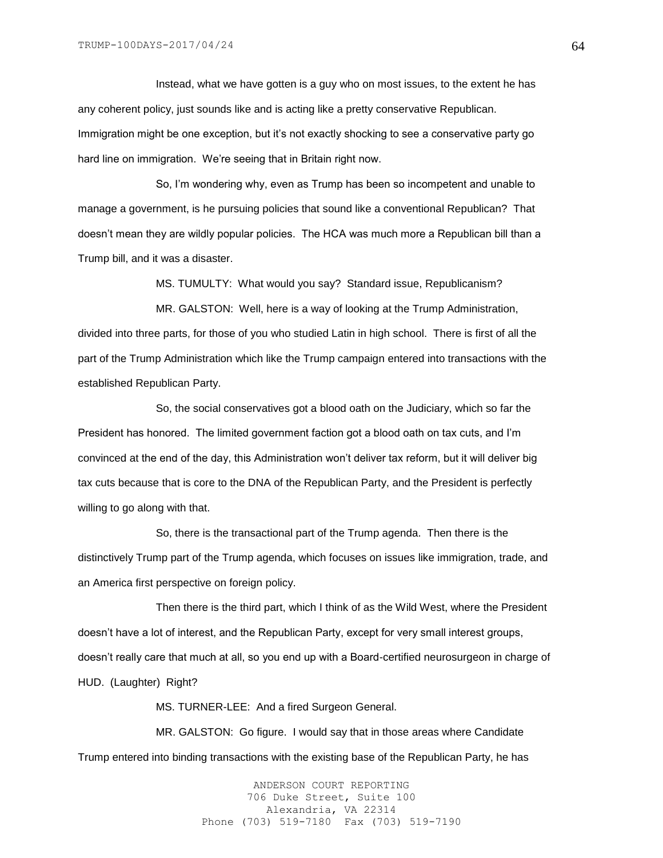Instead, what we have gotten is a guy who on most issues, to the extent he has any coherent policy, just sounds like and is acting like a pretty conservative Republican. Immigration might be one exception, but it's not exactly shocking to see a conservative party go hard line on immigration. We're seeing that in Britain right now.

So, I'm wondering why, even as Trump has been so incompetent and unable to manage a government, is he pursuing policies that sound like a conventional Republican? That doesn't mean they are wildly popular policies. The HCA was much more a Republican bill than a Trump bill, and it was a disaster.

MS. TUMULTY: What would you say? Standard issue, Republicanism?

MR. GALSTON: Well, here is a way of looking at the Trump Administration, divided into three parts, for those of you who studied Latin in high school. There is first of all the part of the Trump Administration which like the Trump campaign entered into transactions with the established Republican Party.

So, the social conservatives got a blood oath on the Judiciary, which so far the President has honored. The limited government faction got a blood oath on tax cuts, and I'm convinced at the end of the day, this Administration won't deliver tax reform, but it will deliver big tax cuts because that is core to the DNA of the Republican Party, and the President is perfectly willing to go along with that.

So, there is the transactional part of the Trump agenda. Then there is the distinctively Trump part of the Trump agenda, which focuses on issues like immigration, trade, and an America first perspective on foreign policy.

Then there is the third part, which I think of as the Wild West, where the President doesn't have a lot of interest, and the Republican Party, except for very small interest groups, doesn't really care that much at all, so you end up with a Board-certified neurosurgeon in charge of HUD. (Laughter) Right?

MS. TURNER-LEE: And a fired Surgeon General.

MR. GALSTON: Go figure. I would say that in those areas where Candidate Trump entered into binding transactions with the existing base of the Republican Party, he has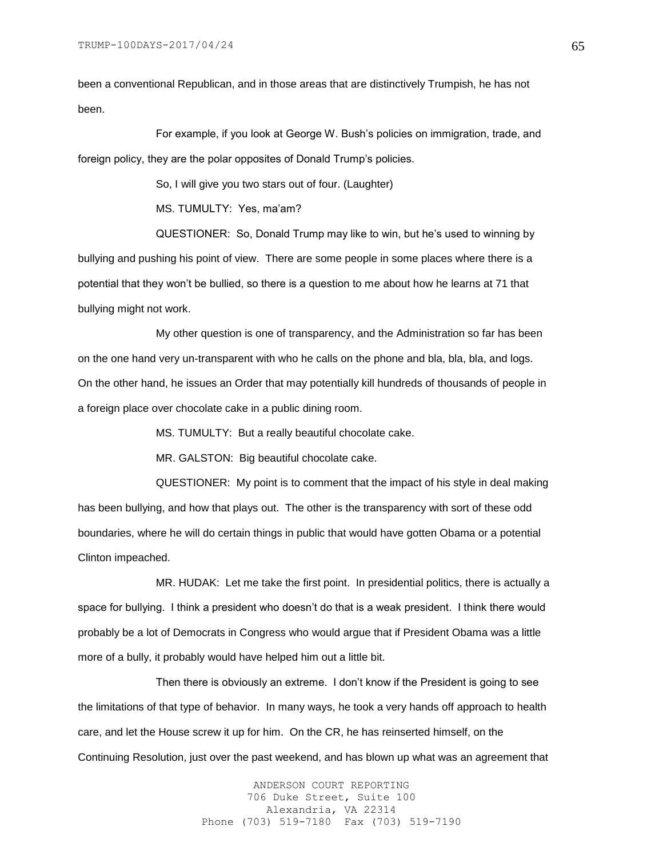been a conventional Republican, and in those areas that are distinctively Trumpish, he has not been.

For example, if you look at George W. Bush's policies on immigration, trade, and foreign policy, they are the polar opposites of Donald Trump's policies.

So, I will give you two stars out of four. (Laughter)

MS. TUMULTY: Yes, ma'am?

QUESTIONER: So, Donald Trump may like to win, but he's used to winning by bullying and pushing his point of view. There are some people in some places where there is a potential that they won't be bullied, so there is a question to me about how he learns at 71 that bullying might not work.

My other question is one of transparency, and the Administration so far has been on the one hand very un-transparent with who he calls on the phone and bla, bla, bla, and logs. On the other hand, he issues an Order that may potentially kill hundreds of thousands of people in a foreign place over chocolate cake in a public dining room.

MS. TUMULTY: But a really beautiful chocolate cake.

MR. GALSTON: Big beautiful chocolate cake.

QUESTIONER: My point is to comment that the impact of his style in deal making has been bullying, and how that plays out. The other is the transparency with sort of these odd boundaries, where he will do certain things in public that would have gotten Obama or a potential Clinton impeached.

MR. HUDAK: Let me take the first point. In presidential politics, there is actually a space for bullying. I think a president who doesn't do that is a weak president. I think there would probably be a lot of Democrats in Congress who would argue that if President Obama was a little more of a bully, it probably would have helped him out a little bit.

Then there is obviously an extreme. I don't know if the President is going to see the limitations of that type of behavior. In many ways, he took a very hands off approach to health care, and let the House screw it up for him. On the CR, he has reinserted himself, on the Continuing Resolution, just over the past weekend, and has blown up what was an agreement that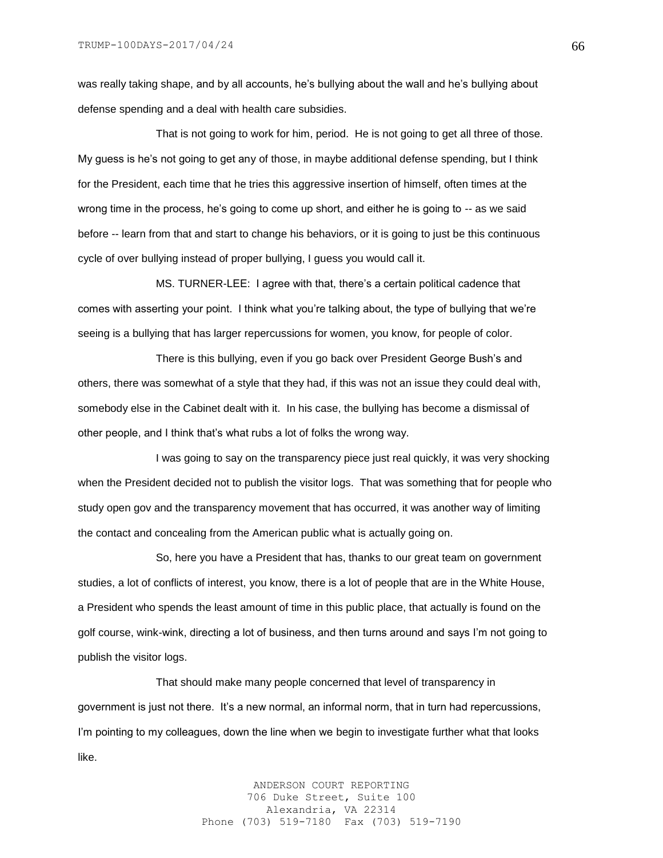was really taking shape, and by all accounts, he's bullying about the wall and he's bullying about defense spending and a deal with health care subsidies.

That is not going to work for him, period. He is not going to get all three of those. My guess is he's not going to get any of those, in maybe additional defense spending, but I think for the President, each time that he tries this aggressive insertion of himself, often times at the wrong time in the process, he's going to come up short, and either he is going to -- as we said before -- learn from that and start to change his behaviors, or it is going to just be this continuous cycle of over bullying instead of proper bullying, I guess you would call it.

MS. TURNER-LEE: I agree with that, there's a certain political cadence that comes with asserting your point. I think what you're talking about, the type of bullying that we're seeing is a bullying that has larger repercussions for women, you know, for people of color.

There is this bullying, even if you go back over President George Bush's and others, there was somewhat of a style that they had, if this was not an issue they could deal with, somebody else in the Cabinet dealt with it. In his case, the bullying has become a dismissal of other people, and I think that's what rubs a lot of folks the wrong way.

I was going to say on the transparency piece just real quickly, it was very shocking when the President decided not to publish the visitor logs. That was something that for people who study open gov and the transparency movement that has occurred, it was another way of limiting the contact and concealing from the American public what is actually going on.

So, here you have a President that has, thanks to our great team on government studies, a lot of conflicts of interest, you know, there is a lot of people that are in the White House, a President who spends the least amount of time in this public place, that actually is found on the golf course, wink-wink, directing a lot of business, and then turns around and says I'm not going to publish the visitor logs.

That should make many people concerned that level of transparency in government is just not there. It's a new normal, an informal norm, that in turn had repercussions, I'm pointing to my colleagues, down the line when we begin to investigate further what that looks like.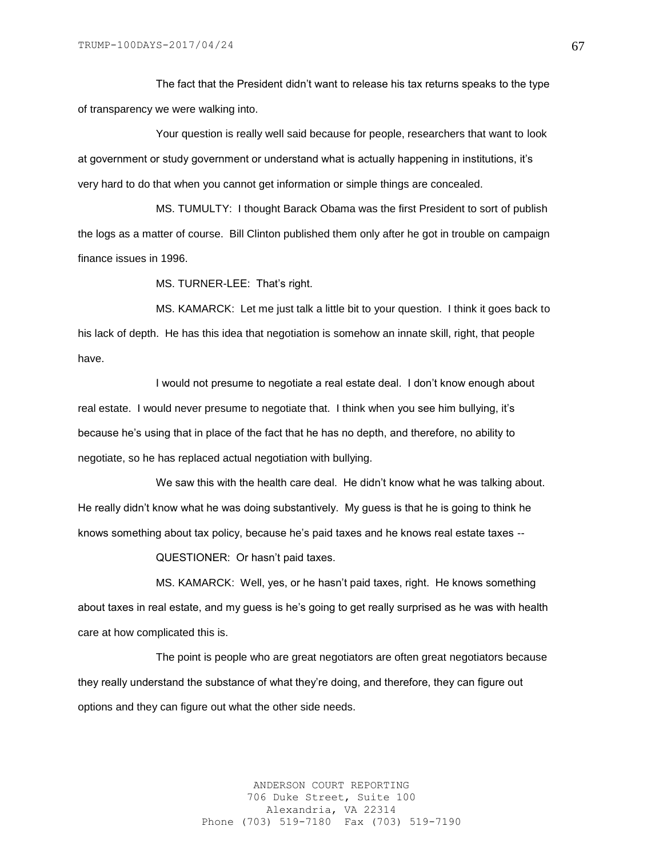The fact that the President didn't want to release his tax returns speaks to the type of transparency we were walking into.

Your question is really well said because for people, researchers that want to look at government or study government or understand what is actually happening in institutions, it's very hard to do that when you cannot get information or simple things are concealed.

MS. TUMULTY: I thought Barack Obama was the first President to sort of publish the logs as a matter of course. Bill Clinton published them only after he got in trouble on campaign finance issues in 1996.

MS. TURNER-LEE: That's right.

MS. KAMARCK: Let me just talk a little bit to your question. I think it goes back to his lack of depth. He has this idea that negotiation is somehow an innate skill, right, that people have.

I would not presume to negotiate a real estate deal. I don't know enough about real estate. I would never presume to negotiate that. I think when you see him bullying, it's because he's using that in place of the fact that he has no depth, and therefore, no ability to negotiate, so he has replaced actual negotiation with bullying.

We saw this with the health care deal. He didn't know what he was talking about. He really didn't know what he was doing substantively. My guess is that he is going to think he knows something about tax policy, because he's paid taxes and he knows real estate taxes --

QUESTIONER: Or hasn't paid taxes.

MS. KAMARCK: Well, yes, or he hasn't paid taxes, right. He knows something about taxes in real estate, and my guess is he's going to get really surprised as he was with health care at how complicated this is.

The point is people who are great negotiators are often great negotiators because they really understand the substance of what they're doing, and therefore, they can figure out options and they can figure out what the other side needs.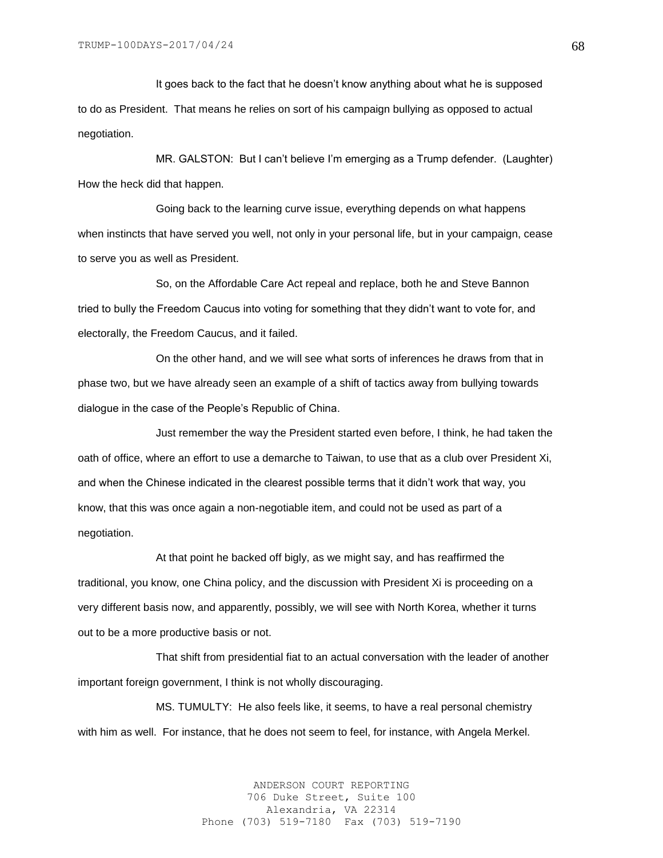It goes back to the fact that he doesn't know anything about what he is supposed to do as President. That means he relies on sort of his campaign bullying as opposed to actual negotiation.

MR. GALSTON: But I can't believe I'm emerging as a Trump defender. (Laughter) How the heck did that happen.

Going back to the learning curve issue, everything depends on what happens when instincts that have served you well, not only in your personal life, but in your campaign, cease to serve you as well as President.

So, on the Affordable Care Act repeal and replace, both he and Steve Bannon tried to bully the Freedom Caucus into voting for something that they didn't want to vote for, and electorally, the Freedom Caucus, and it failed.

On the other hand, and we will see what sorts of inferences he draws from that in phase two, but we have already seen an example of a shift of tactics away from bullying towards dialogue in the case of the People's Republic of China.

Just remember the way the President started even before, I think, he had taken the oath of office, where an effort to use a demarche to Taiwan, to use that as a club over President Xi, and when the Chinese indicated in the clearest possible terms that it didn't work that way, you know, that this was once again a non-negotiable item, and could not be used as part of a negotiation.

At that point he backed off bigly, as we might say, and has reaffirmed the traditional, you know, one China policy, and the discussion with President Xi is proceeding on a very different basis now, and apparently, possibly, we will see with North Korea, whether it turns out to be a more productive basis or not.

That shift from presidential fiat to an actual conversation with the leader of another important foreign government, I think is not wholly discouraging.

MS. TUMULTY: He also feels like, it seems, to have a real personal chemistry with him as well. For instance, that he does not seem to feel, for instance, with Angela Merkel.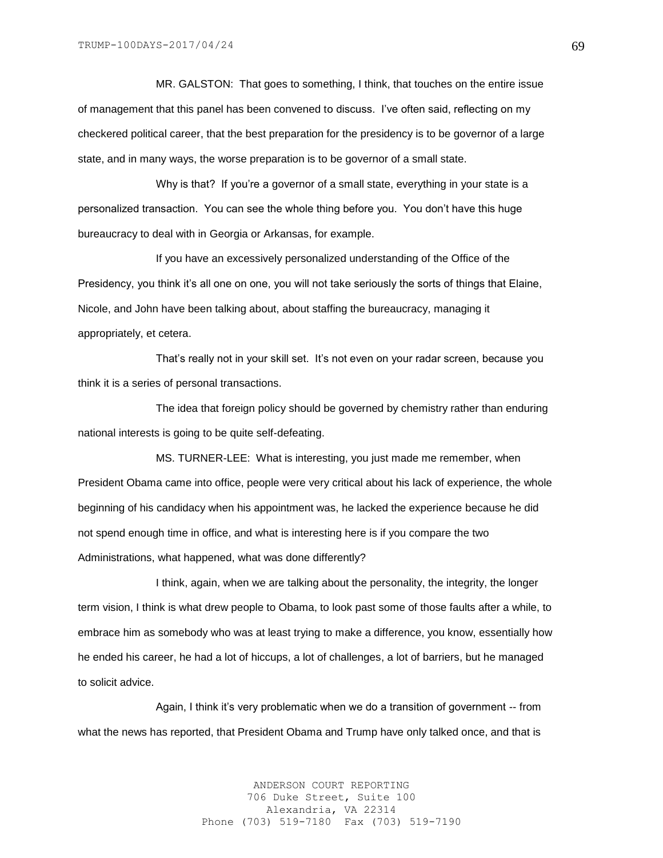MR. GALSTON: That goes to something, I think, that touches on the entire issue of management that this panel has been convened to discuss. I've often said, reflecting on my checkered political career, that the best preparation for the presidency is to be governor of a large state, and in many ways, the worse preparation is to be governor of a small state.

Why is that? If you're a governor of a small state, everything in your state is a personalized transaction. You can see the whole thing before you. You don't have this huge bureaucracy to deal with in Georgia or Arkansas, for example.

If you have an excessively personalized understanding of the Office of the Presidency, you think it's all one on one, you will not take seriously the sorts of things that Elaine, Nicole, and John have been talking about, about staffing the bureaucracy, managing it appropriately, et cetera.

That's really not in your skill set. It's not even on your radar screen, because you think it is a series of personal transactions.

The idea that foreign policy should be governed by chemistry rather than enduring national interests is going to be quite self-defeating.

MS. TURNER-LEE: What is interesting, you just made me remember, when President Obama came into office, people were very critical about his lack of experience, the whole beginning of his candidacy when his appointment was, he lacked the experience because he did not spend enough time in office, and what is interesting here is if you compare the two Administrations, what happened, what was done differently?

I think, again, when we are talking about the personality, the integrity, the longer term vision, I think is what drew people to Obama, to look past some of those faults after a while, to embrace him as somebody who was at least trying to make a difference, you know, essentially how he ended his career, he had a lot of hiccups, a lot of challenges, a lot of barriers, but he managed to solicit advice.

Again, I think it's very problematic when we do a transition of government -- from what the news has reported, that President Obama and Trump have only talked once, and that is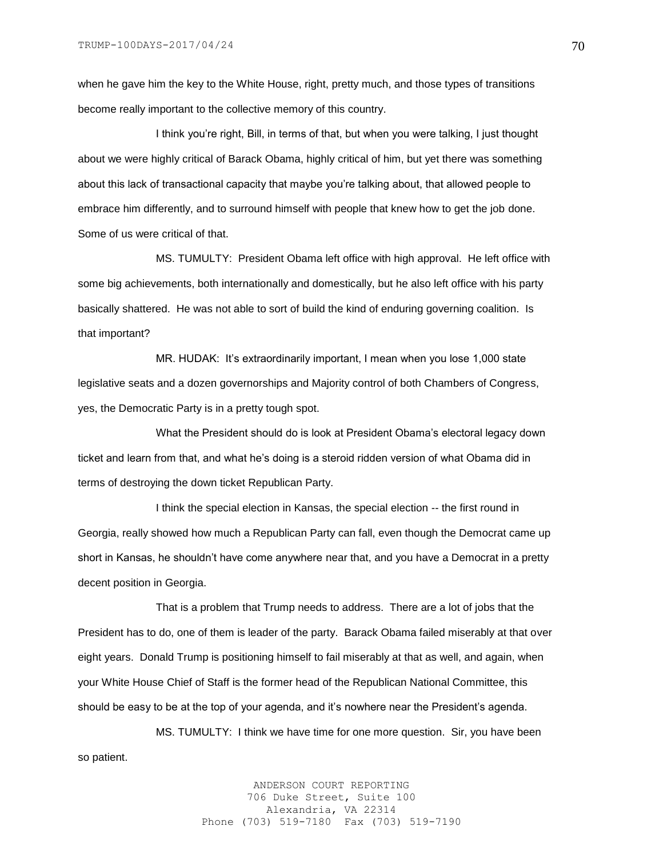when he gave him the key to the White House, right, pretty much, and those types of transitions become really important to the collective memory of this country.

I think you're right, Bill, in terms of that, but when you were talking, I just thought about we were highly critical of Barack Obama, highly critical of him, but yet there was something about this lack of transactional capacity that maybe you're talking about, that allowed people to embrace him differently, and to surround himself with people that knew how to get the job done. Some of us were critical of that.

MS. TUMULTY: President Obama left office with high approval. He left office with some big achievements, both internationally and domestically, but he also left office with his party basically shattered. He was not able to sort of build the kind of enduring governing coalition. Is that important?

MR. HUDAK: It's extraordinarily important, I mean when you lose 1,000 state legislative seats and a dozen governorships and Majority control of both Chambers of Congress, yes, the Democratic Party is in a pretty tough spot.

What the President should do is look at President Obama's electoral legacy down ticket and learn from that, and what he's doing is a steroid ridden version of what Obama did in terms of destroying the down ticket Republican Party.

I think the special election in Kansas, the special election -- the first round in Georgia, really showed how much a Republican Party can fall, even though the Democrat came up short in Kansas, he shouldn't have come anywhere near that, and you have a Democrat in a pretty decent position in Georgia.

That is a problem that Trump needs to address. There are a lot of jobs that the President has to do, one of them is leader of the party. Barack Obama failed miserably at that over eight years. Donald Trump is positioning himself to fail miserably at that as well, and again, when your White House Chief of Staff is the former head of the Republican National Committee, this should be easy to be at the top of your agenda, and it's nowhere near the President's agenda.

MS. TUMULTY: I think we have time for one more question. Sir, you have been so patient.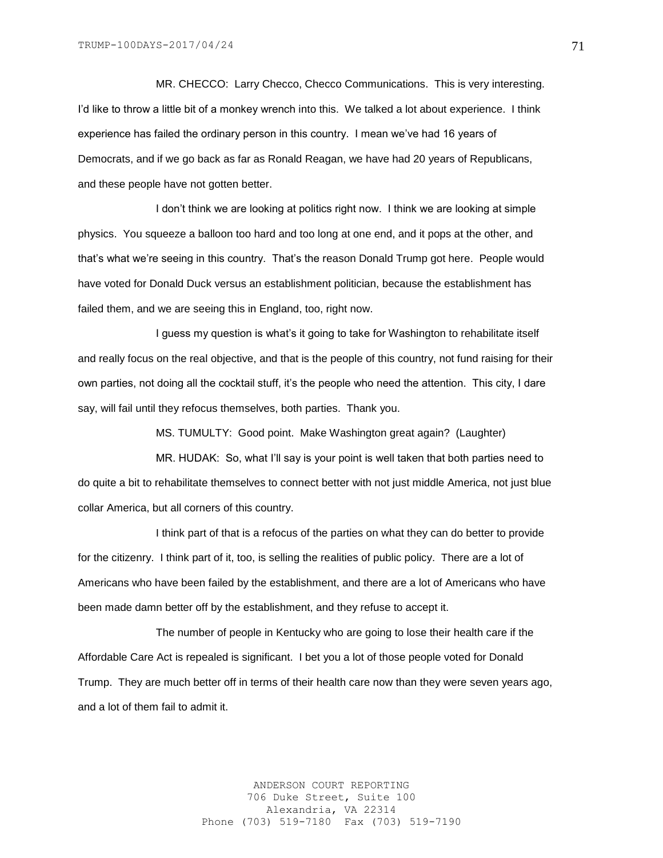MR. CHECCO: Larry Checco, Checco Communications. This is very interesting. I'd like to throw a little bit of a monkey wrench into this. We talked a lot about experience. I think experience has failed the ordinary person in this country. I mean we've had 16 years of Democrats, and if we go back as far as Ronald Reagan, we have had 20 years of Republicans, and these people have not gotten better.

I don't think we are looking at politics right now. I think we are looking at simple physics. You squeeze a balloon too hard and too long at one end, and it pops at the other, and that's what we're seeing in this country. That's the reason Donald Trump got here. People would have voted for Donald Duck versus an establishment politician, because the establishment has failed them, and we are seeing this in England, too, right now.

I guess my question is what's it going to take for Washington to rehabilitate itself and really focus on the real objective, and that is the people of this country, not fund raising for their own parties, not doing all the cocktail stuff, it's the people who need the attention. This city, I dare say, will fail until they refocus themselves, both parties. Thank you.

MS. TUMULTY: Good point. Make Washington great again? (Laughter)

MR. HUDAK: So, what I'll say is your point is well taken that both parties need to do quite a bit to rehabilitate themselves to connect better with not just middle America, not just blue collar America, but all corners of this country.

I think part of that is a refocus of the parties on what they can do better to provide for the citizenry. I think part of it, too, is selling the realities of public policy. There are a lot of Americans who have been failed by the establishment, and there are a lot of Americans who have been made damn better off by the establishment, and they refuse to accept it.

The number of people in Kentucky who are going to lose their health care if the Affordable Care Act is repealed is significant. I bet you a lot of those people voted for Donald Trump. They are much better off in terms of their health care now than they were seven years ago, and a lot of them fail to admit it.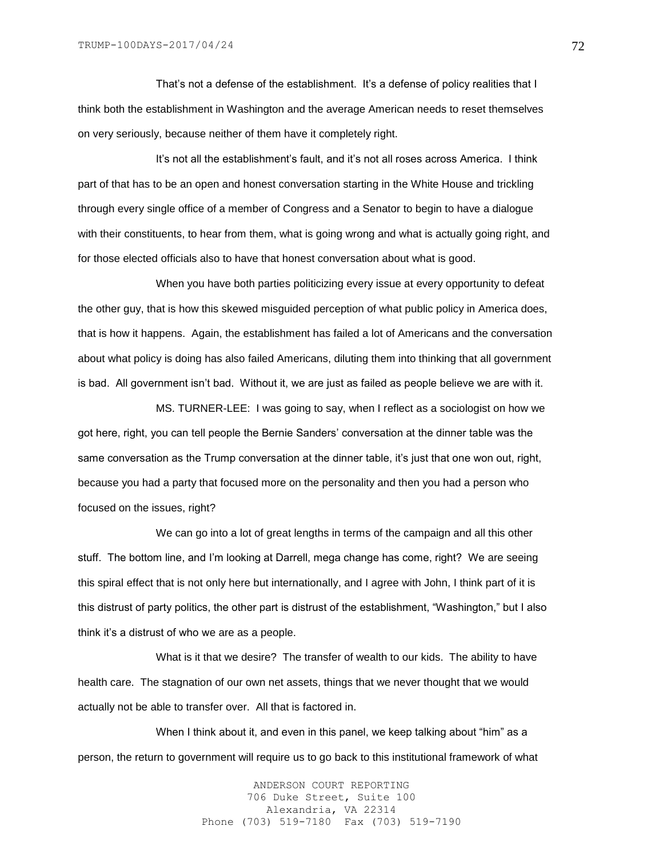That's not a defense of the establishment. It's a defense of policy realities that I think both the establishment in Washington and the average American needs to reset themselves on very seriously, because neither of them have it completely right.

It's not all the establishment's fault, and it's not all roses across America. I think part of that has to be an open and honest conversation starting in the White House and trickling through every single office of a member of Congress and a Senator to begin to have a dialogue with their constituents, to hear from them, what is going wrong and what is actually going right, and for those elected officials also to have that honest conversation about what is good.

When you have both parties politicizing every issue at every opportunity to defeat the other guy, that is how this skewed misguided perception of what public policy in America does, that is how it happens. Again, the establishment has failed a lot of Americans and the conversation about what policy is doing has also failed Americans, diluting them into thinking that all government is bad. All government isn't bad. Without it, we are just as failed as people believe we are with it.

MS. TURNER-LEE: I was going to say, when I reflect as a sociologist on how we got here, right, you can tell people the Bernie Sanders' conversation at the dinner table was the same conversation as the Trump conversation at the dinner table, it's just that one won out, right, because you had a party that focused more on the personality and then you had a person who focused on the issues, right?

We can go into a lot of great lengths in terms of the campaign and all this other stuff. The bottom line, and I'm looking at Darrell, mega change has come, right? We are seeing this spiral effect that is not only here but internationally, and I agree with John, I think part of it is this distrust of party politics, the other part is distrust of the establishment, "Washington," but I also think it's a distrust of who we are as a people.

What is it that we desire? The transfer of wealth to our kids. The ability to have health care. The stagnation of our own net assets, things that we never thought that we would actually not be able to transfer over. All that is factored in.

When I think about it, and even in this panel, we keep talking about "him" as a person, the return to government will require us to go back to this institutional framework of what

> ANDERSON COURT REPORTING 706 Duke Street, Suite 100 Alexandria, VA 22314 Phone (703) 519-7180 Fax (703) 519-7190

72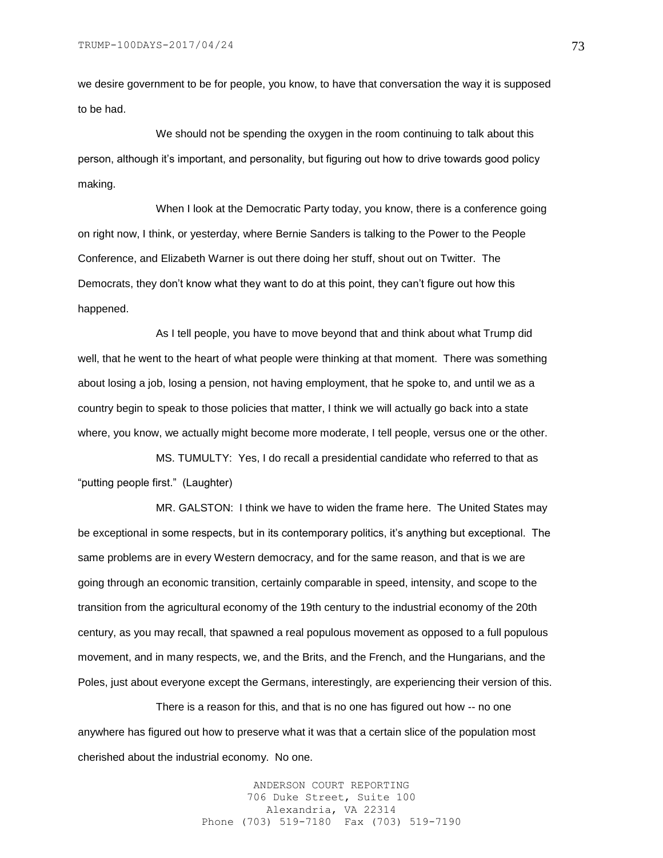we desire government to be for people, you know, to have that conversation the way it is supposed to be had.

We should not be spending the oxygen in the room continuing to talk about this person, although it's important, and personality, but figuring out how to drive towards good policy making.

When I look at the Democratic Party today, you know, there is a conference going on right now, I think, or yesterday, where Bernie Sanders is talking to the Power to the People Conference, and Elizabeth Warner is out there doing her stuff, shout out on Twitter. The Democrats, they don't know what they want to do at this point, they can't figure out how this happened.

As I tell people, you have to move beyond that and think about what Trump did well, that he went to the heart of what people were thinking at that moment. There was something about losing a job, losing a pension, not having employment, that he spoke to, and until we as a country begin to speak to those policies that matter, I think we will actually go back into a state where, you know, we actually might become more moderate, I tell people, versus one or the other.

MS. TUMULTY: Yes, I do recall a presidential candidate who referred to that as "putting people first." (Laughter)

MR. GALSTON: I think we have to widen the frame here. The United States may be exceptional in some respects, but in its contemporary politics, it's anything but exceptional. The same problems are in every Western democracy, and for the same reason, and that is we are going through an economic transition, certainly comparable in speed, intensity, and scope to the transition from the agricultural economy of the 19th century to the industrial economy of the 20th century, as you may recall, that spawned a real populous movement as opposed to a full populous movement, and in many respects, we, and the Brits, and the French, and the Hungarians, and the Poles, just about everyone except the Germans, interestingly, are experiencing their version of this.

There is a reason for this, and that is no one has figured out how -- no one anywhere has figured out how to preserve what it was that a certain slice of the population most cherished about the industrial economy. No one.

> ANDERSON COURT REPORTING 706 Duke Street, Suite 100 Alexandria, VA 22314 Phone (703) 519-7180 Fax (703) 519-7190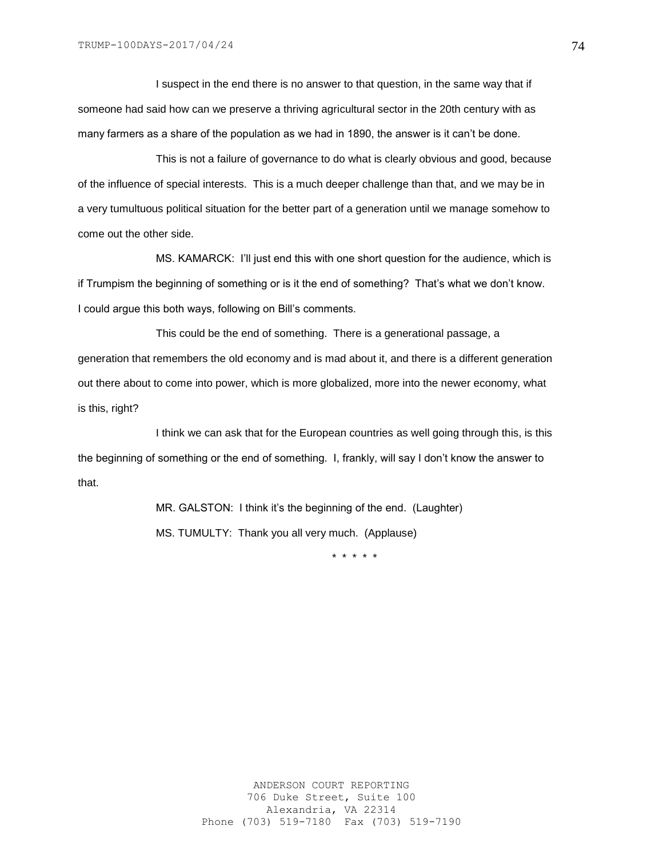I suspect in the end there is no answer to that question, in the same way that if someone had said how can we preserve a thriving agricultural sector in the 20th century with as many farmers as a share of the population as we had in 1890, the answer is it can't be done.

This is not a failure of governance to do what is clearly obvious and good, because of the influence of special interests. This is a much deeper challenge than that, and we may be in a very tumultuous political situation for the better part of a generation until we manage somehow to come out the other side.

MS. KAMARCK: I'll just end this with one short question for the audience, which is if Trumpism the beginning of something or is it the end of something? That's what we don't know. I could argue this both ways, following on Bill's comments.

This could be the end of something. There is a generational passage, a generation that remembers the old economy and is mad about it, and there is a different generation out there about to come into power, which is more globalized, more into the newer economy, what is this, right?

I think we can ask that for the European countries as well going through this, is this the beginning of something or the end of something. I, frankly, will say I don't know the answer to that.

> MR. GALSTON: I think it's the beginning of the end. (Laughter) MS. TUMULTY: Thank you all very much. (Applause)

> > \* \* \* \* \*

74